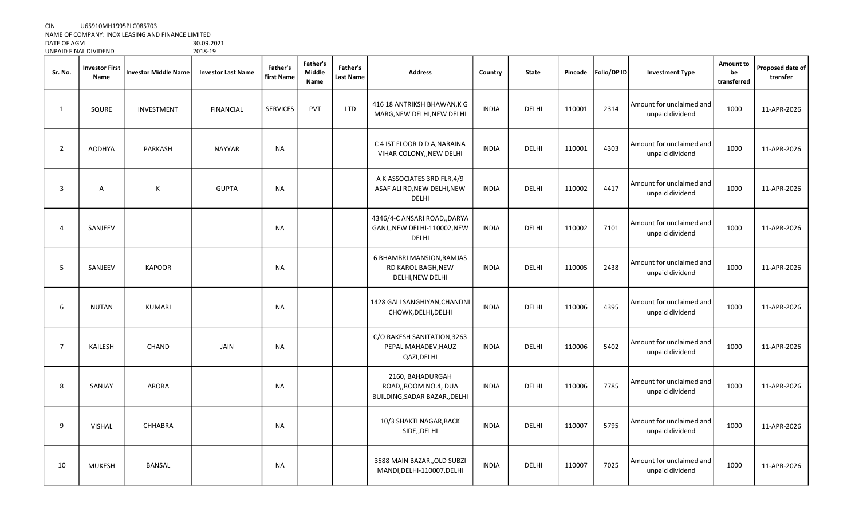CIN U65910MH1995PLC085703

NAME OF COMPANY: INOX LEASING AND FINANCE LIMITED

| DATE OF AGM           | 30.09.202 |
|-----------------------|-----------|
| UNPAID FINAL DIVIDEND | 2018-19   |

| Sr. No.        | <b>Investor First</b><br>Name | <b>Investor Middle Name</b> | <b>Investor Last Name</b> | Father's<br><b>First Name</b> | <b>Father's</b><br><b>Middle</b><br>Name | Father's<br>Last Name | <b>Address</b>                                                              | Country      | <b>State</b> | Pincode | Folio/DP ID | <b>Investment Type</b>                      | Amount to<br>be<br>transferred | Proposed date of<br>transfer |
|----------------|-------------------------------|-----------------------------|---------------------------|-------------------------------|------------------------------------------|-----------------------|-----------------------------------------------------------------------------|--------------|--------------|---------|-------------|---------------------------------------------|--------------------------------|------------------------------|
| $\mathbf{1}$   | SQURE                         | <b>INVESTMENT</b>           | <b>FINANCIAL</b>          | <b>SERVICES</b>               | PVT                                      | <b>LTD</b>            | 416 18 ANTRIKSH BHAWAN, K G<br>MARG, NEW DELHI, NEW DELHI                   | <b>INDIA</b> | DELHI        | 110001  | 2314        | Amount for unclaimed and<br>unpaid dividend | 1000                           | 11-APR-2026                  |
| $\overline{2}$ | <b>AODHYA</b>                 | PARKASH                     | <b>NAYYAR</b>             | NA                            |                                          |                       | C 4 IST FLOOR D D A, NARAINA<br>VIHAR COLONY,, NEW DELHI                    | <b>INDIA</b> | DELHI        | 110001  | 4303        | Amount for unclaimed and<br>unpaid dividend | 1000                           | 11-APR-2026                  |
| 3              | $\mathsf{A}$                  | К                           | <b>GUPTA</b>              | NA                            |                                          |                       | A K ASSOCIATES 3RD FLR, 4/9<br>ASAF ALI RD, NEW DELHI, NEW<br>DELHI         | <b>INDIA</b> | DELHI        | 110002  | 4417        | Amount for unclaimed and<br>unpaid dividend | 1000                           | 11-APR-2026                  |
| 4              | SANJEEV                       |                             |                           | <b>NA</b>                     |                                          |                       | 4346/4-C ANSARI ROAD,, DARYA<br>GANJ,, NEW DELHI-110002, NEW<br>DELHI       | <b>INDIA</b> | DELHI        | 110002  | 7101        | Amount for unclaimed and<br>unpaid dividend | 1000                           | 11-APR-2026                  |
| 5              | SANJEEV                       | <b>KAPOOR</b>               |                           | NA                            |                                          |                       | 6 BHAMBRI MANSION, RAMJAS<br>RD KAROL BAGH, NEW<br>DELHI, NEW DELHI         | <b>INDIA</b> | DELHI        | 110005  | 2438        | Amount for unclaimed and<br>unpaid dividend | 1000                           | 11-APR-2026                  |
| 6              | <b>NUTAN</b>                  | KUMARI                      |                           | <b>NA</b>                     |                                          |                       | 1428 GALI SANGHIYAN, CHANDNI<br>CHOWK, DELHI, DELHI                         | <b>INDIA</b> | <b>DELHI</b> | 110006  | 4395        | Amount for unclaimed and<br>unpaid dividend | 1000                           | 11-APR-2026                  |
| $\overline{7}$ | KAILESH                       | <b>CHAND</b>                | <b>JAIN</b>               | <b>NA</b>                     |                                          |                       | C/O RAKESH SANITATION, 3263<br>PEPAL MAHADEV, HAUZ<br>QAZI, DELHI           | <b>INDIA</b> | <b>DELHI</b> | 110006  | 5402        | Amount for unclaimed and<br>unpaid dividend | 1000                           | 11-APR-2026                  |
| 8              | SANJAY                        | <b>ARORA</b>                |                           | <b>NA</b>                     |                                          |                       | 2160, BAHADURGAH<br>ROAD,, ROOM NO.4, DUA<br>BUILDING, SADAR BAZAR, , DELHI | <b>INDIA</b> | <b>DELHI</b> | 110006  | 7785        | Amount for unclaimed and<br>unpaid dividend | 1000                           | 11-APR-2026                  |
| 9              | <b>VISHAL</b>                 | CHHABRA                     |                           | <b>NA</b>                     |                                          |                       | 10/3 SHAKTI NAGAR, BACK<br>SIDE,, DELHI                                     | <b>INDIA</b> | DELHI        | 110007  | 5795        | Amount for unclaimed and<br>unpaid dividend | 1000                           | 11-APR-2026                  |
| 10             | <b>MUKESH</b>                 | <b>BANSAL</b>               |                           | <b>NA</b>                     |                                          |                       | 3588 MAIN BAZAR, OLD SUBZI<br>MANDI, DELHI-110007, DELHI                    | <b>INDIA</b> | DELHI        | 110007  | 7025        | Amount for unclaimed and<br>unpaid dividend | 1000                           | 11-APR-2026                  |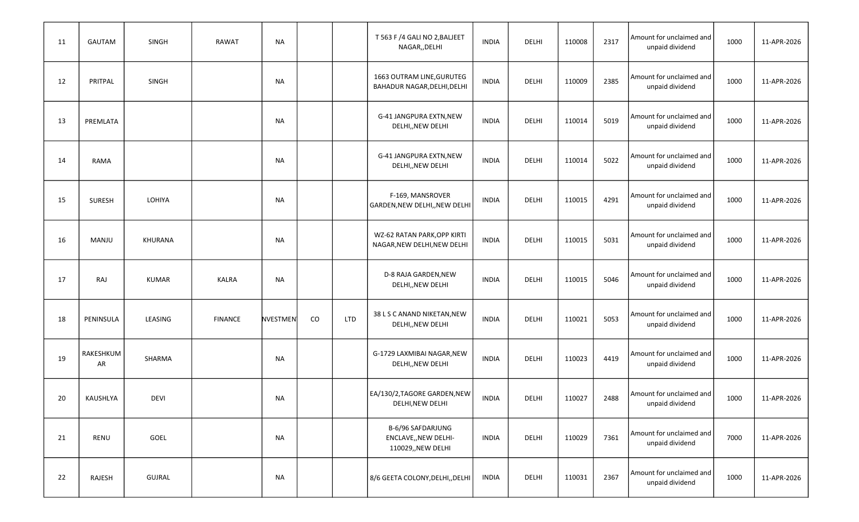| 11 | GAUTAM          | SINGH        | <b>RAWAT</b>   | <b>NA</b> |    |            | T 563 F /4 GALI NO 2, BALJEET<br>NAGAR,, DELHI                  | <b>INDIA</b> | DELHI        | 110008 | 2317 | Amount for unclaimed and<br>unpaid dividend | 1000 | 11-APR-2026 |
|----|-----------------|--------------|----------------|-----------|----|------------|-----------------------------------------------------------------|--------------|--------------|--------|------|---------------------------------------------|------|-------------|
| 12 | PRITPAL         | SINGH        |                | <b>NA</b> |    |            | 1663 OUTRAM LINE, GURUTEG<br>BAHADUR NAGAR, DELHI, DELHI        | <b>INDIA</b> | DELHI        | 110009 | 2385 | Amount for unclaimed and<br>unpaid dividend | 1000 | 11-APR-2026 |
| 13 | PREMLATA        |              |                | <b>NA</b> |    |            | G-41 JANGPURA EXTN, NEW<br>DELHI,, NEW DELHI                    | <b>INDIA</b> | DELHI        | 110014 | 5019 | Amount for unclaimed and<br>unpaid dividend | 1000 | 11-APR-2026 |
| 14 | <b>RAMA</b>     |              |                | <b>NA</b> |    |            | G-41 JANGPURA EXTN, NEW<br>DELHI,, NEW DELHI                    | <b>INDIA</b> | DELHI        | 110014 | 5022 | Amount for unclaimed and<br>unpaid dividend | 1000 | 11-APR-2026 |
| 15 | <b>SURESH</b>   | LOHIYA       |                | <b>NA</b> |    |            | F-169, MANSROVER<br>GARDEN, NEW DELHI, , NEW DELHI              | <b>INDIA</b> | <b>DELHI</b> | 110015 | 4291 | Amount for unclaimed and<br>unpaid dividend | 1000 | 11-APR-2026 |
| 16 | MANJU           | KHURANA      |                | <b>NA</b> |    |            | WZ-62 RATAN PARK, OPP KIRTI<br>NAGAR, NEW DELHI, NEW DELHI      | <b>INDIA</b> | DELHI        | 110015 | 5031 | Amount for unclaimed and<br>unpaid dividend | 1000 | 11-APR-2026 |
| 17 | RAJ             | <b>KUMAR</b> | <b>KALRA</b>   | <b>NA</b> |    |            | D-8 RAJA GARDEN, NEW<br>DELHI,, NEW DELHI                       | <b>INDIA</b> | DELHI        | 110015 | 5046 | Amount for unclaimed and<br>unpaid dividend | 1000 | 11-APR-2026 |
| 18 | PENINSULA       | LEASING      | <b>FINANCE</b> | NVESTMEN  | CO | <b>LTD</b> | 38 L S C ANAND NIKETAN, NEW<br>DELHI,, NEW DELHI                | <b>INDIA</b> | DELHI        | 110021 | 5053 | Amount for unclaimed and<br>unpaid dividend | 1000 | 11-APR-2026 |
| 19 | RAKESHKUM<br>AR | SHARMA       |                | <b>NA</b> |    |            | G-1729 LAXMIBAI NAGAR, NEW<br>DELHI,, NEW DELHI                 | <b>INDIA</b> | DELHI        | 110023 | 4419 | Amount for unclaimed and<br>unpaid dividend | 1000 | 11-APR-2026 |
| 20 | KAUSHLYA        | <b>DEVI</b>  |                | <b>NA</b> |    |            | EA/130/2, TAGORE GARDEN, NEW<br>DELHI, NEW DELHI                | <b>INDIA</b> | DELHI        | 110027 | 2488 | Amount for unclaimed and<br>unpaid dividend | 1000 | 11-APR-2026 |
| 21 | RENU            | GOEL         |                | <b>NA</b> |    |            | B-6/96 SAFDARJUNG<br>ENCLAVE,, NEW DELHI-<br>110029,, NEW DELHI | INDIA        | DELHI        | 110029 | 7361 | Amount for unclaimed and<br>unpaid dividend | 7000 | 11-APR-2026 |
| 22 | RAJESH          | GUJRAL       |                | <b>NA</b> |    |            | 8/6 GEETA COLONY, DELHI, DELHI                                  | <b>INDIA</b> | DELHI        | 110031 | 2367 | Amount for unclaimed and<br>unpaid dividend | 1000 | 11-APR-2026 |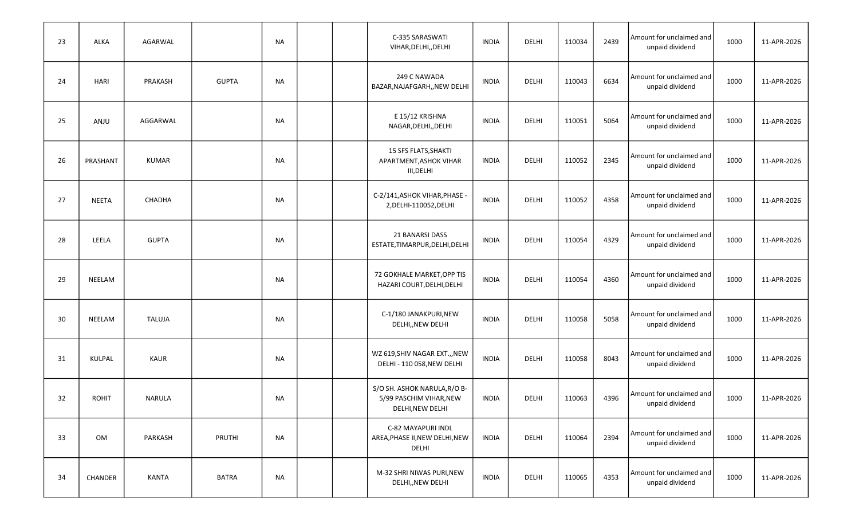| 23 | <b>ALKA</b>  | AGARWAL       |              | <b>NA</b> |  | C-335 SARASWATI<br>VIHAR, DELHI, , DELHI                                    | <b>INDIA</b> | DELHI | 110034 | 2439 | Amount for unclaimed and<br>unpaid dividend | 1000 | 11-APR-2026 |
|----|--------------|---------------|--------------|-----------|--|-----------------------------------------------------------------------------|--------------|-------|--------|------|---------------------------------------------|------|-------------|
| 24 | <b>HARI</b>  | PRAKASH       | <b>GUPTA</b> | NA        |  | 249 C NAWADA<br>BAZAR, NAJAFGARH,, NEW DELHI                                | <b>INDIA</b> | DELHI | 110043 | 6634 | Amount for unclaimed and<br>unpaid dividend | 1000 | 11-APR-2026 |
| 25 | ANJU         | AGGARWAL      |              | <b>NA</b> |  | E 15/12 KRISHNA<br>NAGAR, DELHI, , DELHI                                    | <b>INDIA</b> | DELHI | 110051 | 5064 | Amount for unclaimed and<br>unpaid dividend | 1000 | 11-APR-2026 |
| 26 | PRASHANT     | KUMAR         |              | NA        |  | <b>15 SFS FLATS, SHAKTI</b><br>APARTMENT, ASHOK VIHAR<br>III, DELHI         | <b>INDIA</b> | DELHI | 110052 | 2345 | Amount for unclaimed and<br>unpaid dividend | 1000 | 11-APR-2026 |
| 27 | <b>NEETA</b> | CHADHA        |              | <b>NA</b> |  | C-2/141, ASHOK VIHAR, PHASE -<br>2, DELHI-110052, DELHI                     | <b>INDIA</b> | DELHI | 110052 | 4358 | Amount for unclaimed and<br>unpaid dividend | 1000 | 11-APR-2026 |
| 28 | LEELA        | <b>GUPTA</b>  |              | NA        |  | 21 BANARSI DASS<br>ESTATE, TIMARPUR, DELHI, DELHI                           | <b>INDIA</b> | DELHI | 110054 | 4329 | Amount for unclaimed and<br>unpaid dividend | 1000 | 11-APR-2026 |
| 29 | NEELAM       |               |              | NA        |  | 72 GOKHALE MARKET, OPP TIS<br>HAZARI COURT, DELHI, DELHI                    | INDIA        | DELHI | 110054 | 4360 | Amount for unclaimed and<br>unpaid dividend | 1000 | 11-APR-2026 |
| 30 | NEELAM       | <b>TALUJA</b> |              | <b>NA</b> |  | C-1/180 JANAKPURI, NEW<br>DELHI,, NEW DELHI                                 | <b>INDIA</b> | DELHI | 110058 | 5058 | Amount for unclaimed and<br>unpaid dividend | 1000 | 11-APR-2026 |
| 31 | KULPAL       | KAUR          |              | NA        |  | WZ 619, SHIV NAGAR EXT., , NEW<br>DELHI - 110 058, NEW DELHI                | <b>INDIA</b> | DELHI | 110058 | 8043 | Amount for unclaimed and<br>unpaid dividend | 1000 | 11-APR-2026 |
| 32 | <b>ROHIT</b> | NARULA        |              | <b>NA</b> |  | S/O SH. ASHOK NARULA, R/O B-<br>5/99 PASCHIM VIHAR, NEW<br>DELHI, NEW DELHI | INDIA        | DELHI | 110063 | 4396 | Amount for unclaimed and<br>unpaid dividend | 1000 | 11-APR-2026 |
| 33 | OM           | PARKASH       | PRUTHI       | <b>NA</b> |  | C-82 MAYAPURI INDL<br>AREA, PHASE II, NEW DELHI, NEW<br>DELHI               | INDIA        | DELHI | 110064 | 2394 | Amount for unclaimed and<br>unpaid dividend | 1000 | 11-APR-2026 |
| 34 | CHANDER      | KANTA         | <b>BATRA</b> | <b>NA</b> |  | M-32 SHRI NIWAS PURI, NEW<br>DELHI,, NEW DELHI                              | INDIA        | DELHI | 110065 | 4353 | Amount for unclaimed and<br>unpaid dividend | 1000 | 11-APR-2026 |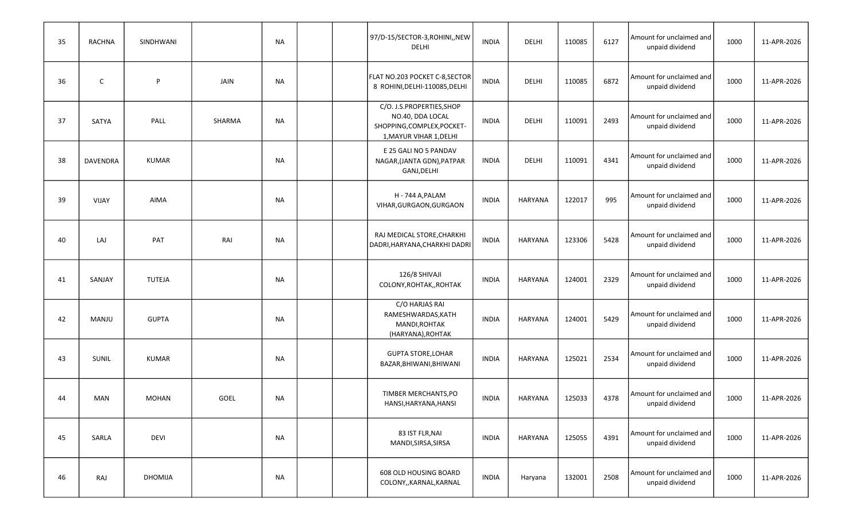| 35 | <b>RACHNA</b> | SINDHWANI     |             | NA        |  | 97/D-15/SECTOR-3, ROHINI,, NEW<br>DELHI                                                                | <b>INDIA</b> | DELHI          | 110085 | 6127 | Amount for unclaimed and<br>unpaid dividend | 1000 | 11-APR-2026 |
|----|---------------|---------------|-------------|-----------|--|--------------------------------------------------------------------------------------------------------|--------------|----------------|--------|------|---------------------------------------------|------|-------------|
| 36 | C             | P             | JAIN        | <b>NA</b> |  | FLAT NO.203 POCKET C-8, SECTOR<br>8 ROHINI, DELHI-110085, DELHI                                        | <b>INDIA</b> | DELHI          | 110085 | 6872 | Amount for unclaimed and<br>unpaid dividend | 1000 | 11-APR-2026 |
| 37 | SATYA         | PALL          | SHARMA      | <b>NA</b> |  | C/O. J.S.PROPERTIES, SHOP<br>NO.40, DDA LOCAL<br>SHOPPING, COMPLEX, POCKET-<br>1, MAYUR VIHAR 1, DELHI | <b>INDIA</b> | DELHI          | 110091 | 2493 | Amount for unclaimed and<br>unpaid dividend | 1000 | 11-APR-2026 |
| 38 | DAVENDRA      | <b>KUMAR</b>  |             | <b>NA</b> |  | E 25 GALI NO 5 PANDAV<br>NAGAR, (JANTA GDN), PATPAR<br>GANJ, DELHI                                     | <b>INDIA</b> | DELHI          | 110091 | 4341 | Amount for unclaimed and<br>unpaid dividend | 1000 | 11-APR-2026 |
| 39 | <b>VIJAY</b>  | AIMA          |             | <b>NA</b> |  | H - 744 A, PALAM<br>VIHAR, GURGAON, GURGAON                                                            | <b>INDIA</b> | <b>HARYANA</b> | 122017 | 995  | Amount for unclaimed and<br>unpaid dividend | 1000 | 11-APR-2026 |
| 40 | LAJ           | PAT           | RAI         | <b>NA</b> |  | RAJ MEDICAL STORE, CHARKHI<br>DADRI, HARYANA, CHARKHI DADRI                                            | <b>INDIA</b> | <b>HARYANA</b> | 123306 | 5428 | Amount for unclaimed and<br>unpaid dividend | 1000 | 11-APR-2026 |
| 41 | SANJAY        | <b>TUTEJA</b> |             | NA        |  | 126/8 SHIVAJI<br>COLONY, ROHTAK,, ROHTAK                                                               | <b>INDIA</b> | <b>HARYANA</b> | 124001 | 2329 | Amount for unclaimed and<br>unpaid dividend | 1000 | 11-APR-2026 |
| 42 | <b>MANJU</b>  | <b>GUPTA</b>  |             | <b>NA</b> |  | C/O HARJAS RAI<br>RAMESHWARDAS, KATH<br>MANDI, ROHTAK<br>(HARYANA), ROHTAK                             | <b>INDIA</b> | <b>HARYANA</b> | 124001 | 5429 | Amount for unclaimed and<br>unpaid dividend | 1000 | 11-APR-2026 |
| 43 | <b>SUNIL</b>  | <b>KUMAR</b>  |             | <b>NA</b> |  | <b>GUPTA STORE, LOHAR</b><br>BAZAR, BHIWANI, BHIWANI                                                   | <b>INDIA</b> | <b>HARYANA</b> | 125021 | 2534 | Amount for unclaimed and<br>unpaid dividend | 1000 | 11-APR-2026 |
| 44 | <b>MAN</b>    | <b>MOHAN</b>  | <b>GOEL</b> | <b>NA</b> |  | TIMBER MERCHANTS, PO<br>HANSI, HARYANA, HANSI                                                          | <b>INDIA</b> | <b>HARYANA</b> | 125033 | 4378 | Amount for unclaimed and<br>unpaid dividend | 1000 | 11-APR-2026 |
| 45 | SARLA         | <b>DEVI</b>   |             | <b>NA</b> |  | 83 IST FLR, NAI<br>MANDI, SIRSA, SIRSA                                                                 | INDIA        | HARYANA        | 125055 | 4391 | Amount for unclaimed and<br>unpaid dividend | 1000 | 11-APR-2026 |
| 46 | RAJ           | DHOMIJA       |             | <b>NA</b> |  | 608 OLD HOUSING BOARD<br>COLONY,, KARNAL, KARNAL                                                       | INDIA        | Haryana        | 132001 | 2508 | Amount for unclaimed and<br>unpaid dividend | 1000 | 11-APR-2026 |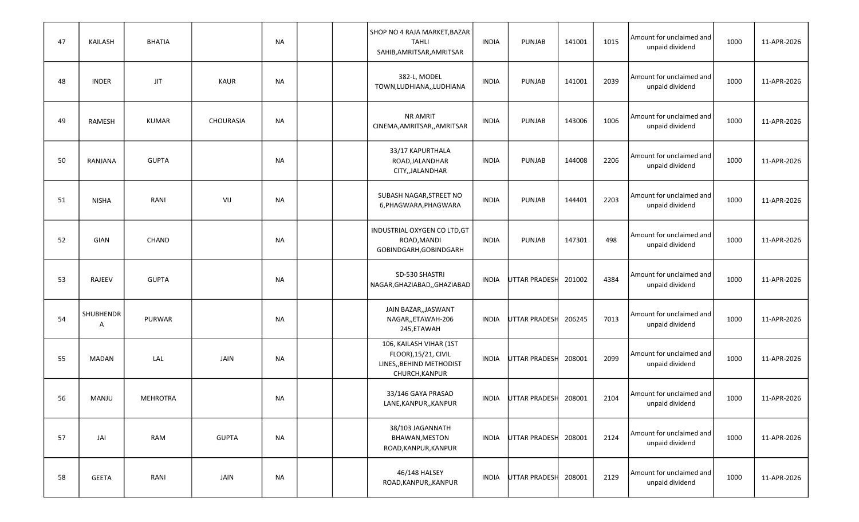| 47 | <b>KAILASH</b> | <b>BHATIA</b> |                  | NA        |  | SHOP NO 4 RAJA MARKET, BAZAR<br><b>TAHLI</b><br>SAHIB, AMRITSAR, AMRITSAR                    | <b>INDIA</b> | PUNJAB               | 141001 | 1015 | Amount for unclaimed and<br>unpaid dividend | 1000 | 11-APR-2026 |
|----|----------------|---------------|------------------|-----------|--|----------------------------------------------------------------------------------------------|--------------|----------------------|--------|------|---------------------------------------------|------|-------------|
| 48 | <b>INDER</b>   | <b>JIT</b>    | KAUR             | <b>NA</b> |  | 382-L, MODEL<br>TOWN, LUDHIANA, , LUDHIANA                                                   | <b>INDIA</b> | PUNJAB               | 141001 | 2039 | Amount for unclaimed and<br>unpaid dividend | 1000 | 11-APR-2026 |
| 49 | RAMESH         | <b>KUMAR</b>  | <b>CHOURASIA</b> | <b>NA</b> |  | NR AMRIT<br>CINEMA, AMRITSAR, , AMRITSAR                                                     | <b>INDIA</b> | PUNJAB               | 143006 | 1006 | Amount for unclaimed and<br>unpaid dividend | 1000 | 11-APR-2026 |
| 50 | RANJANA        | <b>GUPTA</b>  |                  | <b>NA</b> |  | 33/17 KAPURTHALA<br>ROAD, JALANDHAR<br>CITY,, JALANDHAR                                      | <b>INDIA</b> | PUNJAB               | 144008 | 2206 | Amount for unclaimed and<br>unpaid dividend | 1000 | 11-APR-2026 |
| 51 | <b>NISHA</b>   | RANI          | VIJ              | <b>NA</b> |  | SUBASH NAGAR, STREET NO<br>6, PHAGWARA, PHAGWARA                                             | <b>INDIA</b> | PUNJAB               | 144401 | 2203 | Amount for unclaimed and<br>unpaid dividend | 1000 | 11-APR-2026 |
| 52 | GIAN           | CHAND         |                  | <b>NA</b> |  | INDUSTRIAL OXYGEN CO LTD, GT<br>ROAD, MANDI<br>GOBINDGARH, GOBINDGARH                        | <b>INDIA</b> | PUNJAB               | 147301 | 498  | Amount for unclaimed and<br>unpaid dividend | 1000 | 11-APR-2026 |
| 53 | <b>RAJEEV</b>  | <b>GUPTA</b>  |                  | NA        |  | SD-530 SHASTRI<br>NAGAR, GHAZIABAD, , GHAZIABAD                                              | <b>INDIA</b> | <b>UTTAR PRADESH</b> | 201002 | 4384 | Amount for unclaimed and<br>unpaid dividend | 1000 | 11-APR-2026 |
| 54 | SHUBHENDR<br>A | PURWAR        |                  | NA        |  | JAIN BAZAR, JASWANT<br>NAGAR,, ETAWAH-206<br>245, ETAWAH                                     | <b>INDIA</b> | <b>UTTAR PRADESH</b> | 206245 | 7013 | Amount for unclaimed and<br>unpaid dividend | 1000 | 11-APR-2026 |
| 55 | <b>MADAN</b>   | LAL           | JAIN             | <b>NA</b> |  | 106, KAILASH VIHAR (1ST<br>FLOOR), 15/21, CIVIL<br>LINES,, BEHIND METHODIST<br>CHURCH.KANPUR | INDIA        | <b>UTTAR PRADESH</b> | 208001 | 2099 | Amount for unclaimed and<br>unpaid dividend | 1000 | 11-APR-2026 |
| 56 | MANJU          | MEHROTRA      |                  | <b>NA</b> |  | 33/146 GAYA PRASAD<br>LANE, KANPUR, , KANPUR                                                 | INDIA        | UTTAR PRADESH        | 208001 | 2104 | Amount for unclaimed and<br>unpaid dividend | 1000 | 11-APR-2026 |
| 57 | JAI            | RAM           | <b>GUPTA</b>     | <b>NA</b> |  | 38/103 JAGANNATH<br>BHAWAN, MESTON<br>ROAD, KANPUR, KANPUR                                   |              | INDIA UTTAR PRADESH  | 208001 | 2124 | Amount for unclaimed and<br>unpaid dividend | 1000 | 11-APR-2026 |
| 58 | <b>GEETA</b>   | RANI          | JAIN             | <b>NA</b> |  | 46/148 HALSEY<br>ROAD, KANPUR, , KANPUR                                                      | INDIA        | UTTAR PRADESH        | 208001 | 2129 | Amount for unclaimed and<br>unpaid dividend | 1000 | 11-APR-2026 |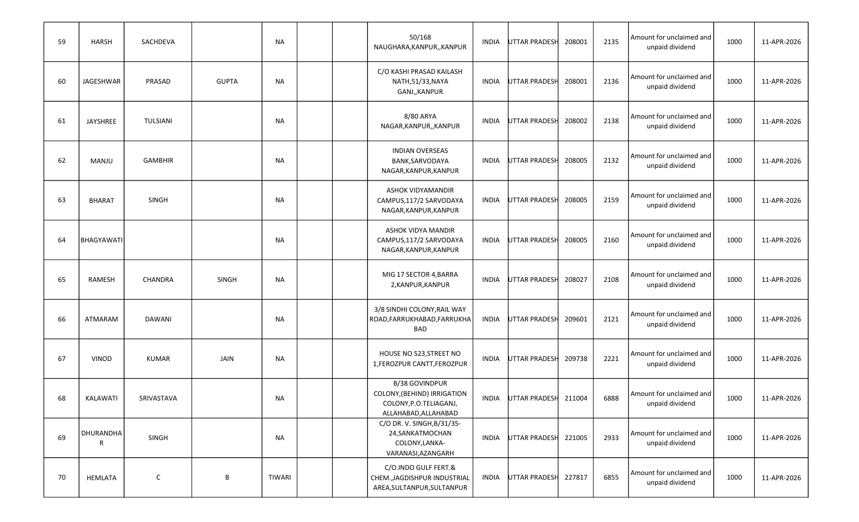| 59 | <b>HARSH</b>      | SACHDEVA       |              | NA            |  | 50/168<br>NAUGHARA, KANPUR, , KANPUR                                                                   | INDIA | <b>UTTAR PRADESH</b> | 208001 | 2135 | Amount for unclaimed and<br>unpaid dividend | 1000 | 11-APR-2026 |
|----|-------------------|----------------|--------------|---------------|--|--------------------------------------------------------------------------------------------------------|-------|----------------------|--------|------|---------------------------------------------|------|-------------|
| 60 | JAGESHWAR         | PRASAD         | <b>GUPTA</b> | <b>NA</b>     |  | C/O KASHI PRASAD KAILASH<br>NATH, 51/33, NAYA<br>GANJ,, KANPUR                                         | INDIA | UTTAR PRADESH        | 208001 | 2136 | Amount for unclaimed and<br>unpaid dividend | 1000 | 11-APR-2026 |
| 61 | <b>JAYSHREE</b>   | TULSIANI       |              | NA            |  | 8/80 ARYA<br>NAGAR, KANPUR, , KANPUR                                                                   | INDIA | <b>UTTAR PRADESH</b> | 208002 | 2138 | Amount for unclaimed and<br>unpaid dividend | 1000 | 11-APR-2026 |
| 62 | MANJU             | <b>GAMBHIR</b> |              | <b>NA</b>     |  | <b>INDIAN OVERSEAS</b><br>BANK, SARVODAYA<br>NAGAR, KANPUR, KANPUR                                     | INDIA | UTTAR PRADESH        | 208005 | 2132 | Amount for unclaimed and<br>unpaid dividend | 1000 | 11-APR-2026 |
| 63 | <b>BHARAT</b>     | SINGH          |              | <b>NA</b>     |  | ASHOK VIDYAMANDIR<br>CAMPUS, 117/2 SARVODAYA<br>NAGAR, KANPUR, KANPUR                                  | INDIA | UTTAR PRADESH        | 208005 | 2159 | Amount for unclaimed and<br>unpaid dividend | 1000 | 11-APR-2026 |
| 64 | <b>BHAGYAWATI</b> |                |              | NA            |  | ASHOK VIDYA MANDIR<br>CAMPUS, 117/2 SARVODAYA<br>NAGAR, KANPUR, KANPUR                                 | INDIA | <b>UTTAR PRADESH</b> | 208005 | 2160 | Amount for unclaimed and<br>unpaid dividend | 1000 | 11-APR-2026 |
| 65 | RAMESH            | CHANDRA        | <b>SINGH</b> | NA            |  | MIG 17 SECTOR 4, BARRA<br>2, KANPUR, KANPUR                                                            | INDIA | UTTAR PRADESH        | 208027 | 2108 | Amount for unclaimed and<br>unpaid dividend | 1000 | 11-APR-2026 |
| 66 | ATMARAM           | DAWANI         |              | NA            |  | 3/8 SINDHI COLONY, RAIL WAY<br>ROAD, FARRUKHABAD, FARRUKHA<br>BAD                                      | INDIA | <b>UTTAR PRADESH</b> | 209601 | 2121 | Amount for unclaimed and<br>unpaid dividend | 1000 | 11-APR-2026 |
| 67 | <b>VINOD</b>      | <b>KUMAR</b>   | JAIN         | <b>NA</b>     |  | HOUSE NO 523, STREET NO<br>1, FEROZPUR CANTT, FEROZPUR                                                 | INDIA | <b>UTTAR PRADESH</b> | 209738 | 2221 | Amount for unclaimed and<br>unpaid dividend | 1000 | 11-APR-2026 |
| 68 | KALAWATI          | SRIVASTAVA     |              | <b>NA</b>     |  | <b>B/38 GOVINDPUR</b><br>COLONY, (BEHIND) IRRIGATION<br>COLONY, P.O.TELIAGANJ,<br>ALLAHABAD, ALLAHABAD | INDIA | UTTAR PRADESH        | 211004 | 6888 | Amount for unclaimed and<br>unpaid dividend | 1000 | 11-APR-2026 |
| 69 | DHURANDHA<br>R    | SINGH          |              | <b>NA</b>     |  | C/O DR. V. SINGH, B/31/35-<br>24, SANKATMOCHAN<br>COLONY, LANKA-<br>VARANASI, AZANGARH                 |       | INDIA UTTAR PRADESH  | 221005 | 2933 | Amount for unclaimed and<br>unpaid dividend | 1000 | 11-APR-2026 |
| 70 | HEMLATA           | $\mathsf C$    | $\, {\sf B}$ | <b>TIWARI</b> |  | C/O.INDO GULF FERT.&<br>CHEM., JAGDISHPUR INDUSTRIAL<br>AREA, SULTANPUR, SULTANPUR                     | INDIA | UTTAR PRADESH        | 227817 | 6855 | Amount for unclaimed and<br>unpaid dividend | 1000 | 11-APR-2026 |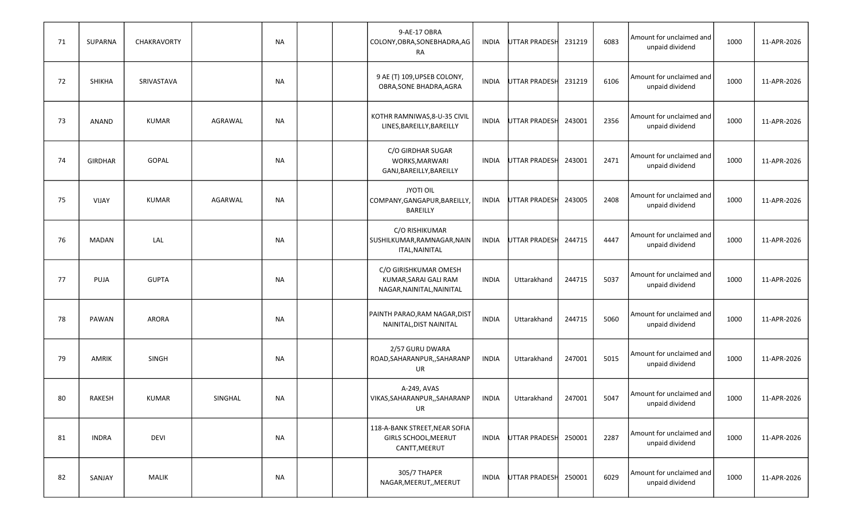| 71 | SUPARNA        | CHAKRAVORTY  |         | NA        |  | 9-AE-17 OBRA<br>COLONY, OBRA, SONEBHADRA, AG<br>RA                          | INDIA        | <b>UTTAR PRADESH</b> | 231219 | 6083 | Amount for unclaimed and<br>unpaid dividend | 1000 | 11-APR-2026 |
|----|----------------|--------------|---------|-----------|--|-----------------------------------------------------------------------------|--------------|----------------------|--------|------|---------------------------------------------|------|-------------|
| 72 | SHIKHA         | SRIVASTAVA   |         | <b>NA</b> |  | 9 AE (T) 109, UPSEB COLONY,<br>OBRA, SONE BHADRA, AGRA                      | INDIA        | <b>UTTAR PRADESH</b> | 231219 | 6106 | Amount for unclaimed and<br>unpaid dividend | 1000 | 11-APR-2026 |
| 73 | ANAND          | <b>KUMAR</b> | AGRAWAL | <b>NA</b> |  | KOTHR RAMNIWAS, 8-U-35 CIVIL<br>LINES, BAREILLY, BAREILLY                   | INDIA        | <b>UTTAR PRADESH</b> | 243001 | 2356 | Amount for unclaimed and<br>unpaid dividend | 1000 | 11-APR-2026 |
| 74 | <b>GIRDHAR</b> | GOPAL        |         | NA        |  | C/O GIRDHAR SUGAR<br>WORKS, MARWARI<br>GANJ, BAREILLY, BAREILLY             | <b>INDIA</b> | <b>UTTAR PRADESH</b> | 243001 | 2471 | Amount for unclaimed and<br>unpaid dividend | 1000 | 11-APR-2026 |
| 75 | VIJAY          | <b>KUMAR</b> | AGARWAL | <b>NA</b> |  | <b>JYOTI OIL</b><br>COMPANY, GANGAPUR, BAREILLY,<br><b>BAREILLY</b>         | INDIA        | <b>UTTAR PRADESH</b> | 243005 | 2408 | Amount for unclaimed and<br>unpaid dividend | 1000 | 11-APR-2026 |
| 76 | <b>MADAN</b>   | LAL          |         | NA        |  | C/O RISHIKUMAR<br>SUSHILKUMAR, RAMNAGAR, NAIN<br><b>ITAL, NAINITAL</b>      | <b>INDIA</b> | <b>UTTAR PRADESH</b> | 244715 | 4447 | Amount for unclaimed and<br>unpaid dividend | 1000 | 11-APR-2026 |
| 77 | PUJA           | <b>GUPTA</b> |         | NA        |  | C/O GIRISHKUMAR OMESH<br>KUMAR, SARAI GALI RAM<br>NAGAR, NAINITAL, NAINITAL | <b>INDIA</b> | Uttarakhand          | 244715 | 5037 | Amount for unclaimed and<br>unpaid dividend | 1000 | 11-APR-2026 |
| 78 | PAWAN          | ARORA        |         | NA        |  | PAINTH PARAO, RAM NAGAR, DIST<br>NAINITAL, DIST NAINITAL                    | <b>INDIA</b> | Uttarakhand          | 244715 | 5060 | Amount for unclaimed and<br>unpaid dividend | 1000 | 11-APR-2026 |
| 79 | AMRIK          | SINGH        |         | <b>NA</b> |  | 2/57 GURU DWARA<br>ROAD, SAHARANPUR, , SAHARANP<br>UR                       | <b>INDIA</b> | Uttarakhand          | 247001 | 5015 | Amount for unclaimed and<br>unpaid dividend | 1000 | 11-APR-2026 |
| 80 | RAKESH         | <b>KUMAR</b> | SINGHAL | <b>NA</b> |  | A-249, AVAS<br>VIKAS, SAHARANPUR, , SAHARANP<br>UR                          | <b>INDIA</b> | Uttarakhand          | 247001 | 5047 | Amount for unclaimed and<br>unpaid dividend | 1000 | 11-APR-2026 |
| 81 | <b>INDRA</b>   | <b>DEVI</b>  |         | NA        |  | 118-A-BANK STREET, NEAR SOFIA<br>GIRLS SCHOOL, MEERUT<br>CANTT, MEERUT      |              | INDIA UTTAR PRADESH  | 250001 | 2287 | Amount for unclaimed and<br>unpaid dividend | 1000 | 11-APR-2026 |
| 82 | SANJAY         | MALIK        |         | <b>NA</b> |  | 305/7 THAPER<br>NAGAR, MEERUT, , MEERUT                                     | INDIA        | UTTAR PRADESH        | 250001 | 6029 | Amount for unclaimed and<br>unpaid dividend | 1000 | 11-APR-2026 |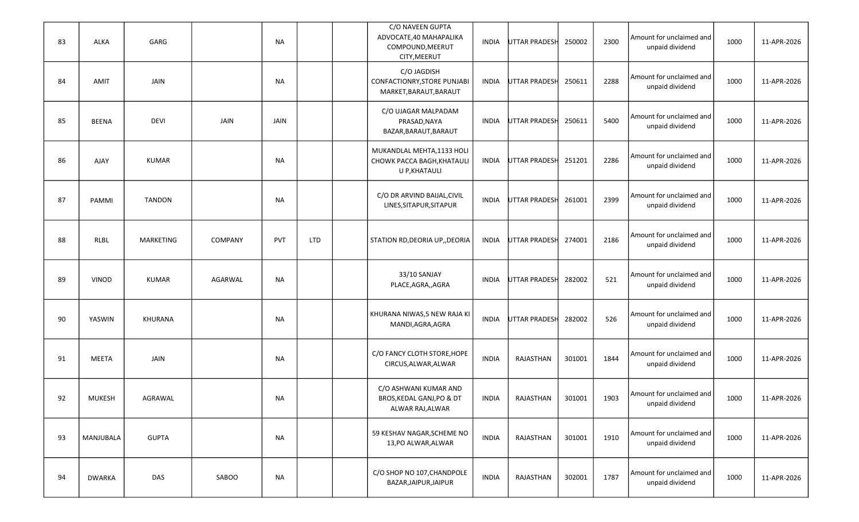| 83 | ALKA          | GARG             |                | NA        |            | C/O NAVEEN GUPTA<br>ADVOCATE, 40 MAHAPALIKA<br>COMPOUND, MEERUT<br>CITY, MEERUT | INDIA        | <b>UTTAR PRADESH</b> | 250002 | 2300 | Amount for unclaimed and<br>unpaid dividend | 1000 | 11-APR-2026 |
|----|---------------|------------------|----------------|-----------|------------|---------------------------------------------------------------------------------|--------------|----------------------|--------|------|---------------------------------------------|------|-------------|
| 84 | AMIT          | JAIN             |                | NA        |            | C/O JAGDISH<br>CONFACTIONRY, STORE PUNJABI<br>MARKET, BARAUT, BARAUT            | <b>INDIA</b> | UTTAR PRADESH        | 250611 | 2288 | Amount for unclaimed and<br>unpaid dividend | 1000 | 11-APR-2026 |
| 85 | <b>BEENA</b>  | <b>DEVI</b>      | JAIN           | JAIN      |            | C/O UJAGAR MALPADAM<br>PRASAD, NAYA<br>BAZAR, BARAUT, BARAUT                    | <b>INDIA</b> | <b>UTTAR PRADESH</b> | 250611 | 5400 | Amount for unclaimed and<br>unpaid dividend | 1000 | 11-APR-2026 |
| 86 | <b>AJAY</b>   | <b>KUMAR</b>     |                | NA        |            | MUKANDLAL MEHTA, 1133 HOLI<br>CHOWK PACCA BAGH, KHATAULI<br>U P, KHATAULI       | <b>INDIA</b> | UTTAR PRADESH        | 251201 | 2286 | Amount for unclaimed and<br>unpaid dividend | 1000 | 11-APR-2026 |
| 87 | PAMMI         | <b>TANDON</b>    |                | <b>NA</b> |            | C/O DR ARVIND BAIJAL, CIVIL<br>LINES, SITAPUR, SITAPUR                          | <b>INDIA</b> | UTTAR PRADESH        | 261001 | 2399 | Amount for unclaimed and<br>unpaid dividend | 1000 | 11-APR-2026 |
| 88 | RLBL          | <b>MARKETING</b> | <b>COMPANY</b> | PVT       | <b>LTD</b> | STATION RD, DEORIA UP, DEORIA                                                   | <b>INDIA</b> | UTTAR PRADESH        | 274001 | 2186 | Amount for unclaimed and<br>unpaid dividend | 1000 | 11-APR-2026 |
| 89 | <b>VINOD</b>  | <b>KUMAR</b>     | AGARWAL        | NA        |            | 33/10 SANJAY<br>PLACE, AGRA, , AGRA                                             | <b>INDIA</b> | <b>UTTAR PRADESH</b> | 282002 | 521  | Amount for unclaimed and<br>unpaid dividend | 1000 | 11-APR-2026 |
| 90 | YASWIN        | KHURANA          |                | NA        |            | KHURANA NIWAS,5 NEW RAJA KI<br>MANDI, AGRA, AGRA                                | <b>INDIA</b> | <b>UTTAR PRADESH</b> | 282002 | 526  | Amount for unclaimed and<br>unpaid dividend | 1000 | 11-APR-2026 |
| 91 | <b>MEETA</b>  | JAIN             |                | NA        |            | C/O FANCY CLOTH STORE, HOPE<br>CIRCUS, ALWAR, ALWAR                             | <b>INDIA</b> | RAJASTHAN            | 301001 | 1844 | Amount for unclaimed and<br>unpaid dividend | 1000 | 11-APR-2026 |
| 92 | <b>MUKESH</b> | AGRAWAL          |                | NA        |            | C/O ASHWANI KUMAR AND<br>BROS, KEDAL GANJ, PO & DT<br>ALWAR RAJ, ALWAR          | <b>INDIA</b> | RAJASTHAN            | 301001 | 1903 | Amount for unclaimed and<br>unpaid dividend | 1000 | 11-APR-2026 |
| 93 | MANJUBALA     | <b>GUPTA</b>     |                | NA        |            | 59 KESHAV NAGAR, SCHEME NO<br>13,PO ALWAR, ALWAR                                | <b>INDIA</b> | RAJASTHAN            | 301001 | 1910 | Amount for unclaimed and<br>unpaid dividend | 1000 | 11-APR-2026 |
| 94 | <b>DWARKA</b> | DAS              | SABOO          | <b>NA</b> |            | C/O SHOP NO 107, CHANDPOLE<br>BAZAR, JAIPUR, JAIPUR                             | <b>INDIA</b> | RAJASTHAN            | 302001 | 1787 | Amount for unclaimed and<br>unpaid dividend | 1000 | 11-APR-2026 |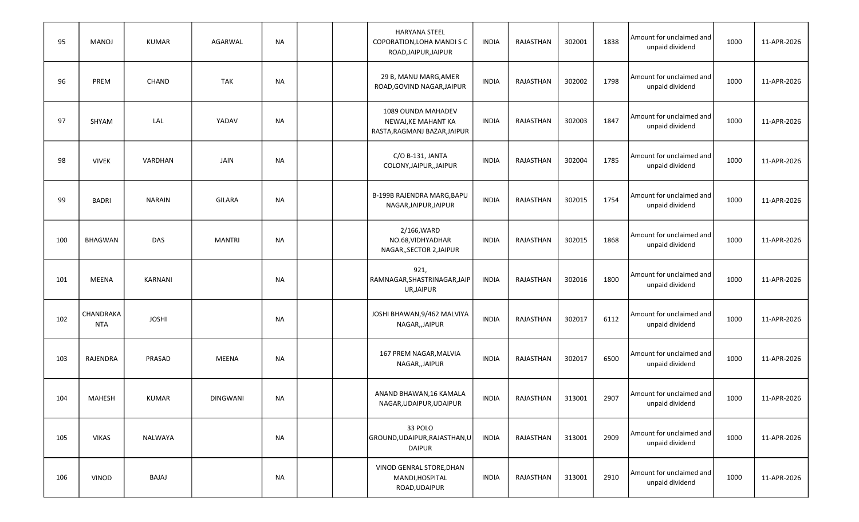| 95  | MANOJ                   | <b>KUMAR</b>  | AGARWAL         | <b>NA</b> |  | HARYANA STEEL<br>COPORATION, LOHA MANDISC<br>ROAD, JAIPUR, JAIPUR         | <b>INDIA</b> | RAJASTHAN        | 302001 | 1838 | Amount for unclaimed and<br>unpaid dividend | 1000 | 11-APR-2026 |
|-----|-------------------------|---------------|-----------------|-----------|--|---------------------------------------------------------------------------|--------------|------------------|--------|------|---------------------------------------------|------|-------------|
| 96  | PREM                    | CHAND         | <b>TAK</b>      | <b>NA</b> |  | 29 B, MANU MARG, AMER<br>ROAD, GOVIND NAGAR, JAIPUR                       | <b>INDIA</b> | RAJASTHAN        | 302002 | 1798 | Amount for unclaimed and<br>unpaid dividend | 1000 | 11-APR-2026 |
| 97  | SHYAM                   | LAL           | YADAV           | <b>NA</b> |  | 1089 OUNDA MAHADEV<br>NEWAJ, KE MAHANT KA<br>RASTA, RAGMANJ BAZAR, JAIPUR | <b>INDIA</b> | RAJASTHAN        | 302003 | 1847 | Amount for unclaimed and<br>unpaid dividend | 1000 | 11-APR-2026 |
| 98  | <b>VIVEK</b>            | VARDHAN       | <b>JAIN</b>     | <b>NA</b> |  | $C/O B-131$ , JANTA<br>COLONY, JAIPUR, , JAIPUR                           | <b>INDIA</b> | RAJASTHAN        | 302004 | 1785 | Amount for unclaimed and<br>unpaid dividend | 1000 | 11-APR-2026 |
| 99  | <b>BADRI</b>            | <b>NARAIN</b> | GILARA          | <b>NA</b> |  | B-199B RAJENDRA MARG, BAPU<br>NAGAR, JAIPUR, JAIPUR                       | <b>INDIA</b> | RAJASTHAN        | 302015 | 1754 | Amount for unclaimed and<br>unpaid dividend | 1000 | 11-APR-2026 |
| 100 | <b>BHAGWAN</b>          | <b>DAS</b>    | <b>MANTRI</b>   | <b>NA</b> |  | 2/166, WARD<br>NO.68, VIDHYADHAR<br>NAGAR,, SECTOR 2, JAIPUR              | <b>INDIA</b> | <b>RAJASTHAN</b> | 302015 | 1868 | Amount for unclaimed and<br>unpaid dividend | 1000 | 11-APR-2026 |
| 101 | MEENA                   | KARNANI       |                 | <b>NA</b> |  | 921,<br>RAMNAGAR, SHASTRINAGAR, JAIP<br>UR, JAIPUR                        | <b>INDIA</b> | RAJASTHAN        | 302016 | 1800 | Amount for unclaimed and<br>unpaid dividend | 1000 | 11-APR-2026 |
| 102 | CHANDRAKA<br><b>NTA</b> | <b>JOSHI</b>  |                 | <b>NA</b> |  | JOSHI BHAWAN, 9/462 MALVIYA<br>NAGAR,, JAIPUR                             | <b>INDIA</b> | RAJASTHAN        | 302017 | 6112 | Amount for unclaimed and<br>unpaid dividend | 1000 | 11-APR-2026 |
| 103 | RAJENDRA                | PRASAD        | MEENA           | <b>NA</b> |  | 167 PREM NAGAR, MALVIA<br>NAGAR,, JAIPUR                                  | <b>INDIA</b> | RAJASTHAN        | 302017 | 6500 | Amount for unclaimed and<br>unpaid dividend | 1000 | 11-APR-2026 |
| 104 | MAHESH                  | <b>KUMAR</b>  | <b>DINGWANI</b> | NA        |  | ANAND BHAWAN, 16 KAMALA<br>NAGAR, UDAIPUR, UDAIPUR                        | <b>INDIA</b> | RAJASTHAN        | 313001 | 2907 | Amount for unclaimed and<br>unpaid dividend | 1000 | 11-APR-2026 |
| 105 | <b>VIKAS</b>            | NALWAYA       |                 | <b>NA</b> |  | 33 POLO<br>GROUND, UDAIPUR, RAJASTHAN, U<br><b>DAIPUR</b>                 | <b>INDIA</b> | RAJASTHAN        | 313001 | 2909 | Amount for unclaimed and<br>unpaid dividend | 1000 | 11-APR-2026 |
| 106 | VINOD                   | <b>BAJAJ</b>  |                 | <b>NA</b> |  | VINOD GENRAL STORE, DHAN<br>MANDI, HOSPITAL<br>ROAD, UDAIPUR              | <b>INDIA</b> | RAJASTHAN        | 313001 | 2910 | Amount for unclaimed and<br>unpaid dividend | 1000 | 11-APR-2026 |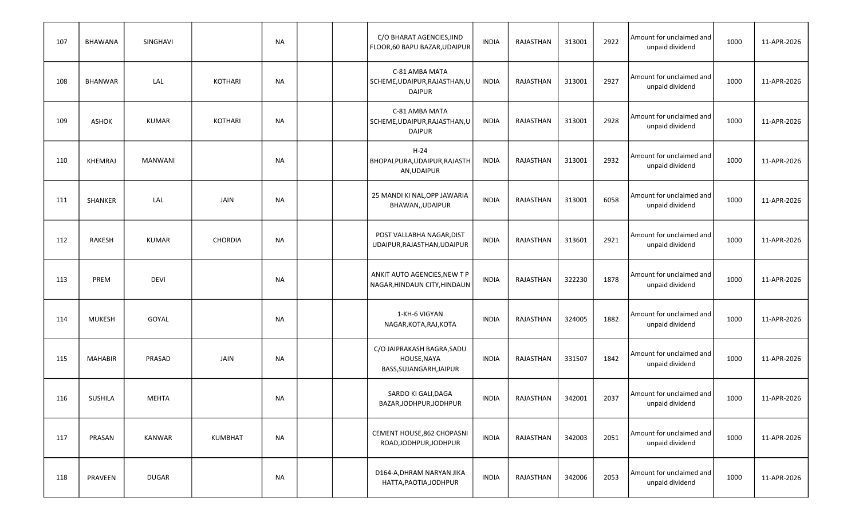| 107 | <b>BHAWANA</b> | SINGHAVI       |                | NA        |  | C/O BHARAT AGENCIES, IIND<br>FLOOR, 60 BAPU BAZAR, UDAIPUR           | <b>INDIA</b> | RAJASTHAN        | 313001 | 2922 | Amount for unclaimed and<br>unpaid dividend | 1000 | 11-APR-2026 |
|-----|----------------|----------------|----------------|-----------|--|----------------------------------------------------------------------|--------------|------------------|--------|------|---------------------------------------------|------|-------------|
| 108 | <b>BHANWAR</b> | LAL            | <b>KOTHARI</b> | NA        |  | C-81 AMBA MATA<br>SCHEME, UDAIPUR, RAJASTHAN, U<br><b>DAIPUR</b>     | <b>INDIA</b> | RAJASTHAN        | 313001 | 2927 | Amount for unclaimed and<br>unpaid dividend | 1000 | 11-APR-2026 |
| 109 | <b>ASHOK</b>   | <b>KUMAR</b>   | <b>KOTHARI</b> | NA        |  | C-81 AMBA MATA<br>SCHEME, UDAIPUR, RAJASTHAN, U<br><b>DAIPUR</b>     | <b>INDIA</b> | RAJASTHAN        | 313001 | 2928 | Amount for unclaimed and<br>unpaid dividend | 1000 | 11-APR-2026 |
| 110 | KHEMRAJ        | <b>MANWANI</b> |                | NA        |  | $H-24$<br>BHOPALPURA, UDAIPUR, RAJASTH<br>AN, UDAIPUR                | <b>INDIA</b> | RAJASTHAN        | 313001 | 2932 | Amount for unclaimed and<br>unpaid dividend | 1000 | 11-APR-2026 |
| 111 | SHANKER        | LAL            | JAIN           | <b>NA</b> |  | 25 MANDI KI NAL, OPP JAWARIA<br>BHAWAN,, UDAIPUR                     | <b>INDIA</b> | RAJASTHAN        | 313001 | 6058 | Amount for unclaimed and<br>unpaid dividend | 1000 | 11-APR-2026 |
| 112 | RAKESH         | <b>KUMAR</b>   | <b>CHORDIA</b> | <b>NA</b> |  | POST VALLABHA NAGAR, DIST<br>UDAIPUR, RAJASTHAN, UDAIPUR             | <b>INDIA</b> | <b>RAJASTHAN</b> | 313601 | 2921 | Amount for unclaimed and<br>unpaid dividend | 1000 | 11-APR-2026 |
| 113 | PREM           | <b>DEVI</b>    |                | <b>NA</b> |  | ANKIT AUTO AGENCIES, NEW T P<br>NAGAR, HINDAUN CITY, HINDAUN         | <b>INDIA</b> | RAJASTHAN        | 322230 | 1878 | Amount for unclaimed and<br>unpaid dividend | 1000 | 11-APR-2026 |
| 114 | <b>MUKESH</b>  | GOYAL          |                | <b>NA</b> |  | 1-KH-6 VIGYAN<br>NAGAR, KOTA, RAJ, KOTA                              | <b>INDIA</b> | RAJASTHAN        | 324005 | 1882 | Amount for unclaimed and<br>unpaid dividend | 1000 | 11-APR-2026 |
| 115 | <b>MAHABIR</b> | PRASAD         | JAIN           | NA        |  | C/O JAIPRAKASH BAGRA, SADU<br>HOUSE, NAYA<br>BASS, SUJANGARH, JAIPUR | <b>INDIA</b> | RAJASTHAN        | 331507 | 1842 | Amount for unclaimed and<br>unpaid dividend | 1000 | 11-APR-2026 |
| 116 | <b>SUSHILA</b> | <b>MEHTA</b>   |                | NA        |  | SARDO KI GALI, DAGA<br>BAZAR, JODHPUR, JODHPUR                       | INDIA        | RAJASTHAN        | 342001 | 2037 | Amount for unclaimed and<br>unpaid dividend | 1000 | 11-APR-2026 |
| 117 | PRASAN         | KANWAR         | <b>KUMBHAT</b> | <b>NA</b> |  | CEMENT HOUSE, 862 CHOPASNI<br>ROAD, JODHPUR, JODHPUR                 | INDIA        | RAJASTHAN        | 342003 | 2051 | Amount for unclaimed and<br>unpaid dividend | 1000 | 11-APR-2026 |
| 118 | PRAVEEN        | DUGAR          |                | <b>NA</b> |  | D164-A, DHRAM NARYAN JIKA<br>HATTA, PAOTIA, JODHPUR                  | <b>INDIA</b> | RAJASTHAN        | 342006 | 2053 | Amount for unclaimed and<br>unpaid dividend | 1000 | 11-APR-2026 |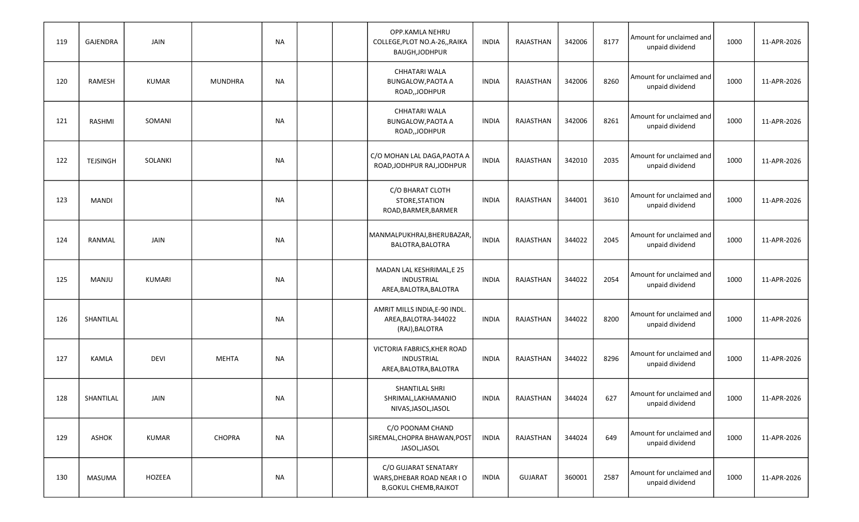| 119 | GAJENDRA        | JAIN         |                | NA        |  | OPP.KAMLA NEHRU<br>COLLEGE, PLOT NO.A-26,, RAIKA<br>BAUGH, JODHPUR                 | <b>INDIA</b> | RAJASTHAN      | 342006 | 8177 | Amount for unclaimed and<br>unpaid dividend | 1000 | 11-APR-2026 |
|-----|-----------------|--------------|----------------|-----------|--|------------------------------------------------------------------------------------|--------------|----------------|--------|------|---------------------------------------------|------|-------------|
| 120 | <b>RAMESH</b>   | <b>KUMAR</b> | <b>MUNDHRA</b> | <b>NA</b> |  | CHHATARI WALA<br><b>BUNGALOW, PAOTA A</b><br>ROAD,,JODHPUR                         | <b>INDIA</b> | RAJASTHAN      | 342006 | 8260 | Amount for unclaimed and<br>unpaid dividend | 1000 | 11-APR-2026 |
| 121 | RASHMI          | SOMANI       |                | NA        |  | CHHATARI WALA<br><b>BUNGALOW, PAOTA A</b><br>ROAD, JODHPUR                         | <b>INDIA</b> | RAJASTHAN      | 342006 | 8261 | Amount for unclaimed and<br>unpaid dividend | 1000 | 11-APR-2026 |
| 122 | <b>TEJSINGH</b> | SOLANKI      |                | NA        |  | C/O MOHAN LAL DAGA, PAOTA A<br>ROAD, JODHPUR RAJ, JODHPUR                          | <b>INDIA</b> | RAJASTHAN      | 342010 | 2035 | Amount for unclaimed and<br>unpaid dividend | 1000 | 11-APR-2026 |
| 123 | <b>MANDI</b>    |              |                | <b>NA</b> |  | C/O BHARAT CLOTH<br>STORE, STATION<br>ROAD, BARMER, BARMER                         | <b>INDIA</b> | RAJASTHAN      | 344001 | 3610 | Amount for unclaimed and<br>unpaid dividend | 1000 | 11-APR-2026 |
| 124 | RANMAL          | JAIN         |                | NA        |  | MANMALPUKHRAJ, BHERUBAZAR,<br>BALOTRA, BALOTRA                                     | <b>INDIA</b> | RAJASTHAN      | 344022 | 2045 | Amount for unclaimed and<br>unpaid dividend | 1000 | 11-APR-2026 |
| 125 | MANJU           | KUMARI       |                | NA        |  | MADAN LAL KESHRIMAL, E 25<br>INDUSTRIAL<br>AREA, BALOTRA, BALOTRA                  | <b>INDIA</b> | RAJASTHAN      | 344022 | 2054 | Amount for unclaimed and<br>unpaid dividend | 1000 | 11-APR-2026 |
| 126 | SHANTILAL       |              |                | NA        |  | AMRIT MILLS INDIA, E-90 INDL.<br>AREA, BALOTRA-344022<br>(RAJ), BALOTRA            | <b>INDIA</b> | RAJASTHAN      | 344022 | 8200 | Amount for unclaimed and<br>unpaid dividend | 1000 | 11-APR-2026 |
| 127 | <b>KAMLA</b>    | <b>DEVI</b>  | <b>MEHTA</b>   | NA        |  | VICTORIA FABRICS, KHER ROAD<br>INDUSTRIAL<br>AREA, BALOTRA, BALOTRA                | <b>INDIA</b> | RAJASTHAN      | 344022 | 8296 | Amount for unclaimed and<br>unpaid dividend | 1000 | 11-APR-2026 |
| 128 | SHANTILAL       | JAIN         |                | <b>NA</b> |  | SHANTILAL SHRI<br>SHRIMAL, LAKHAMANIO<br>NIVAS, JASOL, JASOL                       | <b>INDIA</b> | RAJASTHAN      | 344024 | 627  | Amount for unclaimed and<br>unpaid dividend | 1000 | 11-APR-2026 |
| 129 | ASHOK           | <b>KUMAR</b> | CHOPRA         | <b>NA</b> |  | C/O POONAM CHAND<br>SIREMAL, CHOPRA BHAWAN, POST<br>JASOL, JASOL                   | INDIA        | RAJASTHAN      | 344024 | 649  | Amount for unclaimed and<br>unpaid dividend | 1000 | 11-APR-2026 |
| 130 | MASUMA          | HOZEEA       |                | <b>NA</b> |  | C/O GUJARAT SENATARY<br>WARS, DHEBAR ROAD NEAR IO<br><b>B, GOKUL CHEMB, RAJKOT</b> | INDIA        | <b>GUJARAT</b> | 360001 | 2587 | Amount for unclaimed and<br>unpaid dividend | 1000 | 11-APR-2026 |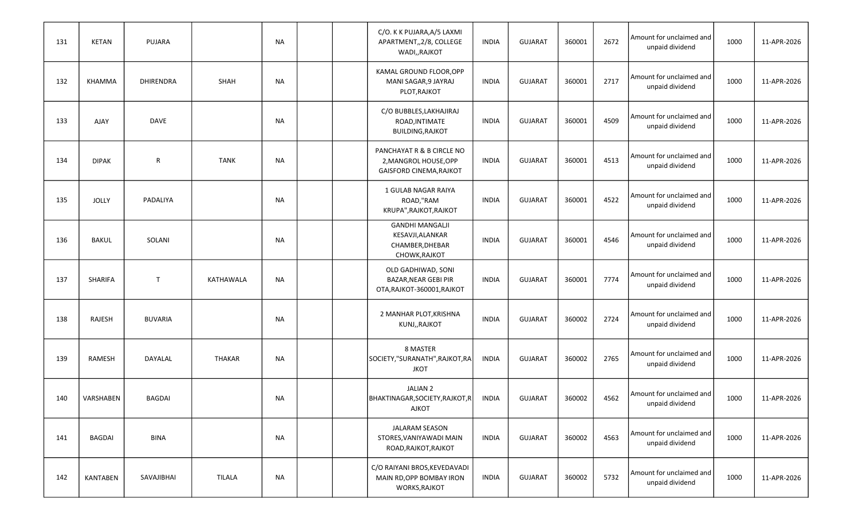| 131 | <b>KETAN</b>   | PUJARA         |               | NA        |  | C/O. K K PUJARA, A/5 LAXMI<br>APARTMENT,,2/8, COLLEGE<br>WADI,, RAJKOT          | <b>INDIA</b> | <b>GUJARAT</b> | 360001 | 2672 | Amount for unclaimed and<br>unpaid dividend | 1000 | 11-APR-2026 |
|-----|----------------|----------------|---------------|-----------|--|---------------------------------------------------------------------------------|--------------|----------------|--------|------|---------------------------------------------|------|-------------|
| 132 | KHAMMA         | DHIRENDRA      | SHAH          | <b>NA</b> |  | KAMAL GROUND FLOOR, OPP<br>MANI SAGAR, 9 JAYRAJ<br>PLOT, RAJKOT                 | <b>INDIA</b> | <b>GUJARAT</b> | 360001 | 2717 | Amount for unclaimed and<br>unpaid dividend | 1000 | 11-APR-2026 |
| 133 | AJAY           | <b>DAVE</b>    |               | NA        |  | C/O BUBBLES, LAKHAJIRAJ<br>ROAD, INTIMATE<br><b>BUILDING, RAJKOT</b>            | <b>INDIA</b> | <b>GUJARAT</b> | 360001 | 4509 | Amount for unclaimed and<br>unpaid dividend | 1000 | 11-APR-2026 |
| 134 | <b>DIPAK</b>   | $\mathsf{R}$   | <b>TANK</b>   | <b>NA</b> |  | PANCHAYAT R & B CIRCLE NO<br>2, MANGROL HOUSE, OPP<br>GAISFORD CINEMA, RAJKOT   | <b>INDIA</b> | <b>GUJARAT</b> | 360001 | 4513 | Amount for unclaimed and<br>unpaid dividend | 1000 | 11-APR-2026 |
| 135 | <b>JOLLY</b>   | PADALIYA       |               | <b>NA</b> |  | 1 GULAB NAGAR RAIYA<br>ROAD,"RAM<br>KRUPA", RAJKOT, RAJKOT                      | <b>INDIA</b> | <b>GUJARAT</b> | 360001 | 4522 | Amount for unclaimed and<br>unpaid dividend | 1000 | 11-APR-2026 |
| 136 | <b>BAKUL</b>   | SOLANI         |               | <b>NA</b> |  | <b>GANDHI MANGALJI</b><br>KESAVJI, ALANKAR<br>CHAMBER, DHEBAR<br>CHOWK, RAJKOT  | <b>INDIA</b> | <b>GUJARAT</b> | 360001 | 4546 | Amount for unclaimed and<br>unpaid dividend | 1000 | 11-APR-2026 |
| 137 | <b>SHARIFA</b> | $\mathsf{T}$   | KATHAWALA     | <b>NA</b> |  | OLD GADHIWAD, SONI<br><b>BAZAR, NEAR GEBI PIR</b><br>OTA, RAJKOT-360001, RAJKOT | <b>INDIA</b> | <b>GUJARAT</b> | 360001 | 7774 | Amount for unclaimed and<br>unpaid dividend | 1000 | 11-APR-2026 |
| 138 | RAJESH         | <b>BUVARIA</b> |               | <b>NA</b> |  | 2 MANHAR PLOT, KRISHNA<br>KUNJ,, RAJKOT                                         | <b>INDIA</b> | <b>GUJARAT</b> | 360002 | 2724 | Amount for unclaimed and<br>unpaid dividend | 1000 | 11-APR-2026 |
| 139 | RAMESH         | DAYALAL        | <b>THAKAR</b> | NA        |  | 8 MASTER<br>SOCIETY,"SURANATH", RAJKOT, RA<br>JKOT                              | <b>INDIA</b> | <b>GUJARAT</b> | 360002 | 2765 | Amount for unclaimed and<br>unpaid dividend | 1000 | 11-APR-2026 |
| 140 | VARSHABEN      | <b>BAGDAI</b>  |               | NA        |  | JALIAN 2<br>BHAKTINAGAR, SOCIETY, RAJKOT, R<br>AJKOT                            | <b>INDIA</b> | <b>GUJARAT</b> | 360002 | 4562 | Amount for unclaimed and<br>unpaid dividend | 1000 | 11-APR-2026 |
| 141 | BAGDAI         | <b>BINA</b>    |               | NA        |  | JALARAM SEASON<br>STORES, VANIYAWADI MAIN<br>ROAD, RAJKOT, RAJKOT               | <b>INDIA</b> | <b>GUJARAT</b> | 360002 | 4563 | Amount for unclaimed and<br>unpaid dividend | 1000 | 11-APR-2026 |
| 142 | KANTABEN       | SAVAJIBHAI     | <b>TILALA</b> | <b>NA</b> |  | C/O RAIYANI BROS, KEVEDAVADI<br>MAIN RD, OPP BOMBAY IRON<br>WORKS, RAJKOT       | <b>INDIA</b> | <b>GUJARAT</b> | 360002 | 5732 | Amount for unclaimed and<br>unpaid dividend | 1000 | 11-APR-2026 |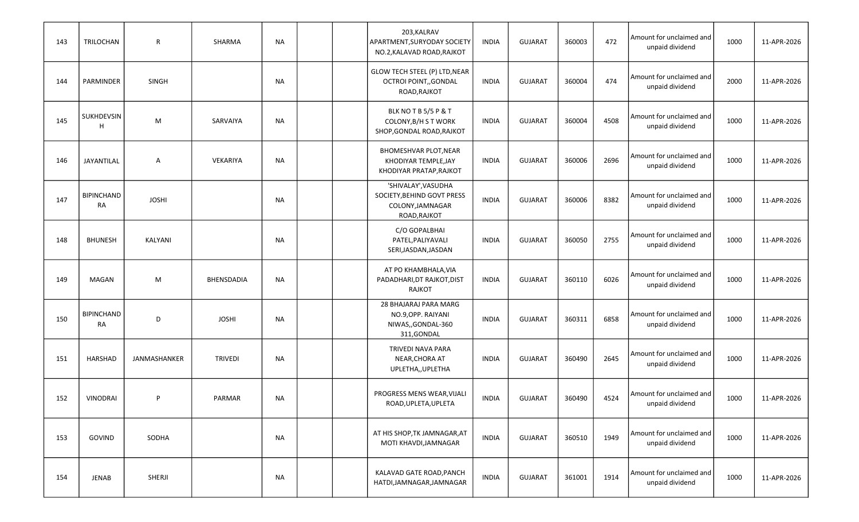| 143 | TRILOCHAN                      | R            | SHARMA         | NA        |  | 203, KALRAV<br>APARTMENT, SURYODAY SOCIETY<br>NO.2, KALAVAD ROAD, RAJKOT              | <b>INDIA</b> | <b>GUJARAT</b> | 360003 | 472  | Amount for unclaimed and<br>unpaid dividend | 1000 | 11-APR-2026 |
|-----|--------------------------------|--------------|----------------|-----------|--|---------------------------------------------------------------------------------------|--------------|----------------|--------|------|---------------------------------------------|------|-------------|
| 144 | PARMINDER                      | SINGH        |                | NA        |  | GLOW TECH STEEL (P) LTD, NEAR<br>OCTROI POINT,, GONDAL<br>ROAD, RAJKOT                | <b>INDIA</b> | <b>GUJARAT</b> | 360004 | 474  | Amount for unclaimed and<br>unpaid dividend | 2000 | 11-APR-2026 |
| 145 | SUKHDEVSIN<br>H                | M            | SARVAIYA       | NA        |  | BLK NOTB5/5P&T<br>COLONY, B/H S T WORK<br>SHOP, GONDAL ROAD, RAJKOT                   | <b>INDIA</b> | <b>GUJARAT</b> | 360004 | 4508 | Amount for unclaimed and<br>unpaid dividend | 1000 | 11-APR-2026 |
| 146 | JAYANTILAL                     | Α            | VEKARIYA       | <b>NA</b> |  | BHOMESHVAR PLOT, NEAR<br>KHODIYAR TEMPLE, JAY<br>KHODIYAR PRATAP, RAJKOT              | <b>INDIA</b> | <b>GUJARAT</b> | 360006 | 2696 | Amount for unclaimed and<br>unpaid dividend | 1000 | 11-APR-2026 |
| 147 | <b>BIPINCHAND</b><br><b>RA</b> | <b>JOSHI</b> |                | NA        |  | 'SHIVALAY', VASUDHA<br>SOCIETY, BEHIND GOVT PRESS<br>COLONY, JAMNAGAR<br>ROAD, RAJKOT | <b>INDIA</b> | <b>GUJARAT</b> | 360006 | 8382 | Amount for unclaimed and<br>unpaid dividend | 1000 | 11-APR-2026 |
| 148 | <b>BHUNESH</b>                 | KALYANI      |                | NA        |  | C/O GOPALBHAI<br>PATEL, PALIYAVALI<br>SERI, JASDAN, JASDAN                            | <b>INDIA</b> | <b>GUJARAT</b> | 360050 | 2755 | Amount for unclaimed and<br>unpaid dividend | 1000 | 11-APR-2026 |
| 149 | MAGAN                          | M            | BHENSDADIA     | NA        |  | AT PO KHAMBHALA, VIA<br>PADADHARI, DT RAJKOT, DIST<br><b>RAJKOT</b>                   | <b>INDIA</b> | <b>GUJARAT</b> | 360110 | 6026 | Amount for unclaimed and<br>unpaid dividend | 1000 | 11-APR-2026 |
| 150 | <b>BIPINCHAND</b><br>RA        | D            | <b>JOSHI</b>   | NA        |  | 28 BHAJARAJ PARA MARG<br>NO.9, OPP. RAIYANI<br>NIWAS,, GONDAL-360<br>311, GONDAL      | <b>INDIA</b> | <b>GUJARAT</b> | 360311 | 6858 | Amount for unclaimed and<br>unpaid dividend | 1000 | 11-APR-2026 |
| 151 | HARSHAD                        | JANMASHANKER | <b>TRIVEDI</b> | NA        |  | TRIVEDI NAVA PARA<br>NEAR, CHORA AT<br>UPLETHA,, UPLETHA                              | <b>INDIA</b> | <b>GUJARAT</b> | 360490 | 2645 | Amount for unclaimed and<br>unpaid dividend | 1000 | 11-APR-2026 |
| 152 | <b>VINODRAI</b>                | P            | PARMAR         | <b>NA</b> |  | PROGRESS MENS WEAR, VIJALI<br>ROAD, UPLETA, UPLETA                                    | <b>INDIA</b> | <b>GUJARAT</b> | 360490 | 4524 | Amount for unclaimed and<br>unpaid dividend | 1000 | 11-APR-2026 |
| 153 | GOVIND                         | SODHA        |                | <b>NA</b> |  | AT HIS SHOP, TK JAMNAGAR, AT<br>MOTI KHAVDI, JAMNAGAR                                 | <b>INDIA</b> | <b>GUJARAT</b> | 360510 | 1949 | Amount for unclaimed and<br>unpaid dividend | 1000 | 11-APR-2026 |
| 154 | JENAB                          | SHERJI       |                | NA        |  | KALAVAD GATE ROAD, PANCH<br>HATDI, JAMNAGAR, JAMNAGAR                                 | INDIA        | <b>GUJARAT</b> | 361001 | 1914 | Amount for unclaimed and<br>unpaid dividend | 1000 | 11-APR-2026 |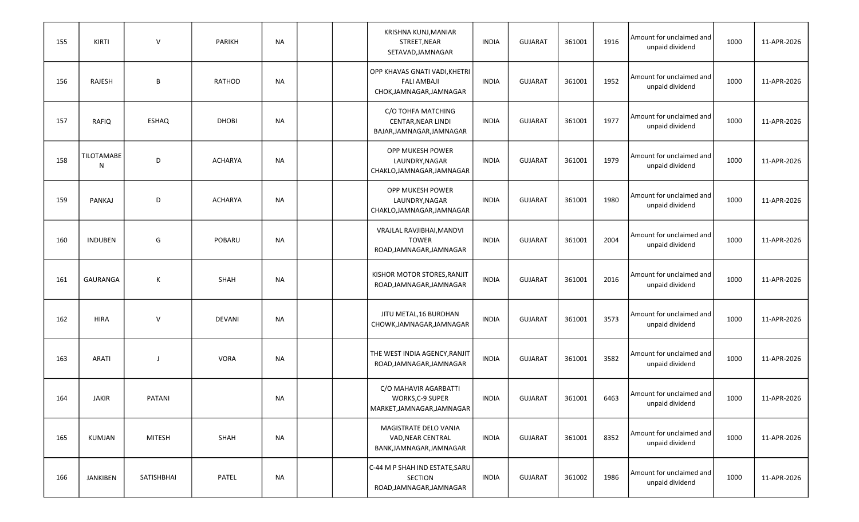| 155 | <b>KIRTI</b>           | $\vee$        | PARIKH         | NA        |  | KRISHNA KUNJ, MANIAR<br>STREET, NEAR<br>SETAVAD, JAMNAGAR                       | <b>INDIA</b> | <b>GUJARAT</b> | 361001 | 1916 | Amount for unclaimed and<br>unpaid dividend | 1000 | 11-APR-2026 |
|-----|------------------------|---------------|----------------|-----------|--|---------------------------------------------------------------------------------|--------------|----------------|--------|------|---------------------------------------------|------|-------------|
| 156 | RAJESH                 | B             | RATHOD         | NA        |  | OPP KHAVAS GNATI VADI, KHETRI<br><b>FALI AMBAJI</b><br>CHOK, JAMNAGAR, JAMNAGAR | <b>INDIA</b> | <b>GUJARAT</b> | 361001 | 1952 | Amount for unclaimed and<br>unpaid dividend | 1000 | 11-APR-2026 |
| 157 | RAFIQ                  | ESHAQ         | <b>DHOBI</b>   | NA        |  | C/O TOHFA MATCHING<br>CENTAR, NEAR LINDI<br>BAJAR, JAMNAGAR, JAMNAGAR           | <b>INDIA</b> | <b>GUJARAT</b> | 361001 | 1977 | Amount for unclaimed and<br>unpaid dividend | 1000 | 11-APR-2026 |
| 158 | <b>TILOTAMABE</b><br>N | D             | ACHARYA        | NA        |  | OPP MUKESH POWER<br>LAUNDRY, NAGAR<br>CHAKLO, JAMNAGAR, JAMNAGAR                | <b>INDIA</b> | <b>GUJARAT</b> | 361001 | 1979 | Amount for unclaimed and<br>unpaid dividend | 1000 | 11-APR-2026 |
| 159 | <b>PANKAJ</b>          | D             | <b>ACHARYA</b> | NA        |  | OPP MUKESH POWER<br>LAUNDRY, NAGAR<br>CHAKLO, JAMNAGAR, JAMNAGAR                | <b>INDIA</b> | <b>GUJARAT</b> | 361001 | 1980 | Amount for unclaimed and<br>unpaid dividend | 1000 | 11-APR-2026 |
| 160 | <b>INDUBEN</b>         | G             | <b>POBARU</b>  | NA        |  | VRAJLAL RAVJIBHAI, MANDVI<br><b>TOWER</b><br>ROAD, JAMNAGAR, JAMNAGAR           | <b>INDIA</b> | <b>GUJARAT</b> | 361001 | 2004 | Amount for unclaimed and<br>unpaid dividend | 1000 | 11-APR-2026 |
| 161 | GAURANGA               | К             | <b>SHAH</b>    | NA        |  | KISHOR MOTOR STORES, RANJIT<br>ROAD, JAMNAGAR, JAMNAGAR                         | <b>INDIA</b> | <b>GUJARAT</b> | 361001 | 2016 | Amount for unclaimed and<br>unpaid dividend | 1000 | 11-APR-2026 |
| 162 | <b>HIRA</b>            | $\mathsf{V}$  | <b>DEVANI</b>  | NA        |  | JITU METAL, 16 BURDHAN<br>CHOWK, JAMNAGAR, JAMNAGAR                             | <b>INDIA</b> | <b>GUJARAT</b> | 361001 | 3573 | Amount for unclaimed and<br>unpaid dividend | 1000 | 11-APR-2026 |
| 163 | <b>ARATI</b>           | J             | <b>VORA</b>    | NA        |  | THE WEST INDIA AGENCY, RANJIT<br>ROAD, JAMNAGAR, JAMNAGAR                       | <b>INDIA</b> | <b>GUJARAT</b> | 361001 | 3582 | Amount for unclaimed and<br>unpaid dividend | 1000 | 11-APR-2026 |
| 164 | <b>JAKIR</b>           | <b>PATANI</b> |                | <b>NA</b> |  | C/O MAHAVIR AGARBATTI<br><b>WORKS, C-9 SUPER</b><br>MARKET, JAMNAGAR, JAMNAGAR  | <b>INDIA</b> | <b>GUJARAT</b> | 361001 | 6463 | Amount for unclaimed and<br>unpaid dividend | 1000 | 11-APR-2026 |
| 165 | KUMJAN                 | <b>MITESH</b> | SHAH           | <b>NA</b> |  | MAGISTRATE DELO VANIA<br>VAD, NEAR CENTRAL<br>BANK, JAMNAGAR, JAMNAGAR          | <b>INDIA</b> | <b>GUJARAT</b> | 361001 | 8352 | Amount for unclaimed and<br>unpaid dividend | 1000 | 11-APR-2026 |
| 166 | JANKIBEN               | SATISHBHAI    | PATEL          | <b>NA</b> |  | C-44 M P SHAH IND ESTATE, SARU<br>SECTION<br>ROAD, JAMNAGAR, JAMNAGAR           | <b>INDIA</b> | GUJARAT        | 361002 | 1986 | Amount for unclaimed and<br>unpaid dividend | 1000 | 11-APR-2026 |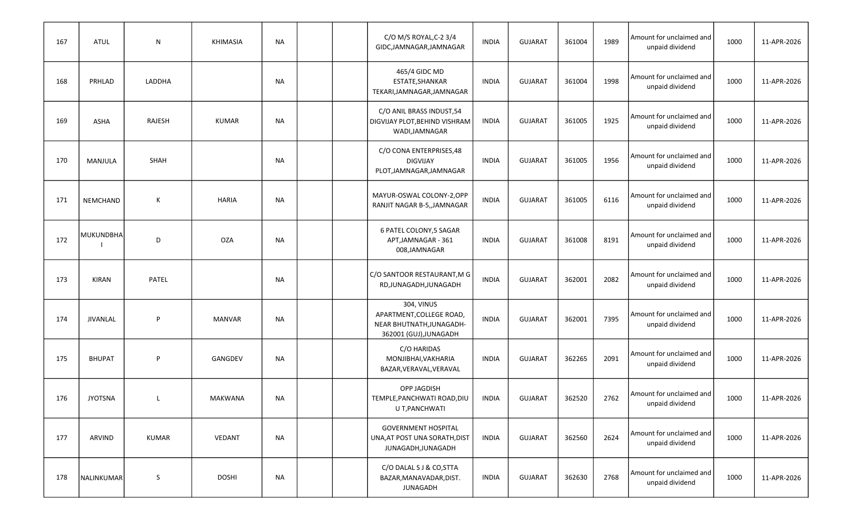| 167 | <b>ATUL</b>      | N      | <b>KHIMASIA</b> | NA        |  | C/O M/S ROYAL, C-2 3/4<br>GIDC, JAMNAGAR, JAMNAGAR                                           | <b>INDIA</b> | <b>GUJARAT</b> | 361004 | 1989 | Amount for unclaimed and<br>unpaid dividend | 1000 | 11-APR-2026 |
|-----|------------------|--------|-----------------|-----------|--|----------------------------------------------------------------------------------------------|--------------|----------------|--------|------|---------------------------------------------|------|-------------|
| 168 | PRHLAD           | LADDHA |                 | NA        |  | 465/4 GIDC MD<br>ESTATE, SHANKAR<br>TEKARI, JAMNAGAR, JAMNAGAR                               | <b>INDIA</b> | <b>GUJARAT</b> | 361004 | 1998 | Amount for unclaimed and<br>unpaid dividend | 1000 | 11-APR-2026 |
| 169 | <b>ASHA</b>      | RAJESH | <b>KUMAR</b>    | NA        |  | C/O ANIL BRASS INDUST, 54<br>DIGVIJAY PLOT, BEHIND VISHRAM<br>WADI, JAMNAGAR                 | <b>INDIA</b> | <b>GUJARAT</b> | 361005 | 1925 | Amount for unclaimed and<br>unpaid dividend | 1000 | 11-APR-2026 |
| 170 | MANJULA          | SHAH   |                 | NA        |  | C/O CONA ENTERPRISES, 48<br><b>DIGVIJAY</b><br>PLOT, JAMNAGAR, JAMNAGAR                      | <b>INDIA</b> | <b>GUJARAT</b> | 361005 | 1956 | Amount for unclaimed and<br>unpaid dividend | 1000 | 11-APR-2026 |
| 171 | NEMCHAND         | К      | HARIA           | <b>NA</b> |  | MAYUR-OSWAL COLONY-2,OPP<br>RANJIT NAGAR B-5,, JAMNAGAR                                      | <b>INDIA</b> | <b>GUJARAT</b> | 361005 | 6116 | Amount for unclaimed and<br>unpaid dividend | 1000 | 11-APR-2026 |
| 172 | <b>MUKUNDBHA</b> | D      | <b>OZA</b>      | NA        |  | 6 PATEL COLONY,5 SAGAR<br>APT, JAMNAGAR - 361<br>008,JAMNAGAR                                | <b>INDIA</b> | <b>GUJARAT</b> | 361008 | 8191 | Amount for unclaimed and<br>unpaid dividend | 1000 | 11-APR-2026 |
| 173 | <b>KIRAN</b>     | PATEL  |                 | NA        |  | C/O SANTOOR RESTAURANT, M G<br>RD, JUNAGADH, JUNAGADH                                        | <b>INDIA</b> | <b>GUJARAT</b> | 362001 | 2082 | Amount for unclaimed and<br>unpaid dividend | 1000 | 11-APR-2026 |
| 174 | <b>JIVANLAL</b>  | P      | <b>MANVAR</b>   | NA        |  | 304, VINUS<br>APARTMENT, COLLEGE ROAD,<br>NEAR BHUTNATH, JUNAGADH-<br>362001 (GUJ), JUNAGADH | <b>INDIA</b> | <b>GUJARAT</b> | 362001 | 7395 | Amount for unclaimed and<br>unpaid dividend | 1000 | 11-APR-2026 |
| 175 | <b>BHUPAT</b>    | P      | GANGDEV         | NA        |  | C/O HARIDAS<br>MONJIBHAI, VAKHARIA<br>BAZAR, VERAVAL, VERAVAL                                | <b>INDIA</b> | <b>GUJARAT</b> | 362265 | 2091 | Amount for unclaimed and<br>unpaid dividend | 1000 | 11-APR-2026 |
| 176 | <b>JYOTSNA</b>   | L      | MAKWANA         | NA        |  | <b>OPP JAGDISH</b><br>TEMPLE, PANCHWATI ROAD, DIU<br>U T, PANCHWATI                          | <b>INDIA</b> | <b>GUJARAT</b> | 362520 | 2762 | Amount for unclaimed and<br>unpaid dividend | 1000 | 11-APR-2026 |
| 177 | ARVIND           | KUMAR  | VEDANT          | <b>NA</b> |  | <b>GOVERNMENT HOSPITAL</b><br>UNA, AT POST UNA SORATH, DIST<br>JUNAGADH, JUNAGADH            | <b>INDIA</b> | <b>GUJARAT</b> | 362560 | 2624 | Amount for unclaimed and<br>unpaid dividend | 1000 | 11-APR-2026 |
| 178 | NALINKUMAR       | S      | <b>DOSHI</b>    | <b>NA</b> |  | C/O DALAL S J & CO, STTA<br>BAZAR, MANAVADAR, DIST.<br>JUNAGADH                              | INDIA        | <b>GUJARAT</b> | 362630 | 2768 | Amount for unclaimed and<br>unpaid dividend | 1000 | 11-APR-2026 |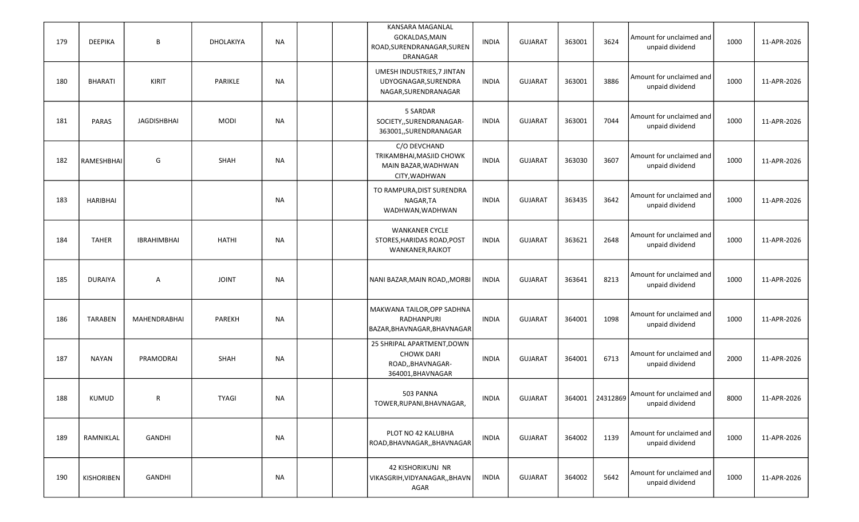| 179 | <b>DEEPIKA</b>  | B                  | DHOLAKIYA    | <b>NA</b> |  | KANSARA MAGANLAL<br>GOKALDAS, MAIN<br>ROAD, SURENDRANAGAR, SUREN<br>DRANAGAR              | <b>INDIA</b> | <b>GUJARAT</b> | 363001 | 3624            | Amount for unclaimed and<br>unpaid dividend | 1000 | 11-APR-2026 |
|-----|-----------------|--------------------|--------------|-----------|--|-------------------------------------------------------------------------------------------|--------------|----------------|--------|-----------------|---------------------------------------------|------|-------------|
| 180 | <b>BHARATI</b>  | KIRIT              | PARIKLE      | <b>NA</b> |  | UMESH INDUSTRIES, 7 JINTAN<br>UDYOGNAGAR, SURENDRA<br>NAGAR, SURENDRANAGAR                | <b>INDIA</b> | <b>GUJARAT</b> | 363001 | 3886            | Amount for unclaimed and<br>unpaid dividend | 1000 | 11-APR-2026 |
| 181 | <b>PARAS</b>    | JAGDISHBHAI        | <b>MODI</b>  | <b>NA</b> |  | 5 SARDAR<br>SOCIETY,, SURENDRANAGAR-<br>363001,,SURENDRANAGAR                             | <b>INDIA</b> | <b>GUJARAT</b> | 363001 | 7044            | Amount for unclaimed and<br>unpaid dividend | 1000 | 11-APR-2026 |
| 182 | RAMESHBHAI      | G                  | SHAH         | <b>NA</b> |  | C/O DEVCHAND<br>TRIKAMBHAI, MASJID CHOWK<br>MAIN BAZAR, WADHWAN<br>CITY, WADHWAN          | <b>INDIA</b> | <b>GUJARAT</b> | 363030 | 3607            | Amount for unclaimed and<br>unpaid dividend | 1000 | 11-APR-2026 |
| 183 | <b>HARIBHAI</b> |                    |              | <b>NA</b> |  | TO RAMPURA, DIST SURENDRA<br>NAGAR, TA<br>WADHWAN, WADHWAN                                | <b>INDIA</b> | <b>GUJARAT</b> | 363435 | 3642            | Amount for unclaimed and<br>unpaid dividend | 1000 | 11-APR-2026 |
| 184 | <b>TAHER</b>    | <b>IBRAHIMBHAI</b> | <b>HATHI</b> | <b>NA</b> |  | <b>WANKANER CYCLE</b><br>STORES, HARIDAS ROAD, POST<br>WANKANER, RAJKOT                   | <b>INDIA</b> | <b>GUJARAT</b> | 363621 | 2648            | Amount for unclaimed and<br>unpaid dividend | 1000 | 11-APR-2026 |
| 185 | <b>DURAIYA</b>  | Α                  | <b>JOINT</b> | NA        |  | NANI BAZAR, MAIN ROAD,, MORBI                                                             | <b>INDIA</b> | <b>GUJARAT</b> | 363641 | 8213            | Amount for unclaimed and<br>unpaid dividend | 1000 | 11-APR-2026 |
| 186 | <b>TARABEN</b>  | MAHENDRABHAI       | PAREKH       | NA        |  | MAKWANA TAILOR, OPP SADHNA<br>RADHANPURI<br>BAZAR, BHAVNAGAR, BHAVNAGAR                   | <b>INDIA</b> | <b>GUJARAT</b> | 364001 | 1098            | Amount for unclaimed and<br>unpaid dividend | 1000 | 11-APR-2026 |
| 187 | <b>NAYAN</b>    | PRAMODRAI          | <b>SHAH</b>  | NA        |  | 25 SHRIPAL APARTMENT, DOWN<br><b>CHOWK DARI</b><br>ROAD,, BHAVNAGAR-<br>364001, BHAVNAGAR | <b>INDIA</b> | <b>GUJARAT</b> | 364001 | 6713            | Amount for unclaimed and<br>unpaid dividend | 2000 | 11-APR-2026 |
| 188 | <b>KUMUD</b>    | R                  | <b>TYAGI</b> | <b>NA</b> |  | 503 PANNA<br>TOWER, RUPANI, BHAVNAGAR,                                                    | <b>INDIA</b> | <b>GUJARAT</b> |        | 364001 24312869 | Amount for unclaimed and<br>unpaid dividend | 8000 | 11-APR-2026 |
| 189 | RAMNIKLAL       | GANDHI             |              | <b>NA</b> |  | PLOT NO 42 KALUBHA<br>ROAD, BHAVNAGAR, BHAVNAGAR                                          | <b>INDIA</b> | <b>GUJARAT</b> | 364002 | 1139            | Amount for unclaimed and<br>unpaid dividend | 1000 | 11-APR-2026 |
| 190 | KISHORIBEN      | GANDHI             |              | NA        |  | 42 KISHORIKUNJ NR<br>VIKASGRIH, VIDYANAGAR, , BHAVN<br>AGAR                               | INDIA        | <b>GUJARAT</b> | 364002 | 5642            | Amount for unclaimed and<br>unpaid dividend | 1000 | 11-APR-2026 |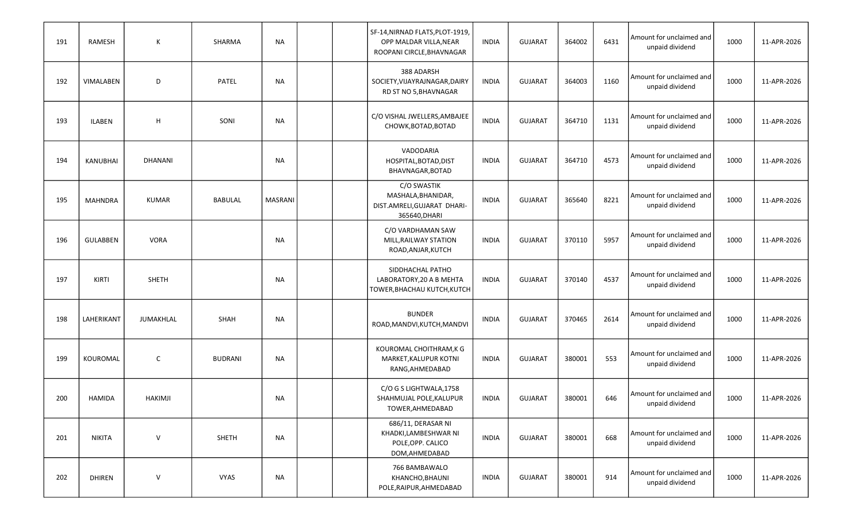| 191 | RAMESH          | К              | SHARMA         | NA             |  | SF-14, NIRNAD FLATS, PLOT-1919,<br>OPP MALDAR VILLA, NEAR<br>ROOPANI CIRCLE, BHAVNAGAR | <b>INDIA</b> | <b>GUJARAT</b> | 364002 | 6431 | Amount for unclaimed and<br>unpaid dividend | 1000 | 11-APR-2026 |
|-----|-----------------|----------------|----------------|----------------|--|----------------------------------------------------------------------------------------|--------------|----------------|--------|------|---------------------------------------------|------|-------------|
| 192 | VIMALABEN       | D              | PATEL          | NA             |  | 388 ADARSH<br>SOCIETY, VIJAYRAJNAGAR, DAIRY<br>RD ST NO 5, BHAVNAGAR                   | <b>INDIA</b> | <b>GUJARAT</b> | 364003 | 1160 | Amount for unclaimed and<br>unpaid dividend | 1000 | 11-APR-2026 |
| 193 | <b>ILABEN</b>   | H              | SONI           | NA             |  | C/O VISHAL JWELLERS, AMBAJEE<br>CHOWK, BOTAD, BOTAD                                    | <b>INDIA</b> | <b>GUJARAT</b> | 364710 | 1131 | Amount for unclaimed and<br>unpaid dividend | 1000 | 11-APR-2026 |
| 194 | <b>KANUBHAI</b> | <b>DHANANI</b> |                | NA             |  | VADODARIA<br>HOSPITAL, BOTAD, DIST<br>BHAVNAGAR, BOTAD                                 | <b>INDIA</b> | <b>GUJARAT</b> | 364710 | 4573 | Amount for unclaimed and<br>unpaid dividend | 1000 | 11-APR-2026 |
| 195 | <b>MAHNDRA</b>  | <b>KUMAR</b>   | BABULAL        | <b>MASRANI</b> |  | C/O SWASTIK<br>MASHALA, BHANIDAR,<br>DIST.AMRELI, GUJARAT DHARI-<br>365640, DHARI      | <b>INDIA</b> | <b>GUJARAT</b> | 365640 | 8221 | Amount for unclaimed and<br>unpaid dividend | 1000 | 11-APR-2026 |
| 196 | <b>GULABBEN</b> | <b>VORA</b>    |                | NA             |  | C/O VARDHAMAN SAW<br>MILL, RAILWAY STATION<br>ROAD, ANJAR, KUTCH                       | <b>INDIA</b> | <b>GUJARAT</b> | 370110 | 5957 | Amount for unclaimed and<br>unpaid dividend | 1000 | 11-APR-2026 |
| 197 | KIRTI           | <b>SHETH</b>   |                | NA             |  | SIDDHACHAL PATHO<br>LABORATORY, 20 A B MEHTA<br>TOWER, BHACHAU KUTCH, KUTCH            | <b>INDIA</b> | <b>GUJARAT</b> | 370140 | 4537 | Amount for unclaimed and<br>unpaid dividend | 1000 | 11-APR-2026 |
| 198 | LAHERIKANT      | JUMAKHLAL      | SHAH           | NA             |  | <b>BUNDER</b><br>ROAD, MANDVI, KUTCH, MANDVI                                           | <b>INDIA</b> | <b>GUJARAT</b> | 370465 | 2614 | Amount for unclaimed and<br>unpaid dividend | 1000 | 11-APR-2026 |
| 199 | KOUROMAL        | $\mathsf{C}$   | <b>BUDRANI</b> | NA             |  | KOUROMAL CHOITHRAM, K G<br>MARKET, KALUPUR KOTNI<br>RANG, AHMEDABAD                    | <b>INDIA</b> | <b>GUJARAT</b> | 380001 | 553  | Amount for unclaimed and<br>unpaid dividend | 1000 | 11-APR-2026 |
| 200 | HAMIDA          | <b>HAKIMJI</b> |                | <b>NA</b>      |  | C/O G S LIGHTWALA, 1758<br>SHAHMUJAL POLE, KALUPUR<br>TOWER, AHMEDABAD                 | <b>INDIA</b> | <b>GUJARAT</b> | 380001 | 646  | Amount for unclaimed and<br>unpaid dividend | 1000 | 11-APR-2026 |
| 201 | NIKITA          | $\vee$         | SHETH          | <b>NA</b>      |  | 686/11, DERASAR NI<br>KHADKI,LAMBESHWAR NI<br>POLE, OPP. CALICO<br>DOM, AHMEDABAD      | <b>INDIA</b> | <b>GUJARAT</b> | 380001 | 668  | Amount for unclaimed and<br>unpaid dividend | 1000 | 11-APR-2026 |
| 202 | <b>DHIREN</b>   | $\vee$         | VYAS           | <b>NA</b>      |  | 766 BAMBAWALO<br>KHANCHO, BHAUNI<br>POLE, RAIPUR, AHMEDABAD                            | <b>INDIA</b> | GUJARAT        | 380001 | 914  | Amount for unclaimed and<br>unpaid dividend | 1000 | 11-APR-2026 |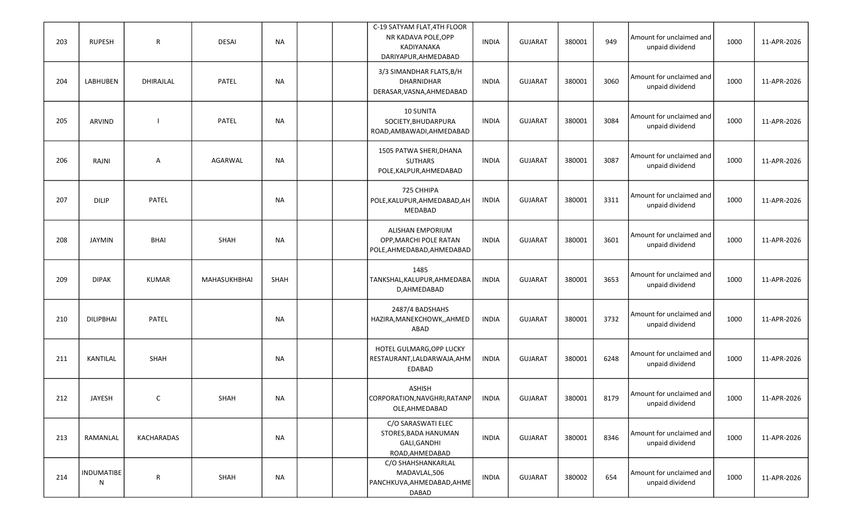| 203 | <b>RUPESH</b>    | R            | <b>DESAI</b> | NA          |  | C-19 SATYAM FLAT, 4TH FLOOR<br>NR KADAVA POLE, OPP<br>KADIYANAKA<br>DARIYAPUR, AHMEDABAD | <b>INDIA</b> | <b>GUJARAT</b> | 380001 | 949  | Amount for unclaimed and<br>unpaid dividend | 1000 | 11-APR-2026 |
|-----|------------------|--------------|--------------|-------------|--|------------------------------------------------------------------------------------------|--------------|----------------|--------|------|---------------------------------------------|------|-------------|
| 204 | LABHUBEN         | DHIRAJLAL    | <b>PATEL</b> | <b>NA</b>   |  | 3/3 SIMANDHAR FLATS, B/H<br>DHARNIDHAR<br>DERASAR, VASNA, AHMEDABAD                      | <b>INDIA</b> | <b>GUJARAT</b> | 380001 | 3060 | Amount for unclaimed and<br>unpaid dividend | 1000 | 11-APR-2026 |
| 205 | ARVIND           |              | <b>PATEL</b> | NA          |  | 10 SUNITA<br>SOCIETY, BHUDARPURA<br>ROAD, AMBAWADI, AHMEDABAD                            | <b>INDIA</b> | <b>GUJARAT</b> | 380001 | 3084 | Amount for unclaimed and<br>unpaid dividend | 1000 | 11-APR-2026 |
| 206 | RAJNI            | Α            | AGARWAL      | <b>NA</b>   |  | 1505 PATWA SHERI, DHANA<br><b>SUTHARS</b><br>POLE, KALPUR, AHMEDABAD                     | <b>INDIA</b> | <b>GUJARAT</b> | 380001 | 3087 | Amount for unclaimed and<br>unpaid dividend | 1000 | 11-APR-2026 |
| 207 | <b>DILIP</b>     | PATEL        |              | <b>NA</b>   |  | 725 CHHIPA<br>POLE, KALUPUR, AHMEDABAD, AH<br>MEDABAD                                    | <b>INDIA</b> | <b>GUJARAT</b> | 380001 | 3311 | Amount for unclaimed and<br>unpaid dividend | 1000 | 11-APR-2026 |
| 208 | <b>JAYMIN</b>    | <b>BHAI</b>  | SHAH         | <b>NA</b>   |  | ALISHAN EMPORIUM<br>OPP, MARCHI POLE RATAN<br>POLE, AHMEDABAD, AHMEDABAD                 | <b>INDIA</b> | <b>GUJARAT</b> | 380001 | 3601 | Amount for unclaimed and<br>unpaid dividend | 1000 | 11-APR-2026 |
| 209 | <b>DIPAK</b>     | <b>KUMAR</b> | MAHASUKHBHAI | <b>SHAH</b> |  | 1485<br>TANKSHAL, KALUPUR, AHMEDABA<br>D, AHMEDABAD                                      | <b>INDIA</b> | <b>GUJARAT</b> | 380001 | 3653 | Amount for unclaimed and<br>unpaid dividend | 1000 | 11-APR-2026 |
| 210 | <b>DILIPBHAI</b> | PATEL        |              | NA          |  | 2487/4 BADSHAHS<br>HAZIRA, MANEKCHOWK, , AHMED<br>ABAD                                   | <b>INDIA</b> | <b>GUJARAT</b> | 380001 | 3732 | Amount for unclaimed and<br>unpaid dividend | 1000 | 11-APR-2026 |
| 211 | KANTILAL         | SHAH         |              | NA          |  | HOTEL GULMARG, OPP LUCKY<br>RESTAURANT, LALDARWAJA, AHM<br>EDABAD                        | <b>INDIA</b> | <b>GUJARAT</b> | 380001 | 6248 | Amount for unclaimed and<br>unpaid dividend | 1000 | 11-APR-2026 |
| 212 | <b>JAYESH</b>    | $\mathsf{C}$ | SHAH         | <b>NA</b>   |  | <b>ASHISH</b><br>CORPORATION, NAVGHRI, RATANP<br>OLE, AHMEDABAD                          | <b>INDIA</b> | <b>GUJARAT</b> | 380001 | 8179 | Amount for unclaimed and<br>unpaid dividend | 1000 | 11-APR-2026 |
| 213 | RAMANLAL         | KACHARADAS   |              | <b>NA</b>   |  | C/O SARASWATI ELEC<br>STORES, BADA HANUMAN<br>GALI, GANDHI<br>ROAD, AHMEDABAD            | <b>INDIA</b> | <b>GUJARAT</b> | 380001 | 8346 | Amount for unclaimed and<br>unpaid dividend | 1000 | 11-APR-2026 |
| 214 | INDUMATIBE<br>N  | ${\sf R}$    | SHAH         | <b>NA</b>   |  | C/O SHAHSHANKARLAL<br>MADAVLAL,506<br>PANCHKUVA, AHMEDABAD, AHME<br>DABAD                | <b>INDIA</b> | <b>GUJARAT</b> | 380002 | 654  | Amount for unclaimed and<br>unpaid dividend | 1000 | 11-APR-2026 |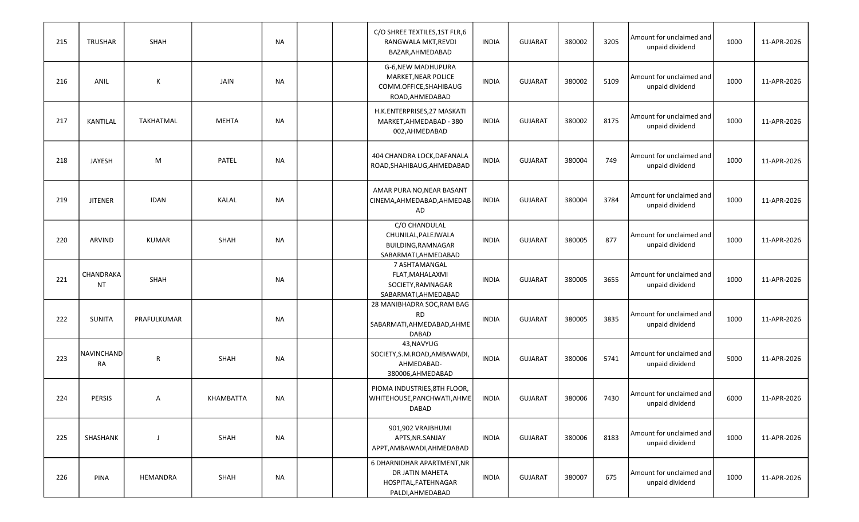| 215 | <b>TRUSHAR</b>          | SHAH         |              | <b>NA</b> | C/O SHREE TEXTILES, 1ST FLR, 6<br>RANGWALA MKT, REVDI<br>BAZAR, AHMEDABAD                 | <b>INDIA</b> | <b>GUJARAT</b> | 380002 | 3205 | Amount for unclaimed and<br>unpaid dividend | 1000 | 11-APR-2026 |
|-----|-------------------------|--------------|--------------|-----------|-------------------------------------------------------------------------------------------|--------------|----------------|--------|------|---------------------------------------------|------|-------------|
| 216 | ANIL                    | К            | JAIN         | NA        | G-6, NEW MADHUPURA<br>MARKET, NEAR POLICE<br>COMM.OFFICE, SHAHIBAUG<br>ROAD, AHMEDABAD    | <b>INDIA</b> | <b>GUJARAT</b> | 380002 | 5109 | Amount for unclaimed and<br>unpaid dividend | 1000 | 11-APR-2026 |
| 217 | KANTILAL                | TAKHATMAL    | <b>MEHTA</b> | NA        | H.K.ENTERPRISES, 27 MASKATI<br>MARKET, AHMEDABAD - 380<br>002,AHMEDABAD                   | <b>INDIA</b> | <b>GUJARAT</b> | 380002 | 8175 | Amount for unclaimed and<br>unpaid dividend | 1000 | 11-APR-2026 |
| 218 | <b>JAYESH</b>           | M            | <b>PATEL</b> | <b>NA</b> | 404 CHANDRA LOCK, DAFANALA<br>ROAD, SHAHIBAUG, AHMEDABAD                                  | <b>INDIA</b> | <b>GUJARAT</b> | 380004 | 749  | Amount for unclaimed and<br>unpaid dividend | 1000 | 11-APR-2026 |
| 219 | <b>JITENER</b>          | <b>IDAN</b>  | <b>KALAL</b> | <b>NA</b> | AMAR PURA NO, NEAR BASANT<br>CINEMA, AHMEDABAD, AHMEDAB<br>AD                             | <b>INDIA</b> | <b>GUJARAT</b> | 380004 | 3784 | Amount for unclaimed and<br>unpaid dividend | 1000 | 11-APR-2026 |
| 220 | <b>ARVIND</b>           | <b>KUMAR</b> | <b>SHAH</b>  | NA        | C/O CHANDULAL<br>CHUNILAL, PALEJWALA<br>BUILDING, RAMNAGAR<br>SABARMATI, AHMEDABAD        | <b>INDIA</b> | <b>GUJARAT</b> | 380005 | 877  | Amount for unclaimed and<br>unpaid dividend | 1000 | 11-APR-2026 |
| 221 | CHANDRAKA<br>NT         | SHAH         |              | NA        | 7 ASHTAMANGAL<br>FLAT, MAHALAXMI<br>SOCIETY, RAMNAGAR<br>SABARMATI, AHMEDABAD             | <b>INDIA</b> | <b>GUJARAT</b> | 380005 | 3655 | Amount for unclaimed and<br>unpaid dividend | 1000 | 11-APR-2026 |
| 222 | <b>SUNITA</b>           | PRAFULKUMAR  |              | NA        | 28 MANIBHADRA SOC, RAM BAG<br><b>RD</b><br>SABARMATI, AHMEDABAD, AHME<br>DABAD            | <b>INDIA</b> | <b>GUJARAT</b> | 380005 | 3835 | Amount for unclaimed and<br>unpaid dividend | 1000 | 11-APR-2026 |
| 223 | NAVINCHAND<br><b>RA</b> | $\mathsf{R}$ | <b>SHAH</b>  | NA        | 43, NAVYUG<br>SOCIETY, S.M. ROAD, AMBAWADI,<br>AHMEDABAD-<br>380006, AHMEDABAD            | <b>INDIA</b> | <b>GUJARAT</b> | 380006 | 5741 | Amount for unclaimed and<br>unpaid dividend | 5000 | 11-APR-2026 |
| 224 | <b>PERSIS</b>           | A            | KHAMBATTA    | <b>NA</b> | PIOMA INDUSTRIES, 8TH FLOOR,<br>WHITEHOUSE, PANCHWATI, AHME<br>DABAD                      | <b>INDIA</b> | <b>GUJARAT</b> | 380006 | 7430 | Amount for unclaimed and<br>unpaid dividend | 6000 | 11-APR-2026 |
| 225 | SHASHANK                | -1           | SHAH         | <b>NA</b> | 901,902 VRAJBHUMI<br>APTS, NR. SANJAY<br>APPT, AMBAWADI, AHMEDABAD                        | <b>INDIA</b> | <b>GUJARAT</b> | 380006 | 8183 | Amount for unclaimed and<br>unpaid dividend | 1000 | 11-APR-2026 |
| 226 | <b>PINA</b>             | HEMANDRA     | SHAH         | <b>NA</b> | 6 DHARNIDHAR APARTMENT, NR<br>DR JATIN MAHETA<br>HOSPITAL, FATEHNAGAR<br>PALDI, AHMEDABAD | INDIA        | <b>GUJARAT</b> | 380007 | 675  | Amount for unclaimed and<br>unpaid dividend | 1000 | 11-APR-2026 |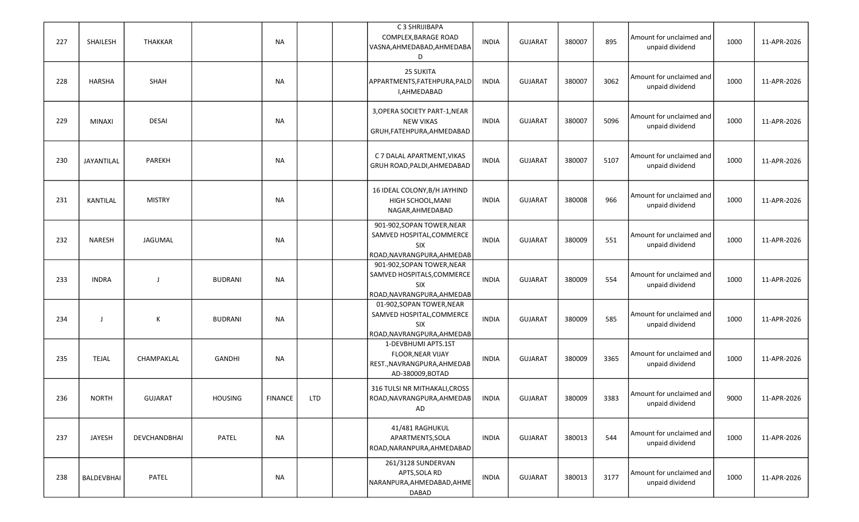| 227 | SHAILESH      | THAKKAR        |                | <b>NA</b>      |            | C 3 SHRIJIBAPA<br>COMPLEX, BARAGE ROAD<br>VASNA, AHMEDABAD, AHMEDABA<br>D                           | <b>INDIA</b> | <b>GUJARAT</b> | 380007 | 895  | Amount for unclaimed and<br>unpaid dividend   | 1000 | 11-APR-2026 |
|-----|---------------|----------------|----------------|----------------|------------|-----------------------------------------------------------------------------------------------------|--------------|----------------|--------|------|-----------------------------------------------|------|-------------|
| 228 | HARSHA        | SHAH           |                | NA             |            | <b>25 SUKITA</b><br>APPARTMENTS, FATEHPURA, PALD<br>I,AHMEDABAD                                     | <b>INDIA</b> | <b>GUJARAT</b> | 380007 | 3062 | l Amount for unclaimed and<br>unpaid dividend | 1000 | 11-APR-2026 |
| 229 | <b>MINAXI</b> | <b>DESAI</b>   |                | NA             |            | 3, OPERA SOCIETY PART-1, NEAR<br><b>NEW VIKAS</b><br>GRUH, FATEHPURA, AHMEDABAD                     | <b>INDIA</b> | <b>GUJARAT</b> | 380007 | 5096 | Amount for unclaimed and<br>unpaid dividend   | 1000 | 11-APR-2026 |
| 230 | JAYANTILAL    | <b>PAREKH</b>  |                | <b>NA</b>      |            | C 7 DALAL APARTMENT, VIKAS<br>GRUH ROAD, PALDI, AHMEDABAD                                           | <b>INDIA</b> | <b>GUJARAT</b> | 380007 | 5107 | Amount for unclaimed and<br>unpaid dividend   | 1000 | 11-APR-2026 |
| 231 | KANTILAL      | <b>MISTRY</b>  |                | <b>NA</b>      |            | 16 IDEAL COLONY, B/H JAYHIND<br>HIGH SCHOOL, MANI<br>NAGAR, AHMEDABAD                               | <b>INDIA</b> | <b>GUJARAT</b> | 380008 | 966  | Amount for unclaimed and<br>unpaid dividend   | 1000 | 11-APR-2026 |
| 232 | <b>NARESH</b> | JAGUMAL        |                | NA             |            | 901-902, SOPAN TOWER, NEAR<br>SAMVED HOSPITAL, COMMERCE<br><b>SIX</b><br>ROAD, NAVRANGPURA, AHMEDAB | <b>INDIA</b> | <b>GUJARAT</b> | 380009 | 551  | Amount for unclaimed and<br>unpaid dividend   | 1000 | 11-APR-2026 |
| 233 | <b>INDRA</b>  | $\mathbf{J}$   | <b>BUDRANI</b> | NA             |            | 901-902, SOPAN TOWER, NEAR<br>SAMVED HOSPITALS, COMMERCE<br>SIX<br>ROAD, NAVRANGPURA, AHMEDAB       | <b>INDIA</b> | <b>GUJARAT</b> | 380009 | 554  | Amount for unclaimed and<br>unpaid dividend   | 1000 | 11-APR-2026 |
| 234 | J             | К              | <b>BUDRANI</b> | NA             |            | 01-902, SOPAN TOWER, NEAR<br>SAMVED HOSPITAL, COMMERCE<br><b>SIX</b><br>ROAD, NAVRANGPURA, AHMEDAB  | <b>INDIA</b> | <b>GUJARAT</b> | 380009 | 585  | Amount for unclaimed and<br>unpaid dividend   | 1000 | 11-APR-2026 |
| 235 | <b>TEJAL</b>  | CHAMPAKLAL     | GANDHI         | NA             |            | 1-DEVBHUMI APTS.1ST<br><b>FLOOR, NEAR VIJAY</b><br>REST., NAVRANGPURA, AHMEDAB<br>AD-380009, BOTAD  | <b>INDIA</b> | <b>GUJARAT</b> | 380009 | 3365 | Amount for unclaimed and<br>unpaid dividend   | 1000 | 11-APR-2026 |
| 236 | <b>NORTH</b>  | <b>GUJARAT</b> | <b>HOUSING</b> | <b>FINANCE</b> | <b>LTD</b> | 316 TULSI NR MITHAKALI, CROSS<br>ROAD, NAVRANGPURA, AHMEDAB<br>AD                                   | <b>INDIA</b> | <b>GUJARAT</b> | 380009 | 3383 | Amount for unclaimed and<br>unpaid dividend   | 9000 | 11-APR-2026 |
| 237 | JAYESH        | DEVCHANDBHAI   | PATEL          | <b>NA</b>      |            | 41/481 RAGHUKUL<br>APARTMENTS, SOLA<br>ROAD, NARANPURA, AHMEDABAD                                   | <b>INDIA</b> | <b>GUJARAT</b> | 380013 | 544  | Amount for unclaimed and<br>unpaid dividend   | 1000 | 11-APR-2026 |
| 238 | BALDEVBHAI    | PATEL          |                | <b>NA</b>      |            | 261/3128 SUNDERVAN<br>APTS, SOLA RD<br>NARANPURA, AHMEDABAD, AHME<br><b>DABAD</b>                   | <b>INDIA</b> | <b>GUJARAT</b> | 380013 | 3177 | Amount for unclaimed and<br>unpaid dividend   | 1000 | 11-APR-2026 |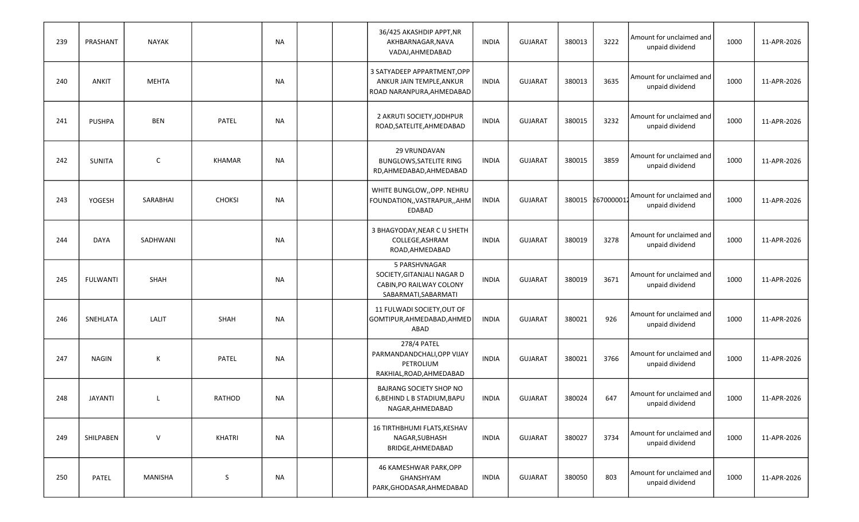| 239 | PRASHANT        | NAYAK        |               | NA        |  | 36/425 AKASHDIP APPT, NR<br>AKHBARNAGAR, NAVA<br>VADAJ, AHMEDABAD                               | <b>INDIA</b> | <b>GUJARAT</b> | 380013 | 3222      | Amount for unclaimed and<br>unpaid dividend | 1000 | 11-APR-2026 |
|-----|-----------------|--------------|---------------|-----------|--|-------------------------------------------------------------------------------------------------|--------------|----------------|--------|-----------|---------------------------------------------|------|-------------|
| 240 | <b>ANKIT</b>    | <b>MEHTA</b> |               | NA        |  | 3 SATYADEEP APPARTMENT, OPP<br>ANKUR JAIN TEMPLE, ANKUR<br>ROAD NARANPURA, AHMEDABAD            | <b>INDIA</b> | <b>GUJARAT</b> | 380013 | 3635      | Amount for unclaimed and<br>unpaid dividend | 1000 | 11-APR-2026 |
| 241 | <b>PUSHPA</b>   | <b>BEN</b>   | <b>PATEL</b>  | NA        |  | 2 AKRUTI SOCIETY, JODHPUR<br>ROAD, SATELITE, AHMEDABAD                                          | <b>INDIA</b> | <b>GUJARAT</b> | 380015 | 3232      | Amount for unclaimed and<br>unpaid dividend | 1000 | 11-APR-2026 |
| 242 | <b>SUNITA</b>   | $\mathsf{C}$ | <b>KHAMAR</b> | <b>NA</b> |  | 29 VRUNDAVAN<br><b>BUNGLOWS, SATELITE RING</b><br>RD, AHMEDABAD, AHMEDABAD                      | <b>INDIA</b> | <b>GUJARAT</b> | 380015 | 3859      | Amount for unclaimed and<br>unpaid dividend | 1000 | 11-APR-2026 |
| 243 | YOGESH          | SARABHAI     | <b>CHOKSI</b> | <b>NA</b> |  | WHITE BUNGLOW,, OPP. NEHRU<br>FOUNDATION,, VASTRAPUR,, AHM<br>EDABAD                            | <b>INDIA</b> | <b>GUJARAT</b> | 380015 | 267000001 | Amount for unclaimed and<br>unpaid dividend | 1000 | 11-APR-2026 |
| 244 | DAYA            | SADHWANI     |               | NA        |  | 3 BHAGYODAY, NEAR C U SHETH<br>COLLEGE, ASHRAM<br>ROAD, AHMEDABAD                               | <b>INDIA</b> | <b>GUJARAT</b> | 380019 | 3278      | Amount for unclaimed and<br>unpaid dividend | 1000 | 11-APR-2026 |
| 245 | <b>FULWANTI</b> | SHAH         |               | NA        |  | 5 PARSHVNAGAR<br>SOCIETY, GITANJALI NAGAR D<br>CABIN, PO RAILWAY COLONY<br>SABARMATI, SABARMATI | INDIA        | <b>GUJARAT</b> | 380019 | 3671      | Amount for unclaimed and<br>unpaid dividend | 1000 | 11-APR-2026 |
| 246 | SNEHLATA        | LALIT        | <b>SHAH</b>   | <b>NA</b> |  | 11 FULWADI SOCIETY, OUT OF<br>GOMTIPUR, AHMEDABAD, AHMED<br>ABAD                                | <b>INDIA</b> | <b>GUJARAT</b> | 380021 | 926       | Amount for unclaimed and<br>unpaid dividend | 1000 | 11-APR-2026 |
| 247 | <b>NAGIN</b>    | К            | <b>PATEL</b>  | <b>NA</b> |  | 278/4 PATEL<br>PARMANDANDCHALI, OPP VIJAY<br>PETROLIUM<br>RAKHIAL, ROAD, AHMEDABAD              | <b>INDIA</b> | <b>GUJARAT</b> | 380021 | 3766      | Amount for unclaimed and<br>unpaid dividend | 1000 | 11-APR-2026 |
| 248 | <b>JAYANTI</b>  | L            | <b>RATHOD</b> | <b>NA</b> |  | <b>BAJRANG SOCIETY SHOP NO</b><br>6, BEHIND L B STADIUM, BAPU<br>NAGAR, AHMEDABAD               | <b>INDIA</b> | <b>GUJARAT</b> | 380024 | 647       | Amount for unclaimed and<br>unpaid dividend | 1000 | 11-APR-2026 |
| 249 | SHILPABEN       | $\vee$       | KHATRI        | <b>NA</b> |  | 16 TIRTHBHUMI FLATS, KESHAV<br>NAGAR, SUBHASH<br>BRIDGE, AHMEDABAD                              | <b>INDIA</b> | <b>GUJARAT</b> | 380027 | 3734      | Amount for unclaimed and<br>unpaid dividend | 1000 | 11-APR-2026 |
| 250 | PATEL           | MANISHA      | S             | <b>NA</b> |  | 46 KAMESHWAR PARK, OPP<br>GHANSHYAM<br>PARK, GHODASAR, AHMEDABAD                                | INDIA        | <b>GUJARAT</b> | 380050 | 803       | Amount for unclaimed and<br>unpaid dividend | 1000 | 11-APR-2026 |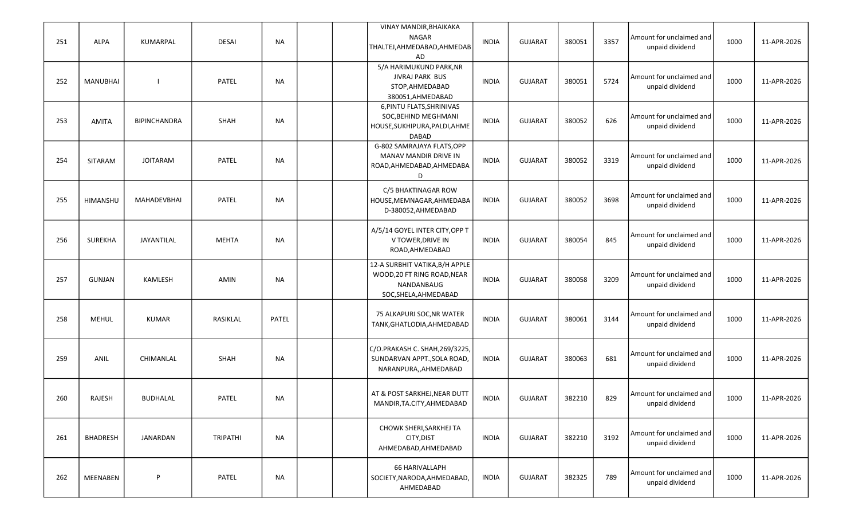| 251 | <b>ALPA</b>     | KUMARPAL            | <b>DESAI</b> | NA        |  | VINAY MANDIR, BHAIKAKA<br><b>NAGAR</b><br>THALTEJ, AHMEDABAD, AHMEDAB<br>AD                          | <b>INDIA</b> | <b>GUJARAT</b> | 380051 | 3357 | Amount for unclaimed and<br>unpaid dividend | 1000 | 11-APR-2026 |
|-----|-----------------|---------------------|--------------|-----------|--|------------------------------------------------------------------------------------------------------|--------------|----------------|--------|------|---------------------------------------------|------|-------------|
| 252 | <b>MANUBHAI</b> |                     | <b>PATEL</b> | NA        |  | 5/A HARIMUKUND PARK, NR<br><b>JIVRAJ PARK BUS</b><br>STOP, AHMEDABAD<br>380051, AHMEDABAD            | <b>INDIA</b> | <b>GUJARAT</b> | 380051 | 5724 | Amount for unclaimed and<br>unpaid dividend | 1000 | 11-APR-2026 |
| 253 | <b>AMITA</b>    | <b>BIPINCHANDRA</b> | <b>SHAH</b>  | <b>NA</b> |  | 6, PINTU FLATS, SHRINIVAS<br>SOC, BEHIND MEGHMANI<br>HOUSE, SUKHIPURA, PALDI, AHME<br><b>DABAD</b>   | <b>INDIA</b> | <b>GUJARAT</b> | 380052 | 626  | Amount for unclaimed and<br>unpaid dividend | 1000 | 11-APR-2026 |
| 254 | SITARAM         | <b>JOITARAM</b>     | PATEL        | <b>NA</b> |  | G-802 SAMRAJAYA FLATS, OPP<br>MANAV MANDIR DRIVE IN<br>ROAD, AHMEDABAD, AHMEDABA<br>D                | <b>INDIA</b> | <b>GUJARAT</b> | 380052 | 3319 | Amount for unclaimed and<br>unpaid dividend | 1000 | 11-APR-2026 |
| 255 | HIMANSHU        | MAHADEVBHAI         | <b>PATEL</b> | <b>NA</b> |  | C/5 BHAKTINAGAR ROW<br>HOUSE, MEMNAGAR, AHMEDABA<br>D-380052, AHMEDABAD                              | <b>INDIA</b> | <b>GUJARAT</b> | 380052 | 3698 | Amount for unclaimed and<br>unpaid dividend | 1000 | 11-APR-2026 |
| 256 | <b>SUREKHA</b>  | JAYANTILAL          | <b>MEHTA</b> | <b>NA</b> |  | A/5/14 GOYEL INTER CITY, OPP T<br>V TOWER, DRIVE IN<br>ROAD, AHMEDABAD                               | <b>INDIA</b> | <b>GUJARAT</b> | 380054 | 845  | Amount for unclaimed and<br>unpaid dividend | 1000 | 11-APR-2026 |
| 257 | <b>GUNJAN</b>   | KAMLESH             | AMIN         | NA        |  | 12-A SURBHIT VATIKA, B/H APPLE<br>WOOD, 20 FT RING ROAD, NEAR<br>NANDANBAUG<br>SOC, SHELA, AHMEDABAD | <b>INDIA</b> | <b>GUJARAT</b> | 380058 | 3209 | Amount for unclaimed and<br>unpaid dividend | 1000 | 11-APR-2026 |
| 258 | <b>MEHUL</b>    | <b>KUMAR</b>        | RASIKLAL     | PATEL     |  | 75 ALKAPURI SOC, NR WATER<br>TANK, GHATLODIA, AHMEDABAD                                              | <b>INDIA</b> | <b>GUJARAT</b> | 380061 | 3144 | Amount for unclaimed and<br>unpaid dividend | 1000 | 11-APR-2026 |
| 259 | ANIL            | CHIMANLAL           | <b>SHAH</b>  | <b>NA</b> |  | C/O.PRAKASH C. SHAH, 269/3225,<br>SUNDARVAN APPT., SOLA ROAD,<br>NARANPURA,, AHMEDABAD               | <b>INDIA</b> | <b>GUJARAT</b> | 380063 | 681  | Amount for unclaimed and<br>unpaid dividend | 1000 | 11-APR-2026 |
| 260 | RAJESH          | <b>BUDHALAL</b>     | PATEL        | <b>NA</b> |  | AT & POST SARKHEJ, NEAR DUTT<br>MANDIR, TA. CITY, AHMEDABAD                                          | <b>INDIA</b> | <b>GUJARAT</b> | 382210 | 829  | Amount for unclaimed and<br>unpaid dividend | 1000 | 11-APR-2026 |
| 261 | <b>BHADRESH</b> | JANARDAN            | TRIPATHI     | <b>NA</b> |  | CHOWK SHERI, SARKHEJ TA<br>CITY, DIST<br>AHMEDABAD, AHMEDABAD                                        | INDIA        | <b>GUJARAT</b> | 382210 | 3192 | Amount for unclaimed and<br>unpaid dividend | 1000 | 11-APR-2026 |
| 262 | MEENABEN        | P                   | PATEL        | <b>NA</b> |  | 66 HARIVALLAPH<br>SOCIETY, NARODA, AHMEDABAD,<br>AHMEDABAD                                           | <b>INDIA</b> | <b>GUJARAT</b> | 382325 | 789  | Amount for unclaimed and<br>unpaid dividend | 1000 | 11-APR-2026 |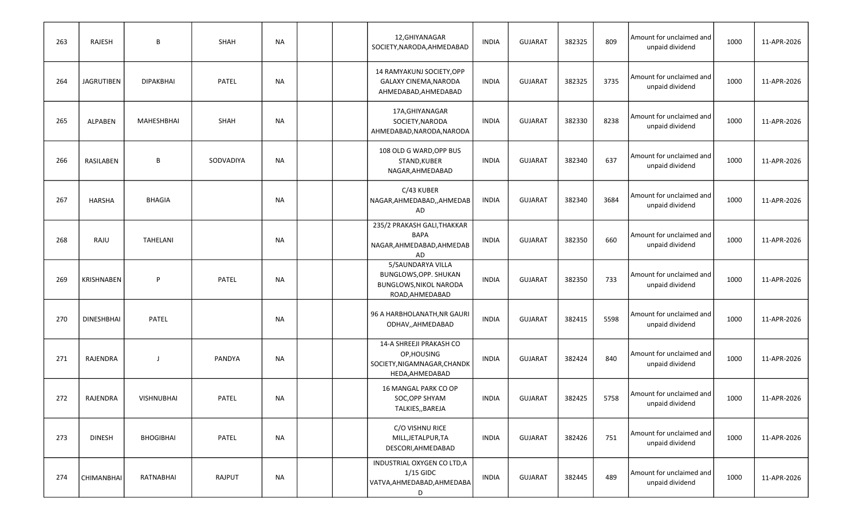| 263 | RAJESH            | B                 | SHAH         | NA        |  | 12, GHIYANAGAR<br>SOCIETY, NARODA, AHMEDABAD                                             | <b>INDIA</b> | <b>GUJARAT</b> | 382325 | 809  | Amount for unclaimed and<br>unpaid dividend | 1000 | 11-APR-2026 |
|-----|-------------------|-------------------|--------------|-----------|--|------------------------------------------------------------------------------------------|--------------|----------------|--------|------|---------------------------------------------|------|-------------|
| 264 | <b>JAGRUTIBEN</b> | <b>DIPAKBHAI</b>  | <b>PATEL</b> | NA        |  | 14 RAMYAKUNJ SOCIETY, OPP<br><b>GALAXY CINEMA, NARODA</b><br>AHMEDABAD, AHMEDABAD        | <b>INDIA</b> | <b>GUJARAT</b> | 382325 | 3735 | Amount for unclaimed and<br>unpaid dividend | 1000 | 11-APR-2026 |
| 265 | ALPABEN           | MAHESHBHAI        | SHAH         | <b>NA</b> |  | 17A, GHIYANAGAR<br>SOCIETY, NARODA<br>AHMEDABAD, NARODA, NARODA                          | <b>INDIA</b> | <b>GUJARAT</b> | 382330 | 8238 | Amount for unclaimed and<br>unpaid dividend | 1000 | 11-APR-2026 |
| 266 | RASILABEN         | В                 | SODVADIYA    | <b>NA</b> |  | 108 OLD G WARD, OPP BUS<br>STAND, KUBER<br>NAGAR, AHMEDABAD                              | <b>INDIA</b> | <b>GUJARAT</b> | 382340 | 637  | Amount for unclaimed and<br>unpaid dividend | 1000 | 11-APR-2026 |
| 267 | <b>HARSHA</b>     | <b>BHAGIA</b>     |              | <b>NA</b> |  | C/43 KUBER<br>NAGAR, AHMEDABAD, , AHMEDAB<br>AD                                          | <b>INDIA</b> | <b>GUJARAT</b> | 382340 | 3684 | Amount for unclaimed and<br>unpaid dividend | 1000 | 11-APR-2026 |
| 268 | RAJU              | TAHELANI          |              | NA        |  | 235/2 PRAKASH GALI, THAKKAR<br><b>BAPA</b><br>NAGAR, AHMEDABAD, AHMEDAB<br><b>AD</b>     | <b>INDIA</b> | <b>GUJARAT</b> | 382350 | 660  | Amount for unclaimed and<br>unpaid dividend | 1000 | 11-APR-2026 |
| 269 | <b>KRISHNABEN</b> | P                 | <b>PATEL</b> | NA        |  | 5/SAUNDARYA VILLA<br>BUNGLOWS, OPP. SHUKAN<br>BUNGLOWS, NIKOL NARODA<br>ROAD, AHMEDABAD  | <b>INDIA</b> | <b>GUJARAT</b> | 382350 | 733  | Amount for unclaimed and<br>unpaid dividend | 1000 | 11-APR-2026 |
| 270 | <b>DINESHBHAI</b> | <b>PATEL</b>      |              | NA        |  | 96 A HARBHOLANATH, NR GAURI<br>ODHAV,,AHMEDABAD                                          | <b>INDIA</b> | <b>GUJARAT</b> | 382415 | 5598 | Amount for unclaimed and<br>unpaid dividend | 1000 | 11-APR-2026 |
| 271 | RAJENDRA          | $\mathbf{I}$      | PANDYA       | NA        |  | 14-A SHREEJI PRAKASH CO<br>OP, HOUSING<br>SOCIETY, NIGAMNAGAR, CHANDK<br>HEDA, AHMEDABAD | <b>INDIA</b> | <b>GUJARAT</b> | 382424 | 840  | Amount for unclaimed and<br>unpaid dividend | 1000 | 11-APR-2026 |
| 272 | RAJENDRA          | <b>VISHNUBHAI</b> | <b>PATEL</b> | <b>NA</b> |  | 16 MANGAL PARK CO OP<br>SOC, OPP SHYAM<br>TALKIES,, BAREJA                               | <b>INDIA</b> | <b>GUJARAT</b> | 382425 | 5758 | Amount for unclaimed and<br>unpaid dividend | 1000 | 11-APR-2026 |
| 273 | <b>DINESH</b>     | <b>BHOGIBHAI</b>  | PATEL        | <b>NA</b> |  | C/O VISHNU RICE<br>MILL, JETALPUR, TA<br>DESCORI, AHMEDABAD                              | INDIA        | <b>GUJARAT</b> | 382426 | 751  | Amount for unclaimed and<br>unpaid dividend | 1000 | 11-APR-2026 |
| 274 | CHIMANBHAI        | RATNABHAI         | RAJPUT       | <b>NA</b> |  | INDUSTRIAL OXYGEN CO LTD, A<br>$1/15$ GIDC<br>VATVA, AHMEDABAD, AHMEDABA<br>D            | INDIA        | <b>GUJARAT</b> | 382445 | 489  | Amount for unclaimed and<br>unpaid dividend | 1000 | 11-APR-2026 |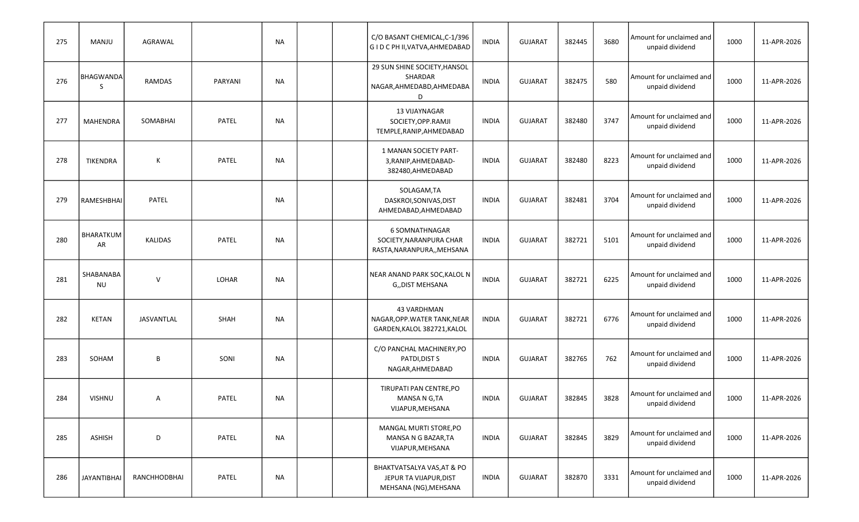| 275 | <b>MANJU</b>           | AGRAWAL        |              | <b>NA</b> |  | C/O BASANT CHEMICAL, C-1/396<br>G I D C PH II, VATVA, AHMEDABAD               | <b>INDIA</b> | <b>GUJARAT</b> | 382445 | 3680 | Amount for unclaimed and<br>unpaid dividend | 1000 | 11-APR-2026 |
|-----|------------------------|----------------|--------------|-----------|--|-------------------------------------------------------------------------------|--------------|----------------|--------|------|---------------------------------------------|------|-------------|
| 276 | BHAGWANDA<br>-S        | RAMDAS         | PARYANI      | NA        |  | 29 SUN SHINE SOCIETY, HANSOL<br>SHARDAR<br>NAGAR, AHMEDABD, AHMEDABA<br>D     | <b>INDIA</b> | <b>GUJARAT</b> | 382475 | 580  | Amount for unclaimed and<br>unpaid dividend | 1000 | 11-APR-2026 |
| 277 | <b>MAHENDRA</b>        | SOMABHAI       | PATEL        | NA        |  | 13 VIJAYNAGAR<br>SOCIETY, OPP.RAMJI<br>TEMPLE, RANIP, AHMEDABAD               | <b>INDIA</b> | <b>GUJARAT</b> | 382480 | 3747 | Amount for unclaimed and<br>unpaid dividend | 1000 | 11-APR-2026 |
| 278 | <b>TIKENDRA</b>        | К              | <b>PATEL</b> | <b>NA</b> |  | 1 MANAN SOCIETY PART-<br>3, RANIP, AHMEDABAD-<br>382480, AHMEDABAD            | <b>INDIA</b> | <b>GUJARAT</b> | 382480 | 8223 | Amount for unclaimed and<br>unpaid dividend | 1000 | 11-APR-2026 |
| 279 | RAMESHBHAI             | PATEL          |              | NA        |  | SOLAGAM,TA<br>DASKROI, SONIVAS, DIST<br>AHMEDABAD, AHMEDABAD                  | <b>INDIA</b> | <b>GUJARAT</b> | 382481 | 3704 | Amount for unclaimed and<br>unpaid dividend | 1000 | 11-APR-2026 |
| 280 | BHARATKUM<br>AR        | <b>KALIDAS</b> | <b>PATEL</b> | NA        |  | 6 SOMNATHNAGAR<br>SOCIETY, NARANPURA CHAR<br>RASTA, NARANPURA,, MEHSANA       | <b>INDIA</b> | <b>GUJARAT</b> | 382721 | 5101 | Amount for unclaimed and<br>unpaid dividend | 1000 | 11-APR-2026 |
| 281 | SHABANABA<br><b>NU</b> | $\mathsf{V}$   | LOHAR        | NA        |  | NEAR ANAND PARK SOC, KALOL N<br>G,,DIST MEHSANA                               | <b>INDIA</b> | <b>GUJARAT</b> | 382721 | 6225 | Amount for unclaimed and<br>unpaid dividend | 1000 | 11-APR-2026 |
| 282 | <b>KETAN</b>           | JASVANTLAL     | <b>SHAH</b>  | <b>NA</b> |  | 43 VARDHMAN<br>NAGAR, OPP. WATER TANK, NEAR<br>GARDEN, KALOL 382721, KALOL    | <b>INDIA</b> | <b>GUJARAT</b> | 382721 | 6776 | Amount for unclaimed and<br>unpaid dividend | 1000 | 11-APR-2026 |
| 283 | SOHAM                  | B              | SONI         | NA        |  | C/O PANCHAL MACHINERY, PO<br>PATDI, DIST S<br>NAGAR, AHMEDABAD                | INDIA        | <b>GUJARAT</b> | 382765 | 762  | Amount for unclaimed and<br>unpaid dividend | 1000 | 11-APR-2026 |
| 284 | <b>VISHNU</b>          | Α              | PATEL        | <b>NA</b> |  | TIRUPATI PAN CENTRE, PO<br>MANSA N G,TA<br>VIJAPUR, MEHSANA                   | <b>INDIA</b> | <b>GUJARAT</b> | 382845 | 3828 | Amount for unclaimed and<br>unpaid dividend | 1000 | 11-APR-2026 |
| 285 | <b>ASHISH</b>          | D              | PATEL        | <b>NA</b> |  | MANGAL MURTI STORE, PO<br>MANSA N G BAZAR, TA<br>VIJAPUR, MEHSANA             | <b>INDIA</b> | <b>GUJARAT</b> | 382845 | 3829 | Amount for unclaimed and<br>unpaid dividend | 1000 | 11-APR-2026 |
| 286 | <b>JAYANTIBHAI</b>     | RANCHHODBHAI   | PATEL        | <b>NA</b> |  | BHAKTVATSALYA VAS, AT & PO<br>JEPUR TA VIJAPUR, DIST<br>MEHSANA (NG), MEHSANA | <b>INDIA</b> | <b>GUJARAT</b> | 382870 | 3331 | Amount for unclaimed and<br>unpaid dividend | 1000 | 11-APR-2026 |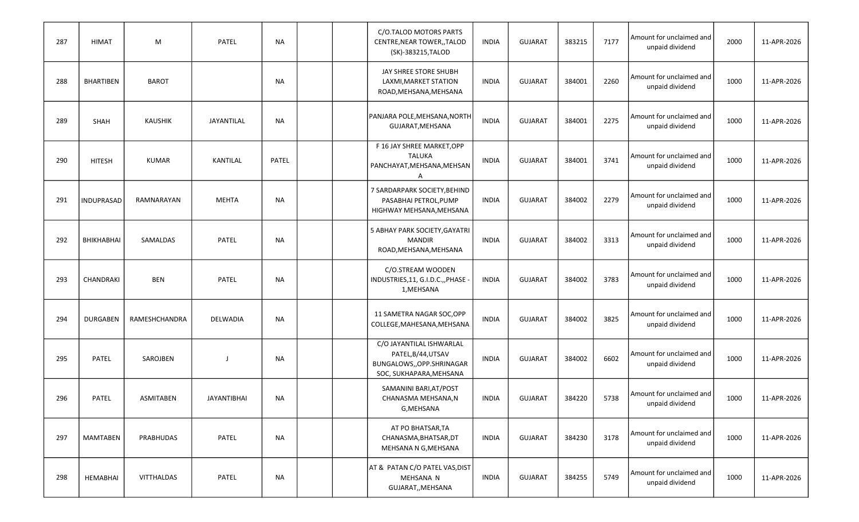| 287 | <b>HIMAT</b>     | M              | PATEL              | <b>NA</b> |  | C/O.TALOD MOTORS PARTS<br>CENTRE, NEAR TOWER, , TALOD<br>(SK)-383215, TALOD                            | <b>INDIA</b> | <b>GUJARAT</b> | 383215 | 7177 | Amount for unclaimed and<br>unpaid dividend | 2000 | 11-APR-2026 |
|-----|------------------|----------------|--------------------|-----------|--|--------------------------------------------------------------------------------------------------------|--------------|----------------|--------|------|---------------------------------------------|------|-------------|
| 288 | <b>BHARTIBEN</b> | <b>BAROT</b>   |                    | NA        |  | JAY SHREE STORE SHUBH<br>LAXMI, MARKET STATION<br>ROAD, MEHSANA, MEHSANA                               | <b>INDIA</b> | <b>GUJARAT</b> | 384001 | 2260 | Amount for unclaimed and<br>unpaid dividend | 1000 | 11-APR-2026 |
| 289 | SHAH             | <b>KAUSHIK</b> | JAYANTILAL         | <b>NA</b> |  | PANJARA POLE, MEHSANA, NORTH<br>GUJARAT, MEHSANA                                                       | <b>INDIA</b> | <b>GUJARAT</b> | 384001 | 2275 | Amount for unclaimed and<br>unpaid dividend | 1000 | 11-APR-2026 |
| 290 | <b>HITESH</b>    | <b>KUMAR</b>   | <b>KANTILAL</b>    | PATEL     |  | F 16 JAY SHREE MARKET, OPP<br><b>TALUKA</b><br>PANCHAYAT, MEHSANA, MEHSAN<br>Α                         | <b>INDIA</b> | <b>GUJARAT</b> | 384001 | 3741 | Amount for unclaimed and<br>unpaid dividend | 1000 | 11-APR-2026 |
| 291 | INDUPRASAD       | RAMNARAYAN     | <b>MEHTA</b>       | <b>NA</b> |  | 7 SARDARPARK SOCIETY, BEHIND<br>PASABHAI PETROL, PUMP<br>HIGHWAY MEHSANA, MEHSANA                      | <b>INDIA</b> | <b>GUJARAT</b> | 384002 | 2279 | Amount for unclaimed and<br>unpaid dividend | 1000 | 11-APR-2026 |
| 292 | BHIKHABHAI       | SAMALDAS       | <b>PATEL</b>       | NA        |  | 5 ABHAY PARK SOCIETY, GAYATRI<br><b>MANDIR</b><br>ROAD, MEHSANA, MEHSANA                               | <b>INDIA</b> | <b>GUJARAT</b> | 384002 | 3313 | Amount for unclaimed and<br>unpaid dividend | 1000 | 11-APR-2026 |
| 293 | CHANDRAKI        | <b>BEN</b>     | PATEL              | NA        |  | C/O.STREAM WOODEN<br>INDUSTRIES, 11, G.I.D.C.,, PHASE -<br>1, MEHSANA                                  | <b>INDIA</b> | <b>GUJARAT</b> | 384002 | 3783 | Amount for unclaimed and<br>unpaid dividend | 1000 | 11-APR-2026 |
| 294 | <b>DURGABEN</b>  | RAMESHCHANDRA  | DELWADIA           | NA        |  | 11 SAMETRA NAGAR SOC, OPP<br>COLLEGE, MAHESANA, MEHSANA                                                | <b>INDIA</b> | <b>GUJARAT</b> | 384002 | 3825 | Amount for unclaimed and<br>unpaid dividend | 1000 | 11-APR-2026 |
| 295 | PATEL            | SAROJBEN       | J                  | NA        |  | C/O JAYANTILAL ISHWARLAL<br>PATEL, B/44, UTSAV<br>BUNGALOWS,, OPP.SHRINAGAR<br>SOC, SUKHAPARA, MEHSANA | <b>INDIA</b> | <b>GUJARAT</b> | 384002 | 6602 | Amount for unclaimed and<br>unpaid dividend | 1000 | 11-APR-2026 |
| 296 | PATEL            | ASMITABEN      | <b>JAYANTIBHAI</b> | <b>NA</b> |  | SAMANINI BARI, AT/POST<br>CHANASMA MEHSANA,N<br>G, MEHSANA                                             | <b>INDIA</b> | <b>GUJARAT</b> | 384220 | 5738 | Amount for unclaimed and<br>unpaid dividend | 1000 | 11-APR-2026 |
| 297 | MAMTABEN         | PRABHUDAS      | PATEL              | NA        |  | AT PO BHATSAR, TA<br>CHANASMA, BHATSAR, DT<br>MEHSANA N G, MEHSANA                                     | <b>INDIA</b> | <b>GUJARAT</b> | 384230 | 3178 | Amount for unclaimed and<br>unpaid dividend | 1000 | 11-APR-2026 |
| 298 | HEMABHAI         | VITTHALDAS     | PATEL              | <b>NA</b> |  | AT & PATAN C/O PATEL VAS, DIST<br>MEHSANA N<br>GUJARAT,, MEHSANA                                       | INDIA        | <b>GUJARAT</b> | 384255 | 5749 | Amount for unclaimed and<br>unpaid dividend | 1000 | 11-APR-2026 |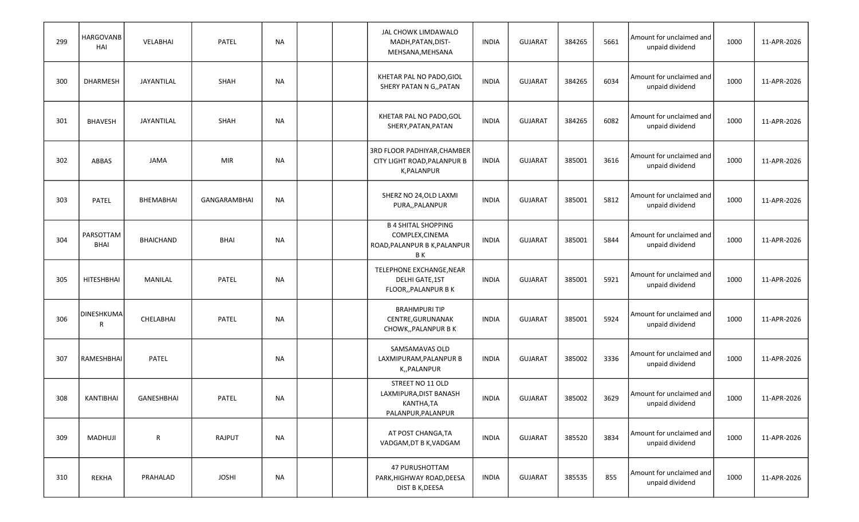| 299 | <b>HARGOVANB</b><br>HAI  | VELABHAI         | PATEL        | <b>NA</b> |  | JAL CHOWK LIMDAWALO<br>MADH, PATAN, DIST-<br>MEHSANA, MEHSANA                       | <b>INDIA</b> | <b>GUJARAT</b> | 384265 | 5661 | Amount for unclaimed and<br>unpaid dividend | 1000 | 11-APR-2026 |
|-----|--------------------------|------------------|--------------|-----------|--|-------------------------------------------------------------------------------------|--------------|----------------|--------|------|---------------------------------------------|------|-------------|
| 300 | <b>DHARMESH</b>          | JAYANTILAL       | SHAH         | <b>NA</b> |  | KHETAR PAL NO PADO, GIOL<br>SHERY PATAN N G,, PATAN                                 | <b>INDIA</b> | <b>GUJARAT</b> | 384265 | 6034 | Amount for unclaimed and<br>unpaid dividend | 1000 | 11-APR-2026 |
| 301 | <b>BHAVESH</b>           | JAYANTILAL       | SHAH         | <b>NA</b> |  | KHETAR PAL NO PADO, GOL<br>SHERY, PATAN, PATAN                                      | <b>INDIA</b> | <b>GUJARAT</b> | 384265 | 6082 | Amount for unclaimed and<br>unpaid dividend | 1000 | 11-APR-2026 |
| 302 | ABBAS                    | <b>JAMA</b>      | <b>MIR</b>   | <b>NA</b> |  | 3RD FLOOR PADHIYAR, CHAMBER<br>CITY LIGHT ROAD, PALANPUR B<br>K, PALANPUR           | <b>INDIA</b> | <b>GUJARAT</b> | 385001 | 3616 | Amount for unclaimed and<br>unpaid dividend | 1000 | 11-APR-2026 |
| 303 | PATEL                    | BHEMABHAI        | GANGARAMBHAI | <b>NA</b> |  | SHERZ NO 24, OLD LAXMI<br>PURA,, PALANPUR                                           | <b>INDIA</b> | <b>GUJARAT</b> | 385001 | 5812 | Amount for unclaimed and<br>unpaid dividend | 1000 | 11-APR-2026 |
| 304 | PARSOTTAM<br><b>BHAI</b> | <b>BHAICHAND</b> | <b>BHAI</b>  | <b>NA</b> |  | <b>B 4 SHITAL SHOPPING</b><br>COMPLEX, CINEMA<br>ROAD, PALANPUR B K, PALANPUR<br>ΒK | <b>INDIA</b> | <b>GUJARAT</b> | 385001 | 5844 | Amount for unclaimed and<br>unpaid dividend | 1000 | 11-APR-2026 |
| 305 | <b>HITESHBHAI</b>        | MANILAL          | PATEL        | <b>NA</b> |  | TELEPHONE EXCHANGE, NEAR<br>DELHI GATE, 1ST<br>FLOOR,, PALANPUR B K                 | <b>INDIA</b> | <b>GUJARAT</b> | 385001 | 5921 | Amount for unclaimed and<br>unpaid dividend | 1000 | 11-APR-2026 |
| 306 | <b>DINESHKUMA</b><br>R   | CHELABHAI        | PATEL        | <b>NA</b> |  | <b>BRAHMPURI TIP</b><br>CENTRE, GURUNANAK<br>CHOWK,, PALANPUR B K                   | <b>INDIA</b> | <b>GUJARAT</b> | 385001 | 5924 | Amount for unclaimed and<br>unpaid dividend | 1000 | 11-APR-2026 |
| 307 | RAMESHBHAI               | PATEL            |              | <b>NA</b> |  | SAMSAMAVAS OLD<br>LAXMIPURAM, PALANPUR B<br>K,,PALANPUR                             | <b>INDIA</b> | <b>GUJARAT</b> | 385002 | 3336 | Amount for unclaimed and<br>unpaid dividend | 1000 | 11-APR-2026 |
| 308 | KANTIBHAI                | GANESHBHAI       | <b>PATEL</b> | <b>NA</b> |  | STREET NO 11 OLD<br>LAXMIPURA, DIST BANASH<br>KANTHA,TA<br>PALANPUR, PALANPUR       | <b>INDIA</b> | <b>GUJARAT</b> | 385002 | 3629 | Amount for unclaimed and<br>unpaid dividend | 1000 | 11-APR-2026 |
| 309 | MADHUJI                  | ${\sf R}$        | RAJPUT       | <b>NA</b> |  | AT POST CHANGA, TA<br>VADGAM, DT B K, VADGAM                                        | <b>INDIA</b> | <b>GUJARAT</b> | 385520 | 3834 | Amount for unclaimed and<br>unpaid dividend | 1000 | 11-APR-2026 |
| 310 | REKHA                    | PRAHALAD         | <b>JOSHI</b> | <b>NA</b> |  | 47 PURUSHOTTAM<br>PARK, HIGHWAY ROAD, DEESA<br>DIST B K, DEESA                      | INDIA        | <b>GUJARAT</b> | 385535 | 855  | Amount for unclaimed and<br>unpaid dividend | 1000 | 11-APR-2026 |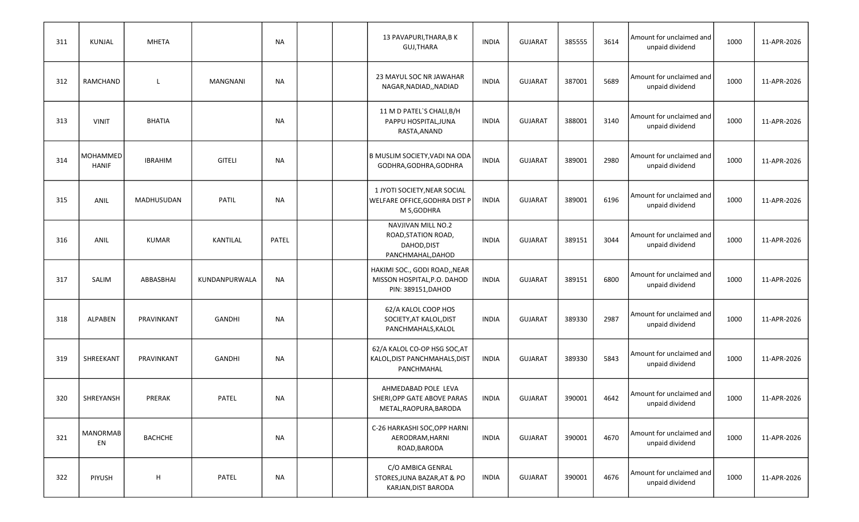| 311 | KUNJAL                   | <b>MHETA</b>   |                 | <b>NA</b> |  | 13 PAVAPURI, THARA, BK<br><b>GUJ,THARA</b>                                         | <b>INDIA</b> | <b>GUJARAT</b> | 385555 | 3614 | Amount for unclaimed and<br>unpaid dividend | 1000 | 11-APR-2026 |
|-----|--------------------------|----------------|-----------------|-----------|--|------------------------------------------------------------------------------------|--------------|----------------|--------|------|---------------------------------------------|------|-------------|
| 312 | RAMCHAND                 | L              | <b>MANGNANI</b> | NA        |  | 23 MAYUL SOC NR JAWAHAR<br>NAGAR, NADIAD, , NADIAD                                 | <b>INDIA</b> | <b>GUJARAT</b> | 387001 | 5689 | Amount for unclaimed and<br>unpaid dividend | 1000 | 11-APR-2026 |
| 313 | <b>VINIT</b>             | <b>BHATIA</b>  |                 | NA        |  | 11 M D PATEL'S CHALI, B/H<br>PAPPU HOSPITAL, JUNA<br>RASTA, ANAND                  | <b>INDIA</b> | <b>GUJARAT</b> | 388001 | 3140 | Amount for unclaimed and<br>unpaid dividend | 1000 | 11-APR-2026 |
| 314 | MOHAMMED<br><b>HANIF</b> | <b>IBRAHIM</b> | <b>GITELI</b>   | <b>NA</b> |  | B MUSLIM SOCIETY, VADI NA ODA<br>GODHRA, GODHRA, GODHRA                            | <b>INDIA</b> | <b>GUJARAT</b> | 389001 | 2980 | Amount for unclaimed and<br>unpaid dividend | 1000 | 11-APR-2026 |
| 315 | ANIL                     | MADHUSUDAN     | <b>PATIL</b>    | <b>NA</b> |  | 1 JYOTI SOCIETY, NEAR SOCIAL<br>WELFARE OFFICE, GODHRA DIST P<br>M S, GODHRA       | <b>INDIA</b> | <b>GUJARAT</b> | 389001 | 6196 | Amount for unclaimed and<br>unpaid dividend | 1000 | 11-APR-2026 |
| 316 | ANIL                     | <b>KUMAR</b>   | KANTILAL        | PATEL     |  | NAVJIVAN MILL NO.2<br>ROAD, STATION ROAD,<br>DAHOD, DIST<br>PANCHMAHAL, DAHOD      | <b>INDIA</b> | <b>GUJARAT</b> | 389151 | 3044 | Amount for unclaimed and<br>unpaid dividend | 1000 | 11-APR-2026 |
| 317 | SALIM                    | ABBASBHAI      | KUNDANPURWALA   | <b>NA</b> |  | HAKIMI SOC., GODI ROAD,, NEAR<br>MISSON HOSPITAL, P.O. DAHOD<br>PIN: 389151, DAHOD | <b>INDIA</b> | <b>GUJARAT</b> | 389151 | 6800 | Amount for unclaimed and<br>unpaid dividend | 1000 | 11-APR-2026 |
| 318 | ALPABEN                  | PRAVINKANT     | <b>GANDHI</b>   | NA        |  | 62/A KALOL COOP HOS<br>SOCIETY, AT KALOL, DIST<br>PANCHMAHALS, KALOL               | <b>INDIA</b> | <b>GUJARAT</b> | 389330 | 2987 | Amount for unclaimed and<br>unpaid dividend | 1000 | 11-APR-2026 |
| 319 | SHREEKANT                | PRAVINKANT     | <b>GANDHI</b>   | NA        |  | 62/A KALOL CO-OP HSG SOC, AT<br>KALOL, DIST PANCHMAHALS, DIST<br>PANCHMAHAL        | <b>INDIA</b> | <b>GUJARAT</b> | 389330 | 5843 | Amount for unclaimed and<br>unpaid dividend | 1000 | 11-APR-2026 |
| 320 | SHREYANSH                | PRERAK         | PATEL           | <b>NA</b> |  | AHMEDABAD POLE LEVA<br>SHERI, OPP GATE ABOVE PARAS<br>METAL, RAOPURA, BARODA       | <b>INDIA</b> | <b>GUJARAT</b> | 390001 | 4642 | Amount for unclaimed and<br>unpaid dividend | 1000 | 11-APR-2026 |
| 321 | <b>MANORMAB</b><br>EN    | <b>BACHCHE</b> |                 | <b>NA</b> |  | C-26 HARKASHI SOC, OPP HARNI<br>AERODRAM, HARNI<br>ROAD, BARODA                    | <b>INDIA</b> | <b>GUJARAT</b> | 390001 | 4670 | Amount for unclaimed and<br>unpaid dividend | 1000 | 11-APR-2026 |
| 322 | PIYUSH                   | Н              | PATEL           | <b>NA</b> |  | C/O AMBICA GENRAL<br>STORES, JUNA BAZAR, AT & PO<br>KARJAN, DIST BARODA            | <b>INDIA</b> | <b>GUJARAT</b> | 390001 | 4676 | Amount for unclaimed and<br>unpaid dividend | 1000 | 11-APR-2026 |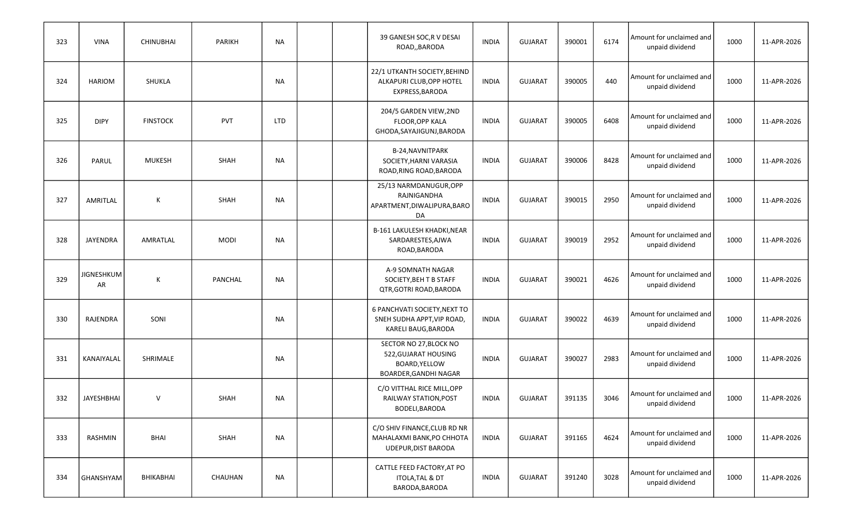| 323 | <b>VINA</b>             | <b>CHINUBHAI</b> | <b>PARIKH</b> | <b>NA</b> |  | 39 GANESH SOC, R V DESAI<br>ROAD,, BARODA                                                | <b>INDIA</b> | <b>GUJARAT</b> | 390001 | 6174 | Amount for unclaimed and<br>unpaid dividend | 1000 | 11-APR-2026 |
|-----|-------------------------|------------------|---------------|-----------|--|------------------------------------------------------------------------------------------|--------------|----------------|--------|------|---------------------------------------------|------|-------------|
| 324 | <b>HARIOM</b>           | SHUKLA           |               | NA        |  | 22/1 UTKANTH SOCIETY, BEHIND<br>ALKAPURI CLUB, OPP HOTEL<br>EXPRESS, BARODA              | <b>INDIA</b> | <b>GUJARAT</b> | 390005 | 440  | Amount for unclaimed and<br>unpaid dividend | 1000 | 11-APR-2026 |
| 325 | <b>DIPY</b>             | <b>FINSTOCK</b>  | <b>PVT</b>    | LTD       |  | 204/5 GARDEN VIEW, 2ND<br>FLOOR, OPP KALA<br>GHODA, SAYAJIGUNJ, BARODA                   | <b>INDIA</b> | <b>GUJARAT</b> | 390005 | 6408 | Amount for unclaimed and<br>unpaid dividend | 1000 | 11-APR-2026 |
| 326 | PARUL                   | <b>MUKESH</b>    | <b>SHAH</b>   | NA        |  | B-24, NAVNITPARK<br>SOCIETY, HARNI VARASIA<br>ROAD, RING ROAD, BARODA                    | <b>INDIA</b> | <b>GUJARAT</b> | 390006 | 8428 | Amount for unclaimed and<br>unpaid dividend | 1000 | 11-APR-2026 |
| 327 | AMRITLAL                | К                | SHAH          | <b>NA</b> |  | 25/13 NARMDANUGUR, OPP<br>RAJNIGANDHA<br>APARTMENT, DIWALIPURA, BARO<br>DA               | <b>INDIA</b> | <b>GUJARAT</b> | 390015 | 2950 | Amount for unclaimed and<br>unpaid dividend | 1000 | 11-APR-2026 |
| 328 | <b>JAYENDRA</b>         | AMRATLAL         | <b>MODI</b>   | NA        |  | B-161 LAKULESH KHADKI, NEAR<br>SARDARESTES, AJWA<br>ROAD, BARODA                         | <b>INDIA</b> | <b>GUJARAT</b> | 390019 | 2952 | Amount for unclaimed and<br>unpaid dividend | 1000 | 11-APR-2026 |
| 329 | <b>JIGNESHKUM</b><br>AR | К                | PANCHAL       | NA        |  | A-9 SOMNATH NAGAR<br>SOCIETY, BEH T B STAFF<br>QTR, GOTRI ROAD, BARODA                   | <b>INDIA</b> | <b>GUJARAT</b> | 390021 | 4626 | Amount for unclaimed and<br>unpaid dividend | 1000 | 11-APR-2026 |
| 330 | RAJENDRA                | SONI             |               | NA        |  | 6 PANCHVATI SOCIETY, NEXT TO<br>SNEH SUDHA APPT, VIP ROAD,<br>KARELI BAUG, BARODA        | <b>INDIA</b> | <b>GUJARAT</b> | 390022 | 4639 | Amount for unclaimed and<br>unpaid dividend | 1000 | 11-APR-2026 |
| 331 | KANAIYALAL              | SHRIMALE         |               | NA        |  | SECTOR NO 27, BLOCK NO<br>522, GUJARAT HOUSING<br>BOARD, YELLOW<br>BOARDER, GANDHI NAGAR | <b>INDIA</b> | <b>GUJARAT</b> | 390027 | 2983 | Amount for unclaimed and<br>unpaid dividend | 1000 | 11-APR-2026 |
| 332 | <b>JAYESHBHAI</b>       | $\vee$           | SHAH          | NA        |  | C/O VITTHAL RICE MILL, OPP<br>RAILWAY STATION, POST<br>BODELI, BARODA                    | <b>INDIA</b> | <b>GUJARAT</b> | 391135 | 3046 | Amount for unclaimed and<br>unpaid dividend | 1000 | 11-APR-2026 |
| 333 | RASHMIN                 | <b>BHAI</b>      | SHAH          | <b>NA</b> |  | C/O SHIV FINANCE, CLUB RD NR<br>MAHALAXMI BANK, PO CHHOTA<br><b>UDEPUR, DIST BARODA</b>  | <b>INDIA</b> | <b>GUJARAT</b> | 391165 | 4624 | Amount for unclaimed and<br>unpaid dividend | 1000 | 11-APR-2026 |
| 334 | GHANSHYAM               | BHIKABHAI        | CHAUHAN       | <b>NA</b> |  | CATTLE FEED FACTORY, AT PO<br>ITOLA, TAL & DT<br>BARODA, BARODA                          | INDIA        | <b>GUJARAT</b> | 391240 | 3028 | Amount for unclaimed and<br>unpaid dividend | 1000 | 11-APR-2026 |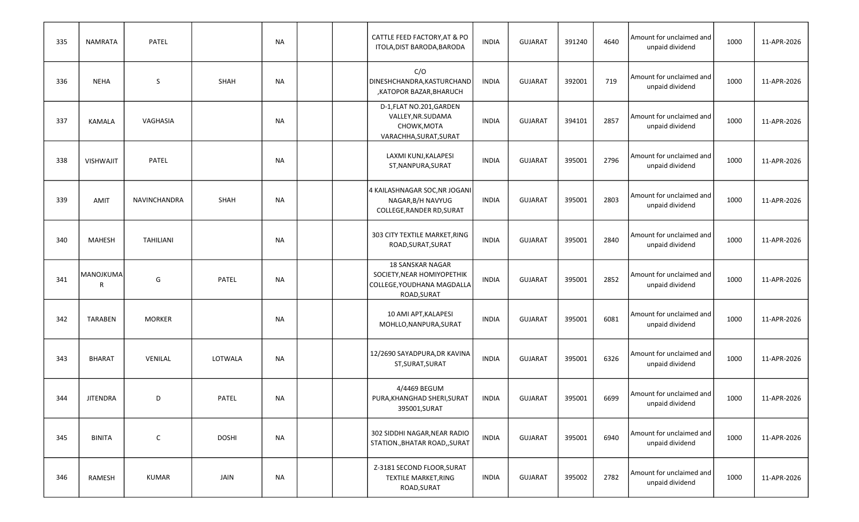| 335 | <b>NAMRATA</b>   | PATEL               |              | <b>NA</b> |  | CATTLE FEED FACTORY, AT & PO<br>ITOLA, DIST BARODA, BARODA                                         | <b>INDIA</b> | <b>GUJARAT</b> | 391240 | 4640 | Amount for unclaimed and<br>unpaid dividend | 1000 | 11-APR-2026 |
|-----|------------------|---------------------|--------------|-----------|--|----------------------------------------------------------------------------------------------------|--------------|----------------|--------|------|---------------------------------------------|------|-------------|
| 336 | <b>NEHA</b>      | S                   | SHAH         | <b>NA</b> |  | C/O<br>DINESHCHANDRA, KASTURCHAND<br>,KATOPOR BAZAR,BHARUCH                                        | <b>INDIA</b> | <b>GUJARAT</b> | 392001 | 719  | Amount for unclaimed and<br>unpaid dividend | 1000 | 11-APR-2026 |
| 337 | <b>KAMALA</b>    | VAGHASIA            |              | NA        |  | D-1, FLAT NO.201, GARDEN<br>VALLEY, NR. SUDAMA<br>CHOWK, MOTA<br>VARACHHA, SURAT, SURAT            | <b>INDIA</b> | <b>GUJARAT</b> | 394101 | 2857 | Amount for unclaimed and<br>unpaid dividend | 1000 | 11-APR-2026 |
| 338 | <b>VISHWAJIT</b> | PATEL               |              | <b>NA</b> |  | LAXMI KUNJ, KALAPESI<br>ST, NANPURA, SURAT                                                         | <b>INDIA</b> | <b>GUJARAT</b> | 395001 | 2796 | Amount for unclaimed and<br>unpaid dividend | 1000 | 11-APR-2026 |
| 339 | <b>AMIT</b>      | <b>NAVINCHANDRA</b> | SHAH         | <b>NA</b> |  | 4 KAILASHNAGAR SOC, NR JOGANI<br>NAGAR, B/H NAVYUG<br>COLLEGE, RANDER RD, SURAT                    | <b>INDIA</b> | <b>GUJARAT</b> | 395001 | 2803 | Amount for unclaimed and<br>unpaid dividend | 1000 | 11-APR-2026 |
| 340 | <b>MAHESH</b>    | TAHILIANI           |              | NA        |  | 303 CITY TEXTILE MARKET, RING<br>ROAD, SURAT, SURAT                                                | <b>INDIA</b> | <b>GUJARAT</b> | 395001 | 2840 | Amount for unclaimed and<br>unpaid dividend | 1000 | 11-APR-2026 |
| 341 | MANOJKUMA<br>R   | G                   | PATEL        | <b>NA</b> |  | <b>18 SANSKAR NAGAR</b><br>SOCIETY, NEAR HOMIYOPETHIK<br>COLLEGE, YOUDHANA MAGDALLA<br>ROAD, SURAT | <b>INDIA</b> | <b>GUJARAT</b> | 395001 | 2852 | Amount for unclaimed and<br>unpaid dividend | 1000 | 11-APR-2026 |
| 342 | <b>TARABEN</b>   | <b>MORKER</b>       |              | NA        |  | 10 AMI APT, KALAPESI<br>MOHLLO, NANPURA, SURAT                                                     | <b>INDIA</b> | <b>GUJARAT</b> | 395001 | 6081 | Amount for unclaimed and<br>unpaid dividend | 1000 | 11-APR-2026 |
| 343 | <b>BHARAT</b>    | VENILAL             | LOTWALA      | <b>NA</b> |  | 12/2690 SAYADPURA, DR KAVINA<br>ST, SURAT, SURAT                                                   | <b>INDIA</b> | <b>GUJARAT</b> | 395001 | 6326 | Amount for unclaimed and<br>unpaid dividend | 1000 | 11-APR-2026 |
| 344 | <b>JITENDRA</b>  | D                   | <b>PATEL</b> | <b>NA</b> |  | 4/4469 BEGUM<br>PURA, KHANGHAD SHERI, SURAT<br>395001, SURAT                                       | <b>INDIA</b> | <b>GUJARAT</b> | 395001 | 6699 | Amount for unclaimed and<br>unpaid dividend | 1000 | 11-APR-2026 |
| 345 | <b>BINITA</b>    | $\mathsf C$         | <b>DOSHI</b> | <b>NA</b> |  | 302 SIDDHI NAGAR, NEAR RADIO<br>STATION., BHATAR ROAD,, SURAT                                      | <b>INDIA</b> | <b>GUJARAT</b> | 395001 | 6940 | Amount for unclaimed and<br>unpaid dividend | 1000 | 11-APR-2026 |
| 346 | RAMESH           | <b>KUMAR</b>        | JAIN         | <b>NA</b> |  | Z-3181 SECOND FLOOR, SURAT<br><b>TEXTILE MARKET, RING</b><br>ROAD, SURAT                           | INDIA        | <b>GUJARAT</b> | 395002 | 2782 | Amount for unclaimed and<br>unpaid dividend | 1000 | 11-APR-2026 |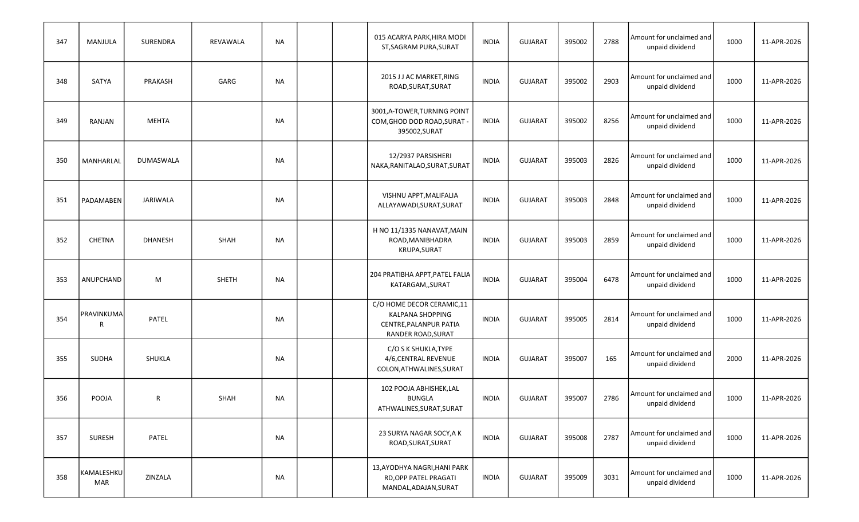| 347 | MANJULA           | SURENDRA       | REVAWALA     | NA        |  | 015 ACARYA PARK, HIRA MODI<br>ST, SAGRAM PURA, SURAT                                                        | <b>INDIA</b> | <b>GUJARAT</b> | 395002 | 2788 | Amount for unclaimed and<br>unpaid dividend | 1000 | 11-APR-2026 |
|-----|-------------------|----------------|--------------|-----------|--|-------------------------------------------------------------------------------------------------------------|--------------|----------------|--------|------|---------------------------------------------|------|-------------|
| 348 | SATYA             | PRAKASH        | GARG         | NA        |  | 2015 J J AC MARKET, RING<br>ROAD, SURAT, SURAT                                                              | <b>INDIA</b> | <b>GUJARAT</b> | 395002 | 2903 | Amount for unclaimed and<br>unpaid dividend | 1000 | 11-APR-2026 |
| 349 | RANJAN            | <b>MEHTA</b>   |              | NA        |  | 3001, A-TOWER, TURNING POINT<br>COM, GHOD DOD ROAD, SURAT -<br>395002, SURAT                                | <b>INDIA</b> | <b>GUJARAT</b> | 395002 | 8256 | Amount for unclaimed and<br>unpaid dividend | 1000 | 11-APR-2026 |
| 350 | MANHARLAL         | DUMASWALA      |              | NA        |  | 12/2937 PARSISHERI<br>NAKA, RANITALAO, SURAT, SURAT                                                         | <b>INDIA</b> | <b>GUJARAT</b> | 395003 | 2826 | Amount for unclaimed and<br>unpaid dividend | 1000 | 11-APR-2026 |
| 351 | PADAMABEN         | JARIWALA       |              | NA        |  | VISHNU APPT, MALIFALIA<br>ALLAYAWADI, SURAT, SURAT                                                          | <b>INDIA</b> | <b>GUJARAT</b> | 395003 | 2848 | Amount for unclaimed and<br>unpaid dividend | 1000 | 11-APR-2026 |
| 352 | <b>CHETNA</b>     | <b>DHANESH</b> | <b>SHAH</b>  | NA        |  | H NO 11/1335 NANAVAT, MAIN<br>ROAD, MANIBHADRA<br>KRUPA, SURAT                                              | <b>INDIA</b> | <b>GUJARAT</b> | 395003 | 2859 | Amount for unclaimed and<br>unpaid dividend | 1000 | 11-APR-2026 |
| 353 | ANUPCHAND         | M              | <b>SHETH</b> | NA        |  | 204 PRATIBHA APPT,PATEL FALIA<br>KATARGAM,, SURAT                                                           | <b>INDIA</b> | <b>GUJARAT</b> | 395004 | 6478 | Amount for unclaimed and<br>unpaid dividend | 1000 | 11-APR-2026 |
| 354 | PRAVINKUMA<br>R   | PATEL          |              | <b>NA</b> |  | C/O HOME DECOR CERAMIC,11<br><b>KALPANA SHOPPING</b><br>CENTRE, PALANPUR PATIA<br><b>RANDER ROAD, SURAT</b> | <b>INDIA</b> | <b>GUJARAT</b> | 395005 | 2814 | Amount for unclaimed and<br>unpaid dividend | 1000 | 11-APR-2026 |
| 355 | <b>SUDHA</b>      | SHUKLA         |              | <b>NA</b> |  | C/O S K SHUKLA, TYPE<br>4/6, CENTRAL REVENUE<br>COLON, ATHWALINES, SURAT                                    | INDIA        | <b>GUJARAT</b> | 395007 | 165  | Amount for unclaimed and<br>unpaid dividend | 2000 | 11-APR-2026 |
| 356 | <b>POOJA</b>      | R              | SHAH         | ΝA        |  | 102 POOJA ABHISHEK,LAL<br><b>BUNGLA</b><br>ATHWALINES, SURAT, SURAT                                         | <b>INDIA</b> | <b>GUJARAT</b> | 395007 | 2786 | Amount for unclaimed and<br>unpaid dividend | 1000 | 11-APR-2026 |
| 357 | SURESH            | PATEL          |              | NA        |  | 23 SURYA NAGAR SOCY, A K<br>ROAD, SURAT, SURAT                                                              | <b>INDIA</b> | <b>GUJARAT</b> | 395008 | 2787 | Amount for unclaimed and<br>unpaid dividend | 1000 | 11-APR-2026 |
| 358 | KAMALESHKU<br>MAR | ZINZALA        |              | NA        |  | 13, AYODHYA NAGRI, HANI PARK<br>RD, OPP PATEL PRAGATI<br>MANDAL, ADAJAN, SURAT                              | INDIA        | GUJARAT        | 395009 | 3031 | Amount for unclaimed and<br>unpaid dividend | 1000 | 11-APR-2026 |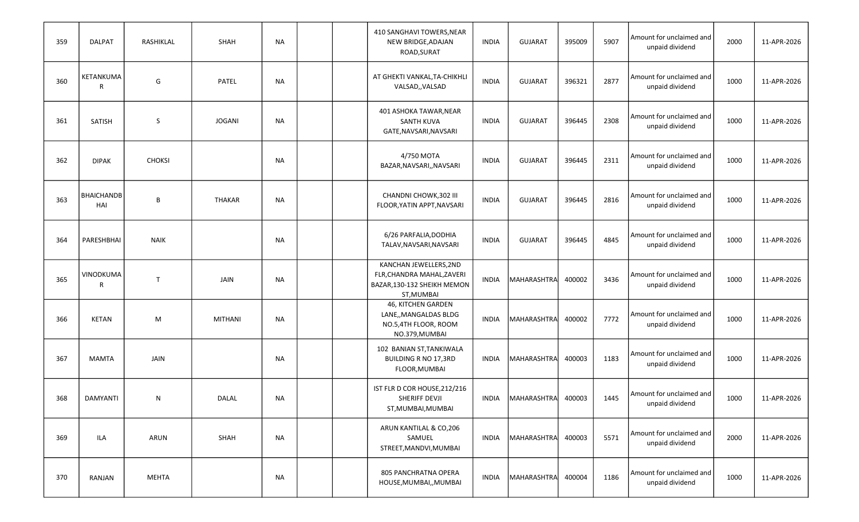| 359 | <b>DALPAT</b>            | RASHIKLAL     | SHAH           | NA        |  | 410 SANGHAVI TOWERS, NEAR<br>NEW BRIDGE, ADAJAN<br>ROAD, SURAT                                    | <b>INDIA</b> | <b>GUJARAT</b>     | 395009 | 5907 | Amount for unclaimed and<br>unpaid dividend | 2000 | 11-APR-2026 |
|-----|--------------------------|---------------|----------------|-----------|--|---------------------------------------------------------------------------------------------------|--------------|--------------------|--------|------|---------------------------------------------|------|-------------|
| 360 | KETANKUMA<br>R           | G             | PATEL          | NA        |  | AT GHEKTI VANKAL, TA-CHIKHLI<br>VALSAD,, VALSAD                                                   | <b>INDIA</b> | <b>GUJARAT</b>     | 396321 | 2877 | Amount for unclaimed and<br>unpaid dividend | 1000 | 11-APR-2026 |
| 361 | SATISH                   | S             | <b>JOGANI</b>  | NA        |  | 401 ASHOKA TAWAR, NEAR<br><b>SANTH KUVA</b><br>GATE, NAVSARI, NAVSARI                             | <b>INDIA</b> | <b>GUJARAT</b>     | 396445 | 2308 | Amount for unclaimed and<br>unpaid dividend | 1000 | 11-APR-2026 |
| 362 | <b>DIPAK</b>             | <b>CHOKSI</b> |                | <b>NA</b> |  | 4/750 MOTA<br>BAZAR, NAVSARI, , NAVSARI                                                           | <b>INDIA</b> | <b>GUJARAT</b>     | 396445 | 2311 | Amount for unclaimed and<br>unpaid dividend | 1000 | 11-APR-2026 |
| 363 | <b>BHAICHANDB</b><br>HAI | B             | <b>THAKAR</b>  | <b>NA</b> |  | CHANDNI CHOWK, 302 III<br>FLOOR, YATIN APPT, NAVSARI                                              | <b>INDIA</b> | <b>GUJARAT</b>     | 396445 | 2816 | Amount for unclaimed and<br>unpaid dividend | 1000 | 11-APR-2026 |
| 364 | PARESHBHAI               | <b>NAIK</b>   |                | NA        |  | 6/26 PARFALIA, DODHIA<br>TALAV, NAVSARI, NAVSARI                                                  | <b>INDIA</b> | <b>GUJARAT</b>     | 396445 | 4845 | Amount for unclaimed and<br>unpaid dividend | 1000 | 11-APR-2026 |
| 365 | VINODKUMA<br>R           | $\mathsf{T}$  | JAIN           | NA        |  | KANCHAN JEWELLERS, 2ND<br>FLR, CHANDRA MAHAL, ZAVERI<br>BAZAR, 130-132 SHEIKH MEMON<br>ST, MUMBAI | <b>INDIA</b> | MAHARASHTRA        | 400002 | 3436 | Amount for unclaimed and<br>unpaid dividend | 1000 | 11-APR-2026 |
| 366 | <b>KETAN</b>             | M             | <b>MITHANI</b> | NA        |  | 46, KITCHEN GARDEN<br>LANE,, MANGALDAS BLDG<br>NO.5,4TH FLOOR, ROOM<br>NO.379, MUMBAI             | <b>INDIA</b> | MAHARASHTRA        | 400002 | 7772 | Amount for unclaimed and<br>unpaid dividend | 1000 | 11-APR-2026 |
| 367 | <b>MAMTA</b>             | JAIN          |                | <b>NA</b> |  | 102 BANIAN ST, TANKIWALA<br><b>BUILDING R NO 17,3RD</b><br>FLOOR, MUMBAI                          | <b>INDIA</b> | MAHARASHTRA        | 400003 | 1183 | Amount for unclaimed and<br>unpaid dividend | 1000 | 11-APR-2026 |
| 368 | DAMYANTI                 | N             | DALAL          | NA        |  | IST FLR D COR HOUSE, 212/216<br>SHERIFF DEVJI<br>ST, MUMBAI, MUMBAI                               | <b>INDIA</b> | <b>MAHARASHTRA</b> | 400003 | 1445 | Amount for unclaimed and<br>unpaid dividend | 1000 | 11-APR-2026 |
| 369 | ILA                      | ARUN          | SHAH           | NA        |  | ARUN KANTILAL & CO,206<br>SAMUEL<br>STREET, MANDVI, MUMBAI                                        | INDIA        | MAHARASHTRA        | 400003 | 5571 | Amount for unclaimed and<br>unpaid dividend | 2000 | 11-APR-2026 |
| 370 | RANJAN                   | MEHTA         |                | NA        |  | 805 PANCHRATNA OPERA<br>HOUSE, MUMBAI,, MUMBAI                                                    | INDIA        | MAHARASHTRA        | 400004 | 1186 | Amount for unclaimed and<br>unpaid dividend | 1000 | 11-APR-2026 |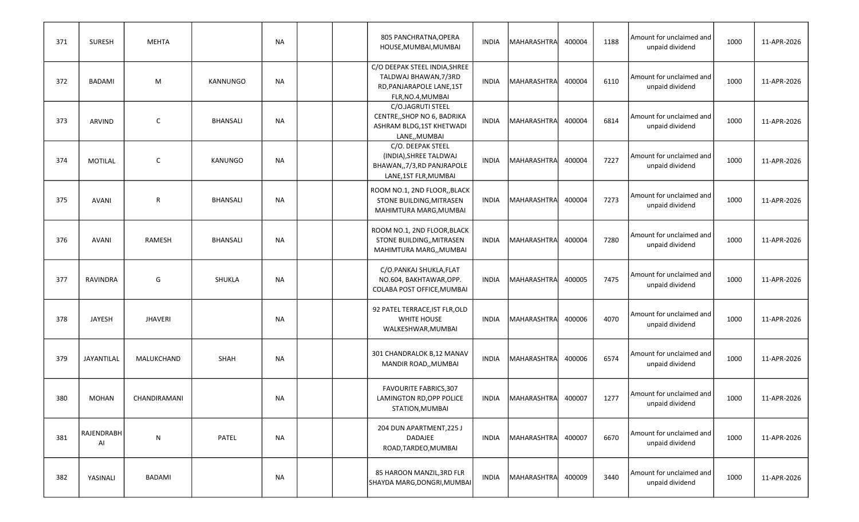| 371 | <b>SURESH</b>           | <b>MEHTA</b>   |                 | NA        |  | 805 PANCHRATNA, OPERA<br>HOUSE, MUMBAI, MUMBAI                                                           | INDIA        | MAHARASHTRA        | 400004 | 1188 | Amount for unclaimed and<br>unpaid dividend | 1000 | 11-APR-2026 |
|-----|-------------------------|----------------|-----------------|-----------|--|----------------------------------------------------------------------------------------------------------|--------------|--------------------|--------|------|---------------------------------------------|------|-------------|
| 372 | <b>BADAMI</b>           | M              | <b>KANNUNGO</b> | NA        |  | C/O DEEPAK STEEL INDIA, SHREE<br>TALDWAJ BHAWAN, 7/3RD<br>RD, PANJARAPOLE LANE, 1ST<br>FLR, NO.4, MUMBAI | <b>INDIA</b> | MAHARASHTRA        | 400004 | 6110 | Amount for unclaimed and<br>unpaid dividend | 1000 | 11-APR-2026 |
| 373 | ARVIND                  | C              | <b>BHANSALI</b> | NA        |  | C/O.JAGRUTI STEEL<br>CENTRE,, SHOP NO 6, BADRIKA<br>ASHRAM BLDG, 1ST KHETWADI<br>LANE,, MUMBAI           | <b>INDIA</b> | MAHARASHTRA        | 400004 | 6814 | Amount for unclaimed and<br>unpaid dividend | 1000 | 11-APR-2026 |
| 374 | <b>MOTILAL</b>          | C              | KANUNGO         | <b>NA</b> |  | C/O. DEEPAK STEEL<br>(INDIA), SHREE TALDWAJ<br>BHAWAN,, 7/3, RD PANJRAPOLE<br>LANE, 1ST FLR, MUMBAI      | <b>INDIA</b> | MAHARASHTRA        | 400004 | 7227 | Amount for unclaimed and<br>unpaid dividend | 1000 | 11-APR-2026 |
| 375 | <b>AVANI</b>            | R              | <b>BHANSALI</b> | <b>NA</b> |  | ROOM NO.1, 2ND FLOOR,, BLACK<br>STONE BUILDING, MITRASEN<br>MAHIMTURA MARG, MUMBAI                       | <b>INDIA</b> | <b>MAHARASHTRA</b> | 400004 | 7273 | Amount for unclaimed and<br>unpaid dividend | 1000 | 11-APR-2026 |
| 376 | <b>AVANI</b>            | RAMESH         | <b>BHANSALI</b> | <b>NA</b> |  | ROOM NO.1, 2ND FLOOR, BLACK<br>STONE BUILDING,, MITRASEN<br>MAHIMTURA MARG,, MUMBAI                      | <b>INDIA</b> | MAHARASHTRA        | 400004 | 7280 | Amount for unclaimed and<br>unpaid dividend | 1000 | 11-APR-2026 |
| 377 | RAVINDRA                | G              | SHUKLA          | NA        |  | C/O.PANKAJ SHUKLA, FLAT<br>NO.604, BAKHTAWAR, OPP.<br>COLABA POST OFFICE, MUMBAI                         | <b>INDIA</b> | MAHARASHTRA        | 400005 | 7475 | Amount for unclaimed and<br>unpaid dividend | 1000 | 11-APR-2026 |
| 378 | <b>JAYESH</b>           | <b>JHAVERI</b> |                 | NA        |  | 92 PATEL TERRACE, IST FLR, OLD<br>WHITE HOUSE<br>WALKESHWAR, MUMBAI                                      | <b>INDIA</b> | MAHARASHTRA        | 400006 | 4070 | Amount for unclaimed and<br>unpaid dividend | 1000 | 11-APR-2026 |
| 379 | JAYANTILAL              | MALUKCHAND     | <b>SHAH</b>     | NA        |  | 301 CHANDRALOK B,12 MANAV<br>MANDIR ROAD,, MUMBAI                                                        | <b>INDIA</b> | MAHARASHTRA        | 400006 | 6574 | Amount for unclaimed and<br>unpaid dividend | 1000 | 11-APR-2026 |
| 380 | <b>MOHAN</b>            | CHANDIRAMANI   |                 | <b>NA</b> |  | <b>FAVOURITE FABRICS, 307</b><br>LAMINGTON RD, OPP POLICE<br>STATION, MUMBAI                             | INDIA        | <b>MAHARASHTRA</b> | 400007 | 1277 | Amount for unclaimed and<br>unpaid dividend | 1000 | 11-APR-2026 |
| 381 | <b>RAJENDRABH</b><br>Al | N              | PATEL           | NA        |  | 204 DUN APARTMENT, 225 J<br>DADAJEE<br>ROAD, TARDEO, MUMBAI                                              | INDIA        | MAHARASHTRA        | 400007 | 6670 | Amount for unclaimed and<br>unpaid dividend | 1000 | 11-APR-2026 |
| 382 | YASINALI                | BADAMI         |                 | <b>NA</b> |  | 85 HAROON MANZIL, 3RD FLR<br>SHAYDA MARG, DONGRI, MUMBAI                                                 | INDIA        | MAHARASHTRA        | 400009 | 3440 | Amount for unclaimed and<br>unpaid dividend | 1000 | 11-APR-2026 |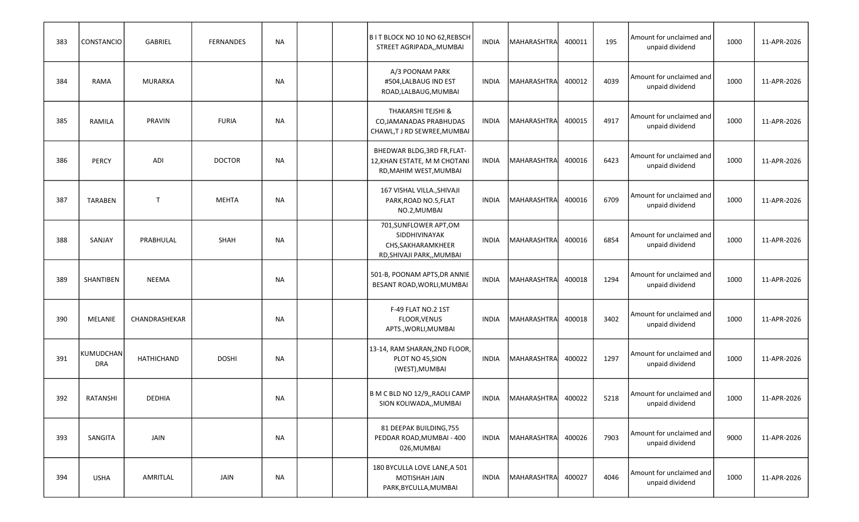| 383 | <b>CONSTANCIO</b>       | GABRIEL        | <b>FERNANDES</b> | NA        |  | B IT BLOCK NO 10 NO 62, REBSCH<br>STREET AGRIPADA,, MUMBAI                                  | INDIA        | MAHARASHTRA        | 400011 | 195  | Amount for unclaimed and<br>unpaid dividend | 1000 | 11-APR-2026 |
|-----|-------------------------|----------------|------------------|-----------|--|---------------------------------------------------------------------------------------------|--------------|--------------------|--------|------|---------------------------------------------|------|-------------|
| 384 | <b>RAMA</b>             | <b>MURARKA</b> |                  | NA        |  | A/3 POONAM PARK<br>#504,LALBAUG IND EST<br>ROAD, LALBAUG, MUMBAI                            | INDIA        | MAHARASHTRA        | 400012 | 4039 | Amount for unclaimed and<br>unpaid dividend | 1000 | 11-APR-2026 |
| 385 | RAMILA                  | PRAVIN         | <b>FURIA</b>     | NA        |  | THAKARSHI TEJSHI &<br>CO, JAMANADAS PRABHUDAS<br>CHAWL,T J RD SEWREE, MUMBAI                | <b>INDIA</b> | MAHARASHTRA        | 400015 | 4917 | Amount for unclaimed and<br>unpaid dividend | 1000 | 11-APR-2026 |
| 386 | <b>PERCY</b>            | ADI            | <b>DOCTOR</b>    | NA        |  | BHEDWAR BLDG, 3RD FR, FLAT-<br>12, KHAN ESTATE, M M CHOTANI<br>RD, MAHIM WEST, MUMBAI       | INDIA        | MAHARASHTRA        | 400016 | 6423 | Amount for unclaimed and<br>unpaid dividend | 1000 | 11-APR-2026 |
| 387 | <b>TARABEN</b>          | $\mathsf{T}$   | <b>MEHTA</b>     | <b>NA</b> |  | 167 VISHAL VILLA., SHIVAJI<br>PARK, ROAD NO.5, FLAT<br>NO.2, MUMBAI                         | INDIA        | MAHARASHTRA        | 400016 | 6709 | Amount for unclaimed and<br>unpaid dividend | 1000 | 11-APR-2026 |
| 388 | SANJAY                  | PRABHULAL      | <b>SHAH</b>      | <b>NA</b> |  | 701, SUNFLOWER APT, OM<br>SIDDHIVINAYAK<br>CHS, SAKHARAMKHEER<br>RD, SHIVAJI PARK, , MUMBAI | <b>INDIA</b> | <b>MAHARASHTRA</b> | 400016 | 6854 | Amount for unclaimed and<br>unpaid dividend | 1000 | 11-APR-2026 |
| 389 | <b>SHANTIBEN</b>        | NEEMA          |                  | NA        |  | 501-B, POONAM APTS, DR ANNIE<br>BESANT ROAD, WORLI, MUMBAI                                  | <b>INDIA</b> | MAHARASHTRA        | 400018 | 1294 | Amount for unclaimed and<br>unpaid dividend | 1000 | 11-APR-2026 |
| 390 | MELANIE                 | CHANDRASHEKAR  |                  | NA        |  | F-49 FLAT NO.2 1ST<br><b>FLOOR, VENUS</b><br>APTS., WORLI, MUMBAI                           | INDIA        | MAHARASHTRA        | 400018 | 3402 | Amount for unclaimed and<br>unpaid dividend | 1000 | 11-APR-2026 |
| 391 | KUMUDCHAN<br><b>DRA</b> | HATHICHAND     | <b>DOSHI</b>     | NA        |  | 13-14, RAM SHARAN, 2ND FLOOR,<br>PLOT NO 45, SION<br>(WEST), MUMBAI                         | INDIA        | MAHARASHTRA        | 400022 | 1297 | Amount for unclaimed and<br>unpaid dividend | 1000 | 11-APR-2026 |
| 392 | RATANSHI                | <b>DEDHIA</b>  |                  | NA        |  | B M C BLD NO 12/9,, RAOLI CAMP<br>SION KOLIWADA,, MUMBAI                                    | INDIA        | <b>MAHARASHTRA</b> | 400022 | 5218 | Amount for unclaimed and<br>unpaid dividend | 1000 | 11-APR-2026 |
| 393 | SANGITA                 | JAIN           |                  | <b>NA</b> |  | 81 DEEPAK BUILDING, 755<br>PEDDAR ROAD, MUMBAI - 400<br>026, MUMBAI                         | INDIA        | MAHARASHTRA        | 400026 | 7903 | Amount for unclaimed and<br>unpaid dividend | 9000 | 11-APR-2026 |
| 394 | <b>USHA</b>             | AMRITLAL       | JAIN             | <b>NA</b> |  | 180 BYCULLA LOVE LANE, A 501<br>MOTISHAH JAIN<br>PARK, BYCULLA, MUMBAI                      | INDIA        | <b>MAHARASHTRA</b> | 400027 | 4046 | Amount for unclaimed and<br>unpaid dividend | 1000 | 11-APR-2026 |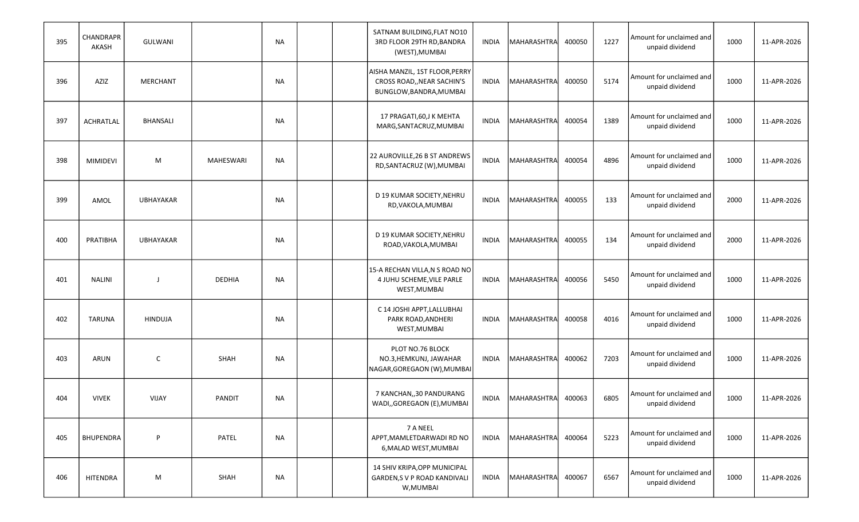| 395 | CHANDRAPR<br>AKASH | GULWANI          |                  | NA        |  | SATNAM BUILDING, FLAT NO10<br>3RD FLOOR 29TH RD, BANDRA<br>(WEST), MUMBAI               | INDIA        | MAHARASHTRA        | 400050 | 1227 | Amount for unclaimed and<br>unpaid dividend | 1000 | 11-APR-2026 |
|-----|--------------------|------------------|------------------|-----------|--|-----------------------------------------------------------------------------------------|--------------|--------------------|--------|------|---------------------------------------------|------|-------------|
| 396 | AZIZ               | MERCHANT         |                  | NA        |  | AISHA MANZIL, 1ST FLOOR, PERRY<br>CROSS ROAD,, NEAR SACHIN'S<br>BUNGLOW, BANDRA, MUMBAI | INDIA        | MAHARASHTRA        | 400050 | 5174 | Amount for unclaimed and<br>unpaid dividend | 1000 | 11-APR-2026 |
| 397 | <b>ACHRATLAL</b>   | BHANSALI         |                  | NA        |  | 17 PRAGATI, 60, J K MEHTA<br>MARG, SANTACRUZ, MUMBAI                                    | <b>INDIA</b> | MAHARASHTRA        | 400054 | 1389 | Amount for unclaimed and<br>unpaid dividend | 1000 | 11-APR-2026 |
| 398 | <b>MIMIDEVI</b>    | M                | <b>MAHESWARI</b> | NA        |  | 22 AUROVILLE, 26 B ST ANDREWS<br>RD, SANTACRUZ (W), MUMBAI                              | <b>INDIA</b> | MAHARASHTRA        | 400054 | 4896 | Amount for unclaimed and<br>unpaid dividend | 1000 | 11-APR-2026 |
| 399 | AMOL               | <b>UBHAYAKAR</b> |                  | NA        |  | D 19 KUMAR SOCIETY, NEHRU<br>RD, VAKOLA, MUMBAI                                         | INDIA        | MAHARASHTRA        | 400055 | 133  | Amount for unclaimed and<br>unpaid dividend | 2000 | 11-APR-2026 |
| 400 | PRATIBHA           | <b>UBHAYAKAR</b> |                  | NA        |  | D 19 KUMAR SOCIETY, NEHRU<br>ROAD, VAKOLA, MUMBAI                                       | <b>INDIA</b> | MAHARASHTRA        | 400055 | 134  | Amount for unclaimed and<br>unpaid dividend | 2000 | 11-APR-2026 |
| 401 | <b>NALINI</b>      |                  | <b>DEDHIA</b>    | <b>NA</b> |  | 15-A RECHAN VILLA, N S ROAD NO<br>4 JUHU SCHEME, VILE PARLE<br>WEST, MUMBAI             | <b>INDIA</b> | MAHARASHTRA        | 400056 | 5450 | Amount for unclaimed and<br>unpaid dividend | 1000 | 11-APR-2026 |
| 402 | <b>TARUNA</b>      | <b>HINDUJA</b>   |                  | NA        |  | C 14 JOSHI APPT, LALLUBHAI<br>PARK ROAD, ANDHERI<br>WEST, MUMBAI                        | <b>INDIA</b> | MAHARASHTRA        | 400058 | 4016 | Amount for unclaimed and<br>unpaid dividend | 1000 | 11-APR-2026 |
| 403 | ARUN               | $\mathsf{C}$     | SHAH             | NA        |  | PLOT NO.76 BLOCK<br>NO.3, HEMKUNJ, JAWAHAR<br>NAGAR, GOREGAON (W), MUMBAI               | INDIA        | MAHARASHTRA        | 400062 | 7203 | Amount for unclaimed and<br>unpaid dividend | 1000 | 11-APR-2026 |
| 404 | <b>VIVEK</b>       | VIJAY            | <b>PANDIT</b>    | <b>NA</b> |  | 7 KANCHAN,,30 PANDURANG<br>WADI,, GOREGAON (E), MUMBAI                                  | INDIA        | MAHARASHTRA        | 400063 | 6805 | Amount for unclaimed and<br>unpaid dividend | 1000 | 11-APR-2026 |
| 405 | <b>BHUPENDRA</b>   | P                | PATEL            | <b>NA</b> |  | 7 A NEEL<br>APPT, MAMLETDARWADI RD NO<br>6, MALAD WEST, MUMBAI                          | INDIA        | MAHARASHTRA        | 400064 | 5223 | Amount for unclaimed and<br>unpaid dividend | 1000 | 11-APR-2026 |
| 406 | <b>HITENDRA</b>    | M                | SHAH             | <b>NA</b> |  | 14 SHIV KRIPA, OPP MUNICIPAL<br>GARDEN, S V P ROAD KANDIVALI<br>W, MUMBAI               | INDIA        | <b>MAHARASHTRA</b> | 400067 | 6567 | Amount for unclaimed and<br>unpaid dividend | 1000 | 11-APR-2026 |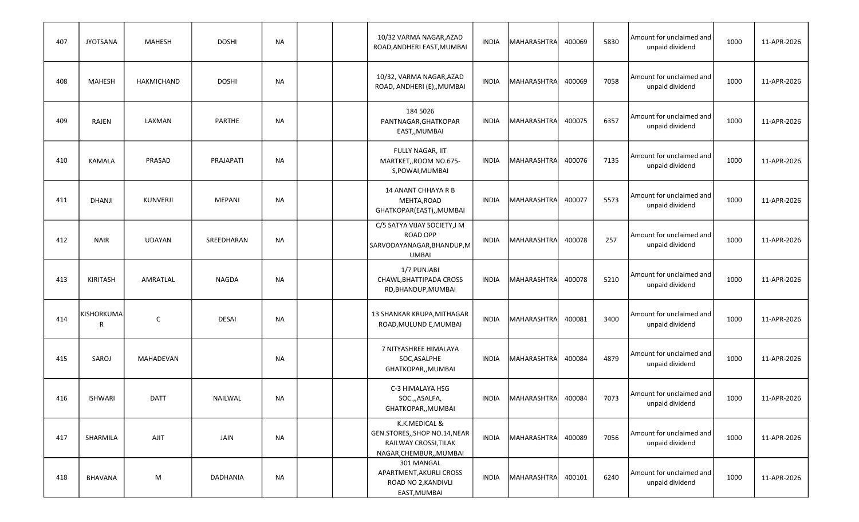| 407 | <b>JYOTSANA</b> | MAHESH          | <b>DOSHI</b>  | NA        |  | 10/32 VARMA NAGAR, AZAD<br>ROAD, ANDHERI EAST, MUMBAI                                              | <b>INDIA</b> | MAHARASHTRA        | 400069 | 5830 | Amount for unclaimed and<br>unpaid dividend | 1000 | 11-APR-2026 |
|-----|-----------------|-----------------|---------------|-----------|--|----------------------------------------------------------------------------------------------------|--------------|--------------------|--------|------|---------------------------------------------|------|-------------|
| 408 | <b>MAHESH</b>   | HAKMICHAND      | <b>DOSHI</b>  | NA        |  | 10/32, VARMA NAGAR, AZAD<br>ROAD, ANDHERI (E),, MUMBAI                                             | <b>INDIA</b> | MAHARASHTRA        | 400069 | 7058 | Amount for unclaimed and<br>unpaid dividend | 1000 | 11-APR-2026 |
| 409 | RAJEN           | LAXMAN          | PARTHE        | NA        |  | 184 5026<br>PANTNAGAR, GHATKOPAR<br>EAST,, MUMBAI                                                  | <b>INDIA</b> | MAHARASHTRA        | 400075 | 6357 | Amount for unclaimed and<br>unpaid dividend | 1000 | 11-APR-2026 |
| 410 | <b>KAMALA</b>   | PRASAD          | PRAJAPATI     | <b>NA</b> |  | FULLY NAGAR, IIT<br>MARTKET,, ROOM NO.675-<br>S, POWAI, MUMBAI                                     | <b>INDIA</b> | MAHARASHTRA        | 400076 | 7135 | Amount for unclaimed and<br>unpaid dividend | 1000 | 11-APR-2026 |
| 411 | <b>DHANJI</b>   | <b>KUNVERJI</b> | <b>MEPANI</b> | <b>NA</b> |  | 14 ANANT CHHAYA R B<br>MEHTA, ROAD<br>GHATKOPAR(EAST),,MUMBAI                                      | INDIA        | MAHARASHTRA        | 400077 | 5573 | Amount for unclaimed and<br>unpaid dividend | 1000 | 11-APR-2026 |
| 412 | <b>NAIR</b>     | UDAYAN          | SREEDHARAN    | <b>NA</b> |  | C/5 SATYA VIJAY SOCIETY, J M<br><b>ROAD OPP</b><br>SARVODAYANAGAR, BHANDUP, M<br><b>UMBAI</b>      | <b>INDIA</b> | <b>MAHARASHTRA</b> | 400078 | 257  | Amount for unclaimed and<br>unpaid dividend | 1000 | 11-APR-2026 |
| 413 | KIRITASH        | AMRATLAL        | <b>NAGDA</b>  | NA        |  | 1/7 PUNJABI<br>CHAWL, BHATTIPADA CROSS<br>RD, BHANDUP, MUMBAI                                      | <b>INDIA</b> | <b>MAHARASHTRA</b> | 400078 | 5210 | Amount for unclaimed and<br>unpaid dividend | 1000 | 11-APR-2026 |
| 414 | KISHORKUMA<br>R | $\mathsf{C}$    | <b>DESAI</b>  | NA        |  | 13 SHANKAR KRUPA, MITHAGAR<br>ROAD, MULUND E, MUMBAI                                               | <b>INDIA</b> | MAHARASHTRA        | 400081 | 3400 | Amount for unclaimed and<br>unpaid dividend | 1000 | 11-APR-2026 |
| 415 | SAROJ           | MAHADEVAN       |               | <b>NA</b> |  | 7 NITYASHREE HIMALAYA<br>SOC, ASALPHE<br>GHATKOPAR,, MUMBAI                                        | INDIA        | MAHARASHTRA        | 400084 | 4879 | Amount for unclaimed and<br>unpaid dividend | 1000 | 11-APR-2026 |
| 416 | <b>ISHWARI</b>  | <b>DATT</b>     | NAILWAL       | NA        |  | C-3 HIMALAYA HSG<br>SOC.,,ASALFA,<br>GHATKOPAR,, MUMBAI                                            | INDIA        | <b>MAHARASHTRA</b> | 400084 | 7073 | Amount for unclaimed and<br>unpaid dividend | 1000 | 11-APR-2026 |
| 417 | SHARMILA        | <b>AJIT</b>     | JAIN          | NA        |  | K.K.MEDICAL &<br>GEN.STORES,, SHOP NO.14, NEAR<br>RAILWAY CROSSI, TILAK<br>NAGAR, CHEMBUR,, MUMBAI | INDIA        | MAHARASHTRA        | 400089 | 7056 | Amount for unclaimed and<br>unpaid dividend | 1000 | 11-APR-2026 |
| 418 | BHAVANA         | M               | DADHANIA      | NA        |  | 301 MANGAL<br>APARTMENT, AKURLI CROSS<br>ROAD NO 2, KANDIVLI<br>EAST, MUMBAI                       | INDIA        | MAHARASHTRA        | 400101 | 6240 | Amount for unclaimed and<br>unpaid dividend | 1000 | 11-APR-2026 |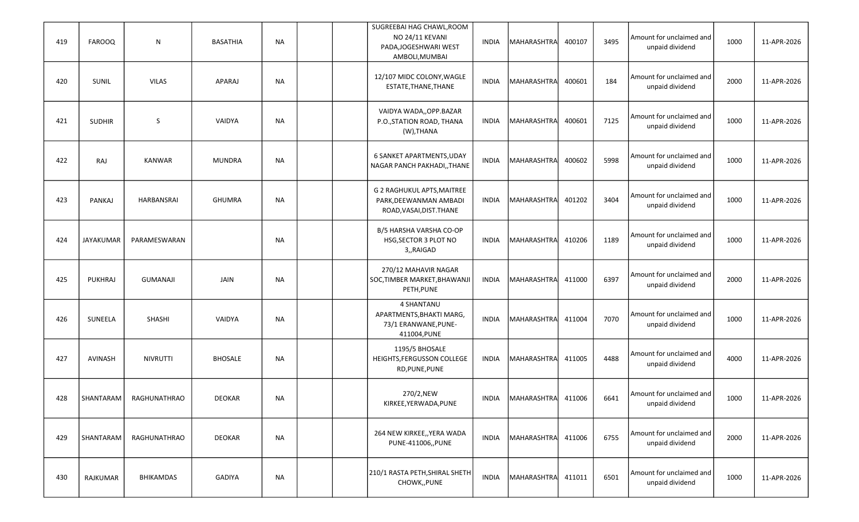| 419 | <b>FAROOQ</b>    | ${\sf N}$       | <b>BASATHIA</b> | NA        |  | SUGREEBAI HAG CHAWL, ROOM<br>NO 24/11 KEVANI<br>PADA, JOGESHWARI WEST<br>AMBOLI, MUMBAI | <b>INDIA</b> | MAHARASHTRA        | 400107 | 3495 | Amount for unclaimed and<br>unpaid dividend | 1000 | 11-APR-2026 |
|-----|------------------|-----------------|-----------------|-----------|--|-----------------------------------------------------------------------------------------|--------------|--------------------|--------|------|---------------------------------------------|------|-------------|
| 420 | SUNIL            | <b>VILAS</b>    | APARAJ          | NA        |  | 12/107 MIDC COLONY, WAGLE<br>ESTATE, THANE, THANE                                       | <b>INDIA</b> | MAHARASHTRA        | 400601 | 184  | Amount for unclaimed and<br>unpaid dividend | 2000 | 11-APR-2026 |
| 421 | <b>SUDHIR</b>    | S               | VAIDYA          | <b>NA</b> |  | VAIDYA WADA,, OPP.BAZAR<br>P.O., STATION ROAD, THANA<br>(W), THANA                      | <b>INDIA</b> | MAHARASHTRA        | 400601 | 7125 | Amount for unclaimed and<br>unpaid dividend | 1000 | 11-APR-2026 |
| 422 | RAJ              | <b>KANWAR</b>   | <b>MUNDRA</b>   | <b>NA</b> |  | 6 SANKET APARTMENTS, UDAY<br>NAGAR PANCH PAKHADI,, THANE                                | <b>INDIA</b> | MAHARASHTRA        | 400602 | 5998 | Amount for unclaimed and<br>unpaid dividend | 1000 | 11-APR-2026 |
| 423 | <b>PANKAJ</b>    | HARBANSRAI      | <b>GHUMRA</b>   | <b>NA</b> |  | G 2 RAGHUKUL APTS, MAITREE<br>PARK, DEEWANMAN AMBADI<br>ROAD, VASAI, DIST. THANE        | <b>INDIA</b> | MAHARASHTRA        | 401202 | 3404 | Amount for unclaimed and<br>unpaid dividend | 1000 | 11-APR-2026 |
| 424 | <b>JAYAKUMAR</b> | PARAMESWARAN    |                 | NA        |  | B/5 HARSHA VARSHA CO-OP<br>HSG, SECTOR 3 PLOT NO<br>3,,RAIGAD                           | <b>INDIA</b> | MAHARASHTRA        | 410206 | 1189 | Amount for unclaimed and<br>unpaid dividend | 1000 | 11-APR-2026 |
| 425 | PUKHRAJ          | <b>GUMANAJI</b> | JAIN            | NA        |  | 270/12 MAHAVIR NAGAR<br>SOC, TIMBER MARKET, BHAWANJI<br>PETH, PUNE                      | <b>INDIA</b> | MAHARASHTRA        | 411000 | 6397 | Amount for unclaimed and<br>unpaid dividend | 2000 | 11-APR-2026 |
| 426 | SUNEELA          | <b>SHASHI</b>   | VAIDYA          | NA        |  | 4 SHANTANU<br>APARTMENTS, BHAKTI MARG,<br>73/1 ERANWANE, PUNE-<br>411004, PUNE          | <b>INDIA</b> | MAHARASHTRA        | 411004 | 7070 | Amount for unclaimed and<br>unpaid dividend | 1000 | 11-APR-2026 |
| 427 | AVINASH          | NIVRUTTI        | <b>BHOSALE</b>  | NA        |  | 1195/5 BHOSALE<br>HEIGHTS, FERGUSSON COLLEGE<br>RD, PUNE, PUNE                          | <b>INDIA</b> | <b>MAHARASHTRA</b> | 411005 | 4488 | Amount for unclaimed and<br>unpaid dividend | 4000 | 11-APR-2026 |
| 428 | SHANTARAM        | RAGHUNATHRAO    | <b>DEOKAR</b>   | <b>NA</b> |  | 270/2,NEW<br>KIRKEE, YERWADA, PUNE                                                      | INDIA        | MAHARASHTRA        | 411006 | 6641 | Amount for unclaimed and<br>unpaid dividend | 1000 | 11-APR-2026 |
| 429 | SHANTARAM        | RAGHUNATHRAO    | <b>DEOKAR</b>   | <b>NA</b> |  | 264 NEW KIRKEE,, YERA WADA<br>PUNE-411006,, PUNE                                        | INDIA        | MAHARASHTRA        | 411006 | 6755 | Amount for unclaimed and<br>unpaid dividend | 2000 | 11-APR-2026 |
| 430 | RAJKUMAR         | BHIKAMDAS       | GADIYA          | <b>NA</b> |  | 210/1 RASTA PETH, SHIRAL SHETH<br>CHOWK,, PUNE                                          | <b>INDIA</b> | MAHARASHTRA        | 411011 | 6501 | Amount for unclaimed and<br>unpaid dividend | 1000 | 11-APR-2026 |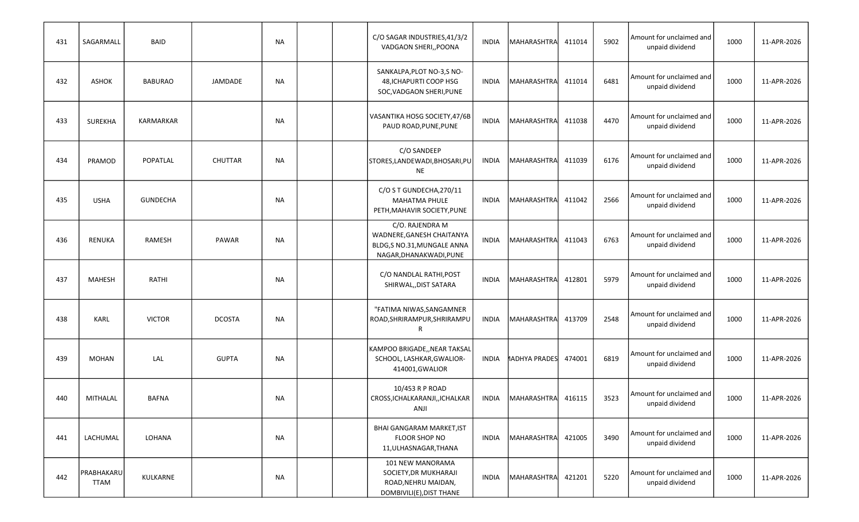| 431 | SAGARMALL                 | <b>BAID</b>     |                | NA        |  | C/O SAGAR INDUSTRIES,41/3/2<br>VADGAON SHERI,, POONA                                                   | <b>INDIA</b> | MAHARASHTRA          | 411014 | 5902 | Amount for unclaimed and<br>unpaid dividend | 1000 | 11-APR-2026 |
|-----|---------------------------|-----------------|----------------|-----------|--|--------------------------------------------------------------------------------------------------------|--------------|----------------------|--------|------|---------------------------------------------|------|-------------|
| 432 | <b>ASHOK</b>              | <b>BABURAO</b>  | JAMDADE        | NA        |  | SANKALPA, PLOT NO-3, SNO-<br>48, ICHAPURTI COOP HSG<br>SOC, VADGAON SHERI, PUNE                        | <b>INDIA</b> | <b>MAHARASHTRA</b>   | 411014 | 6481 | Amount for unclaimed and<br>unpaid dividend | 1000 | 11-APR-2026 |
| 433 | <b>SUREKHA</b>            | KARMARKAR       |                | NA        |  | VASANTIKA HOSG SOCIETY, 47/6B<br>PAUD ROAD, PUNE, PUNE                                                 | <b>INDIA</b> | MAHARASHTRA          | 411038 | 4470 | Amount for unclaimed and<br>unpaid dividend | 1000 | 11-APR-2026 |
| 434 | PRAMOD                    | POPATLAL        | <b>CHUTTAR</b> | <b>NA</b> |  | C/O SANDEEP<br>STORES, LANDEWADI, BHOSARI, PU<br><b>NE</b>                                             | <b>INDIA</b> | MAHARASHTRA          | 411039 | 6176 | Amount for unclaimed and<br>unpaid dividend | 1000 | 11-APR-2026 |
| 435 | <b>USHA</b>               | <b>GUNDECHA</b> |                | <b>NA</b> |  | C/O S T GUNDECHA, 270/11<br>MAHATMA PHULE<br>PETH, MAHAVIR SOCIETY, PUNE                               | <b>INDIA</b> | MAHARASHTRA          | 411042 | 2566 | Amount for unclaimed and<br>unpaid dividend | 1000 | 11-APR-2026 |
| 436 | <b>RENUKA</b>             | RAMESH          | PAWAR          | NA        |  | C/O. RAJENDRA M<br>WADNERE, GANESH CHAITANYA<br>BLDG, S NO.31, MUNGALE ANNA<br>NAGAR, DHANAKWADI, PUNE | <b>INDIA</b> | MAHARASHTRA          | 411043 | 6763 | Amount for unclaimed and<br>unpaid dividend | 1000 | 11-APR-2026 |
| 437 | <b>MAHESH</b>             | RATHI           |                | <b>NA</b> |  | C/O NANDLAL RATHI, POST<br>SHIRWAL, DIST SATARA                                                        | <b>INDIA</b> | MAHARASHTRA          | 412801 | 5979 | Amount for unclaimed and<br>unpaid dividend | 1000 | 11-APR-2026 |
| 438 | <b>KARL</b>               | <b>VICTOR</b>   | <b>DCOSTA</b>  | NA        |  | "FATIMA NIWAS, SANGAMNER<br>ROAD, SHRIRAMPUR, SHRIRAMPU<br>R                                           | <b>INDIA</b> | MAHARASHTRA          | 413709 | 2548 | Amount for unclaimed and<br>unpaid dividend | 1000 | 11-APR-2026 |
| 439 | <b>MOHAN</b>              | LAL             | <b>GUPTA</b>   | <b>NA</b> |  | KAMPOO BRIGADE,, NEAR TAKSAL<br>SCHOOL, LASHKAR, GWALIOR-<br>414001, GWALIOR                           | INDIA        | <b>1ADHYA PRADES</b> | 474001 | 6819 | Amount for unclaimed and<br>unpaid dividend | 1000 | 11-APR-2026 |
| 440 | MITHALAL                  | <b>BAFNA</b>    |                | NA        |  | 10/453 R P ROAD<br>CROSS, ICHALKARANJI, , ICHALKAR<br>ANJI                                             | INDIA        | MAHARASHTRA          | 416115 | 3523 | Amount for unclaimed and<br>unpaid dividend | 1000 | 11-APR-2026 |
| 441 | LACHUMAL                  | LOHANA          |                | NA        |  | <b>BHAI GANGARAM MARKET, IST</b><br>FLOOR SHOP NO<br>11, ULHASNAGAR, THANA                             | INDIA        | MAHARASHTRA          | 421005 | 3490 | Amount for unclaimed and<br>unpaid dividend | 1000 | 11-APR-2026 |
| 442 | PRABHAKARU<br><b>TTAM</b> | KULKARNE        |                | <b>NA</b> |  | 101 NEW MANORAMA<br>SOCIETY, DR MUKHARAJI<br>ROAD, NEHRU MAIDAN,<br>DOMBIVILI(E), DIST THANE           | <b>INDIA</b> | MAHARASHTRA          | 421201 | 5220 | Amount for unclaimed and<br>unpaid dividend | 1000 | 11-APR-2026 |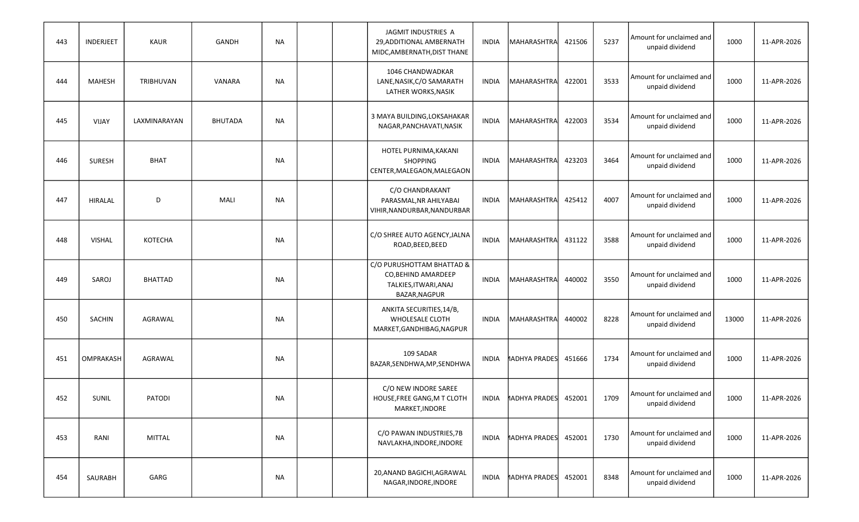| 443 | INDERJEET     | <b>KAUR</b>    | <b>GANDH</b>   | NA        |  | JAGMIT INDUSTRIES A<br>29, ADDITIONAL AMBERNATH<br>MIDC, AMBERNATH, DIST THANE             | INDIA        | MAHARASHTRA          | 421506 | 5237 | Amount for unclaimed and<br>unpaid dividend | 1000  | 11-APR-2026 |
|-----|---------------|----------------|----------------|-----------|--|--------------------------------------------------------------------------------------------|--------------|----------------------|--------|------|---------------------------------------------|-------|-------------|
| 444 | <b>MAHESH</b> | TRIBHUVAN      | VANARA         | NA        |  | 1046 CHANDWADKAR<br>LANE, NASIK, C/O SAMARATH<br>LATHER WORKS, NASIK                       | <b>INDIA</b> | MAHARASHTRA          | 422001 | 3533 | Amount for unclaimed and<br>unpaid dividend | 1000  | 11-APR-2026 |
| 445 | VIJAY         | LAXMINARAYAN   | <b>BHUTADA</b> | NA        |  | 3 MAYA BUILDING, LOKSAHAKAR<br>NAGAR, PANCHAVATI, NASIK                                    | <b>INDIA</b> | MAHARASHTRA          | 422003 | 3534 | Amount for unclaimed and<br>unpaid dividend | 1000  | 11-APR-2026 |
| 446 | <b>SURESH</b> | <b>BHAT</b>    |                | NA        |  | HOTEL PURNIMA, KAKANI<br><b>SHOPPING</b><br>CENTER, MALEGAON, MALEGAON                     | <b>INDIA</b> | MAHARASHTRA          | 423203 | 3464 | Amount for unclaimed and<br>unpaid dividend | 1000  | 11-APR-2026 |
| 447 | HIRALAL       | D              | MALI           | <b>NA</b> |  | C/O CHANDRAKANT<br>PARASMAL, NR AHILYABAI<br>VIHIR, NANDURBAR, NANDURBAR                   | INDIA        | MAHARASHTRA          | 425412 | 4007 | Amount for unclaimed and<br>unpaid dividend | 1000  | 11-APR-2026 |
| 448 | <b>VISHAL</b> | KOTECHA        |                | NA        |  | C/O SHREE AUTO AGENCY, JALNA<br>ROAD, BEED, BEED                                           | <b>INDIA</b> | MAHARASHTRA          | 431122 | 3588 | Amount for unclaimed and<br>unpaid dividend | 1000  | 11-APR-2026 |
| 449 | SAROJ         | <b>BHATTAD</b> |                | <b>NA</b> |  | C/O PURUSHOTTAM BHATTAD &<br>CO, BEHIND AMARDEEP<br>TALKIES, ITWARI, ANAJ<br>BAZAR, NAGPUR | <b>INDIA</b> | MAHARASHTRA          | 440002 | 3550 | Amount for unclaimed and<br>unpaid dividend | 1000  | 11-APR-2026 |
| 450 | <b>SACHIN</b> | AGRAWAL        |                | <b>NA</b> |  | ANKITA SECURITIES, 14/B,<br><b>WHOLESALE CLOTH</b><br>MARKET, GANDHIBAG, NAGPUR            | <b>INDIA</b> | MAHARASHTRA          | 440002 | 8228 | Amount for unclaimed and<br>unpaid dividend | 13000 | 11-APR-2026 |
| 451 | OMPRAKASH     | AGRAWAL        |                | NA        |  | 109 SADAR<br>BAZAR, SENDHWA, MP, SENDHWA                                                   | INDIA        | <b>MADHYA PRADES</b> | 451666 | 1734 | Amount for unclaimed and<br>unpaid dividend | 1000  | 11-APR-2026 |
| 452 | <b>SUNIL</b>  | PATODI         |                | NA        |  | C/O NEW INDORE SAREE<br>HOUSE, FREE GANG, M T CLOTH<br>MARKET, INDORE                      | INDIA        | <b>1ADHYA PRADES</b> | 452001 | 1709 | Amount for unclaimed and<br>unpaid dividend | 1000  | 11-APR-2026 |
| 453 | RANI          | MITTAL         |                | <b>NA</b> |  | C/O PAWAN INDUSTRIES, 7B<br>NAVLAKHA, INDORE, INDORE                                       |              | INDIA ADHYA PRADES   | 452001 | 1730 | Amount for unclaimed and<br>unpaid dividend | 1000  | 11-APR-2026 |
| 454 | SAURABH       | GARG           |                | <b>NA</b> |  | 20, ANAND BAGICHI, AGRAWAL<br>NAGAR, INDORE, INDORE                                        | INDIA        | <b>1ADHYA PRADES</b> | 452001 | 8348 | Amount for unclaimed and<br>unpaid dividend | 1000  | 11-APR-2026 |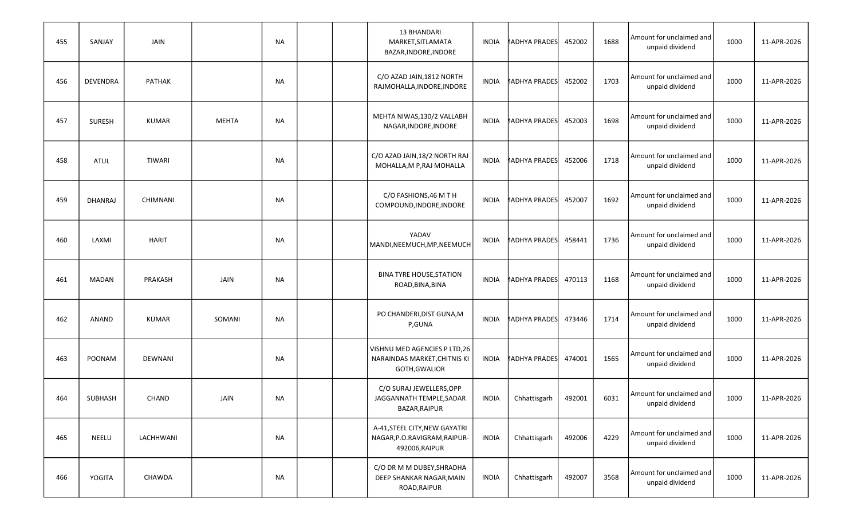| 455 | SANJAY         | JAIN          |              | <b>NA</b> |  | 13 BHANDARI<br>MARKET, SITLAMATA<br>BAZAR, INDORE, INDORE                       | INDIA        | <b>1ADHYA PRADES</b> | 452002 | 1688 | Amount for unclaimed and<br>unpaid dividend | 1000 | 11-APR-2026 |
|-----|----------------|---------------|--------------|-----------|--|---------------------------------------------------------------------------------|--------------|----------------------|--------|------|---------------------------------------------|------|-------------|
| 456 | DEVENDRA       | PATHAK        |              | NA        |  | C/O AZAD JAIN, 1812 NORTH<br>RAJMOHALLA, INDORE, INDORE                         | INDIA        | <b>1ADHYA PRADES</b> | 452002 | 1703 | Amount for unclaimed and<br>unpaid dividend | 1000 | 11-APR-2026 |
| 457 | <b>SURESH</b>  | <b>KUMAR</b>  | <b>MEHTA</b> | <b>NA</b> |  | MEHTA NIWAS, 130/2 VALLABH<br>NAGAR, INDORE, INDORE                             | INDIA        | <b>1ADHYA PRADES</b> | 452003 | 1698 | Amount for unclaimed and<br>unpaid dividend | 1000 | 11-APR-2026 |
| 458 | <b>ATUL</b>    | <b>TIWARI</b> |              | NA        |  | C/O AZAD JAIN, 18/2 NORTH RAJ<br>MOHALLA, M P, RAJ MOHALLA                      | <b>INDIA</b> | <b>MADHYA PRADES</b> | 452006 | 1718 | Amount for unclaimed and<br>unpaid dividend | 1000 | 11-APR-2026 |
| 459 | <b>DHANRAJ</b> | CHIMNANI      |              | <b>NA</b> |  | C/O FASHIONS, 46 M T H<br>COMPOUND, INDORE, INDORE                              | INDIA        | <b>1ADHYA PRADES</b> | 452007 | 1692 | Amount for unclaimed and<br>unpaid dividend | 1000 | 11-APR-2026 |
| 460 | LAXMI          | <b>HARIT</b>  |              | NA        |  | YADAV<br>MANDI, NEEMUCH, MP, NEEMUCH                                            | <b>INDIA</b> | <b>MADHYA PRADES</b> | 458441 | 1736 | Amount for unclaimed and<br>unpaid dividend | 1000 | 11-APR-2026 |
| 461 | <b>MADAN</b>   | PRAKASH       | JAIN         | NA        |  | <b>BINA TYRE HOUSE, STATION</b><br>ROAD, BINA, BINA                             | <b>INDIA</b> | <b>1ADHYA PRADES</b> | 470113 | 1168 | Amount for unclaimed and<br>unpaid dividend | 1000 | 11-APR-2026 |
| 462 | <b>ANAND</b>   | <b>KUMAR</b>  | SOMANI       | NA        |  | PO CHANDERI, DIST GUNA, M<br>P,GUNA                                             | <b>INDIA</b> | <b>MADHYA PRADES</b> | 473446 | 1714 | Amount for unclaimed and<br>unpaid dividend | 1000 | 11-APR-2026 |
| 463 | POONAM         | DEWNANI       |              | <b>NA</b> |  | VISHNU MED AGENCIES P LTD, 26<br>NARAINDAS MARKET, CHITNIS KI<br>GOTH, GWALIOR  | INDIA        | <b>1ADHYA PRADES</b> | 474001 | 1565 | Amount for unclaimed and<br>unpaid dividend | 1000 | 11-APR-2026 |
| 464 | SUBHASH        | <b>CHAND</b>  | JAIN         | <b>NA</b> |  | C/O SURAJ JEWELLERS, OPP<br>JAGGANNATH TEMPLE, SADAR<br>BAZAR, RAIPUR           | <b>INDIA</b> | Chhattisgarh         | 492001 | 6031 | Amount for unclaimed and<br>unpaid dividend | 1000 | 11-APR-2026 |
| 465 | NEELU          | LACHHWANI     |              | NA        |  | A-41, STEEL CITY, NEW GAYATRI<br>NAGAR, P.O.RAVIGRAM, RAIPUR-<br>492006, RAIPUR | <b>INDIA</b> | Chhattisgarh         | 492006 | 4229 | Amount for unclaimed and<br>unpaid dividend | 1000 | 11-APR-2026 |
| 466 | YOGITA         | CHAWDA        |              | <b>NA</b> |  | C/O DR M M DUBEY, SHRADHA<br>DEEP SHANKAR NAGAR, MAIN<br>ROAD, RAIPUR           | INDIA        | Chhattisgarh         | 492007 | 3568 | Amount for unclaimed and<br>unpaid dividend | 1000 | 11-APR-2026 |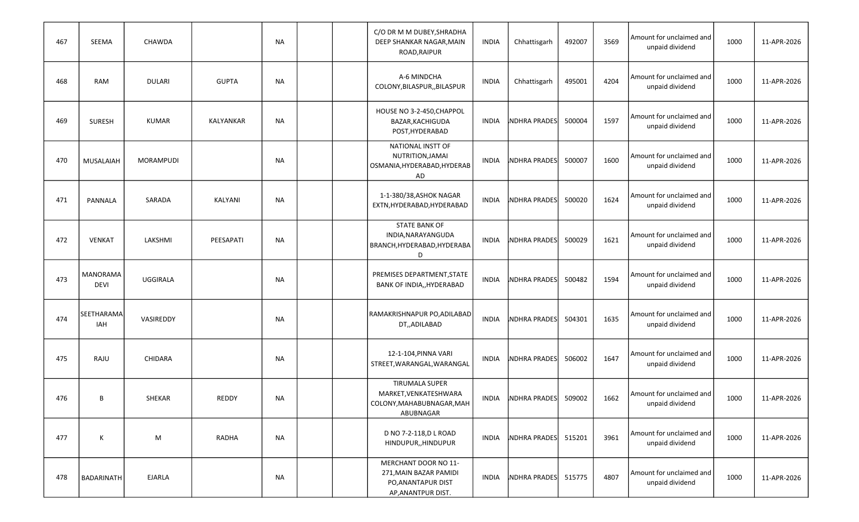| 467 | SEEMA                          | CHAWDA          |              | NA        |  | C/O DR M M DUBEY, SHRADHA<br>DEEP SHANKAR NAGAR, MAIN<br>ROAD, RAIPUR                      | <b>INDIA</b> | Chhattisgarh        | 492007 | 3569 | Amount for unclaimed and<br>unpaid dividend | 1000 | 11-APR-2026 |
|-----|--------------------------------|-----------------|--------------|-----------|--|--------------------------------------------------------------------------------------------|--------------|---------------------|--------|------|---------------------------------------------|------|-------------|
| 468 | RAM                            | <b>DULARI</b>   | <b>GUPTA</b> | NA        |  | A-6 MINDCHA<br>COLONY, BILASPUR, , BILASPUR                                                | <b>INDIA</b> | Chhattisgarh        | 495001 | 4204 | Amount for unclaimed and<br>unpaid dividend | 1000 | 11-APR-2026 |
| 469 | <b>SURESH</b>                  | <b>KUMAR</b>    | KALYANKAR    | NA        |  | HOUSE NO 3-2-450, CHAPPOL<br>BAZAR, KACHIGUDA<br>POST, HYDERABAD                           | <b>INDIA</b> | <b>NDHRA PRADES</b> | 500004 | 1597 | Amount for unclaimed and<br>unpaid dividend | 1000 | 11-APR-2026 |
| 470 | MUSALAIAH                      | MORAMPUDI       |              | <b>NA</b> |  | NATIONAL INSTT OF<br>NUTRITION, JAMAI<br>OSMANIA, HYDERABAD, HYDERAB<br>AD                 | <b>INDIA</b> | <b>NDHRA PRADES</b> | 500007 | 1600 | Amount for unclaimed and<br>unpaid dividend | 1000 | 11-APR-2026 |
| 471 | PANNALA                        | SARADA          | KALYANI      | <b>NA</b> |  | 1-1-380/38, ASHOK NAGAR<br>EXTN, HYDERABAD, HYDERABAD                                      | <b>INDIA</b> | <b>NDHRA PRADES</b> | 500020 | 1624 | Amount for unclaimed and<br>unpaid dividend | 1000 | 11-APR-2026 |
| 472 | <b>VENKAT</b>                  | LAKSHMI         | PEESAPATI    | NA        |  | <b>STATE BANK OF</b><br>INDIA, NARAYANGUDA<br>BRANCH, HYDERABAD, HYDERABA<br>D             | <b>INDIA</b> | <b>NDHRA PRADES</b> | 500029 | 1621 | Amount for unclaimed and<br>unpaid dividend | 1000 | 11-APR-2026 |
| 473 | <b>MANORAMA</b><br><b>DEVI</b> | <b>UGGIRALA</b> |              | <b>NA</b> |  | PREMISES DEPARTMENT, STATE<br>BANK OF INDIA,, HYDERABAD                                    | <b>INDIA</b> | <b>NDHRA PRADES</b> | 500482 | 1594 | Amount for unclaimed and<br>unpaid dividend | 1000 | 11-APR-2026 |
| 474 | SEETHARAMA<br>IAH              | VASIREDDY       |              | NA        |  | RAMAKRISHNAPUR PO, ADILABAD<br>DT,,ADILABAD                                                | <b>INDIA</b> | <b>NDHRA PRADES</b> | 504301 | 1635 | Amount for unclaimed and<br>unpaid dividend | 1000 | 11-APR-2026 |
| 475 | RAJU                           | CHIDARA         |              | NA        |  | 12-1-104, PINNA VARI<br>STREET, WARANGAL, WARANGAL                                         | <b>INDIA</b> | <b>NDHRA PRADES</b> | 506002 | 1647 | Amount for unclaimed and<br>unpaid dividend | 1000 | 11-APR-2026 |
| 476 | В                              | SHEKAR          | <b>REDDY</b> | <b>NA</b> |  | <b>TIRUMALA SUPER</b><br>MARKET, VENKATESHWARA<br>COLONY, MAHABUBNAGAR, MAH<br>ABUBNAGAR   | INDIA        | NDHRA PRADES        | 509002 | 1662 | Amount for unclaimed and<br>unpaid dividend | 1000 | 11-APR-2026 |
| 477 | К                              | M               | RADHA        | <b>NA</b> |  | D NO 7-2-118, D L ROAD<br>HINDUPUR,, HINDUPUR                                              | INDIA        | NDHRA PRADES        | 515201 | 3961 | Amount for unclaimed and<br>unpaid dividend | 1000 | 11-APR-2026 |
| 478 | BADARINATH                     | EJARLA          |              | <b>NA</b> |  | MERCHANT DOOR NO 11-<br>271, MAIN BAZAR PAMIDI<br>PO, ANANTAPUR DIST<br>AP, ANANTPUR DIST. | INDIA        | NDHRA PRADES        | 515775 | 4807 | Amount for unclaimed and<br>unpaid dividend | 1000 | 11-APR-2026 |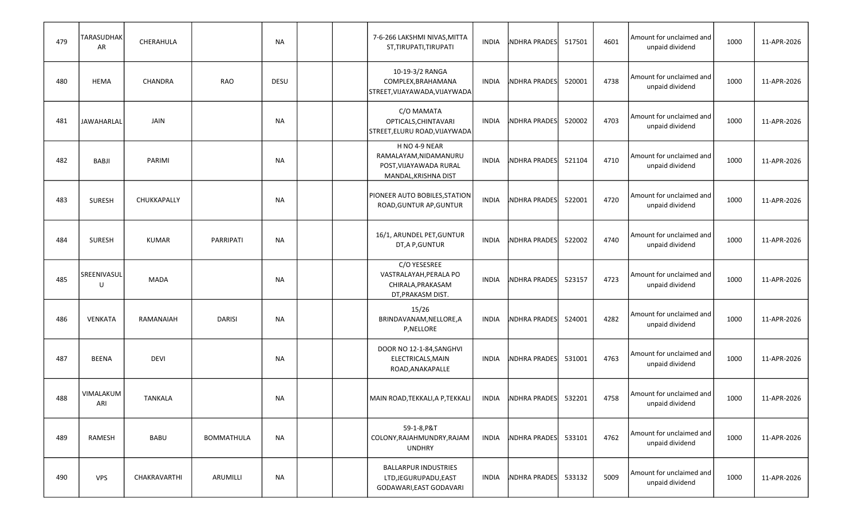| 479 | <b>TARASUDHAK</b><br>AR | CHERAHULA      |                   | NA        |  | 7-6-266 LAKSHMI NIVAS, MITTA<br>ST, TIRUPATI, TIRUPATI                                   | INDIA        | <b>NDHRA PRADES</b> | 517501 | 4601 | Amount for unclaimed and<br>unpaid dividend | 1000 | 11-APR-2026 |
|-----|-------------------------|----------------|-------------------|-----------|--|------------------------------------------------------------------------------------------|--------------|---------------------|--------|------|---------------------------------------------|------|-------------|
| 480 | <b>HEMA</b>             | CHANDRA        | RAO               | DESU      |  | 10-19-3/2 RANGA<br>COMPLEX, BRAHAMANA<br>STREET, VIJAYAWADA, VIJAYWADA                   | INDIA        | <b>NDHRA PRADES</b> | 520001 | 4738 | Amount for unclaimed and<br>unpaid dividend | 1000 | 11-APR-2026 |
| 481 | <b>JAWAHARLAL</b>       | JAIN           |                   | NA        |  | C/O MAMATA<br>OPTICALS, CHINTAVARI<br>STREET, ELURU ROAD, VIJAYWADA                      | <b>INDIA</b> | <b>NDHRA PRADES</b> | 520002 | 4703 | Amount for unclaimed and<br>unpaid dividend | 1000 | 11-APR-2026 |
| 482 | BABJI                   | PARIMI         |                   | NA        |  | H NO 4-9 NEAR<br>RAMALAYAM, NIDAMANURU<br>POST, VIJAYAWADA RURAL<br>MANDAL, KRISHNA DIST | <b>INDIA</b> | <b>NDHRA PRADES</b> | 521104 | 4710 | Amount for unclaimed and<br>unpaid dividend | 1000 | 11-APR-2026 |
| 483 | <b>SURESH</b>           | CHUKKAPALLY    |                   | <b>NA</b> |  | PIONEER AUTO BOBILES, STATION<br>ROAD, GUNTUR AP, GUNTUR                                 | <b>INDIA</b> | <b>NDHRA PRADES</b> | 522001 | 4720 | Amount for unclaimed and<br>unpaid dividend | 1000 | 11-APR-2026 |
| 484 | <b>SURESH</b>           | <b>KUMAR</b>   | PARRIPATI         | <b>NA</b> |  | 16/1, ARUNDEL PET, GUNTUR<br>DT, A P, GUNTUR                                             | <b>INDIA</b> | <b>NDHRA PRADES</b> | 522002 | 4740 | Amount for unclaimed and<br>unpaid dividend | 1000 | 11-APR-2026 |
| 485 | SREENIVASUL<br>U        | <b>MADA</b>    |                   | NA        |  | C/O YESESREE<br>VASTRALAYAH, PERALA PO<br>CHIRALA, PRAKASAM<br>DT, PRAKASM DIST.         | <b>INDIA</b> | <b>NDHRA PRADES</b> | 523157 | 4723 | Amount for unclaimed and<br>unpaid dividend | 1000 | 11-APR-2026 |
| 486 | VENKATA                 | RAMANAIAH      | <b>DARISI</b>     | NA        |  | 15/26<br>BRINDAVANAM, NELLORE, A<br>P,NELLORE                                            | <b>INDIA</b> | <b>NDHRA PRADES</b> | 524001 | 4282 | Amount for unclaimed and<br>unpaid dividend | 1000 | 11-APR-2026 |
| 487 | BEENA                   | <b>DEVI</b>    |                   | NA        |  | DOOR NO 12-1-84, SANGHVI<br>ELECTRICALS, MAIN<br>ROAD, ANAKAPALLE                        | INDIA        | <b>NDHRA PRADES</b> | 531001 | 4763 | Amount for unclaimed and<br>unpaid dividend | 1000 | 11-APR-2026 |
| 488 | VIMALAKUM<br>ARI        | <b>TANKALA</b> |                   | <b>NA</b> |  | MAIN ROAD, TEKKALI, A P, TEKKALI                                                         | <b>INDIA</b> | NDHRA PRADES        | 532201 | 4758 | Amount for unclaimed and<br>unpaid dividend | 1000 | 11-APR-2026 |
| 489 | RAMESH                  | BABU           | <b>BOMMATHULA</b> | NA        |  | 59-1-8, P&T<br>COLONY, RAJAHMUNDRY, RAJAM<br><b>UNDHRY</b>                               | INDIA        | <b>NDHRA PRADES</b> | 533101 | 4762 | Amount for unclaimed and<br>unpaid dividend | 1000 | 11-APR-2026 |
| 490 | <b>VPS</b>              | CHAKRAVARTHI   | ARUMILLI          | <b>NA</b> |  | <b>BALLARPUR INDUSTRIES</b><br>LTD, JEGURUPADU, EAST<br>GODAWARI, EAST GODAVARI          | <b>INDIA</b> | NDHRA PRADES        | 533132 | 5009 | Amount for unclaimed and<br>unpaid dividend | 1000 | 11-APR-2026 |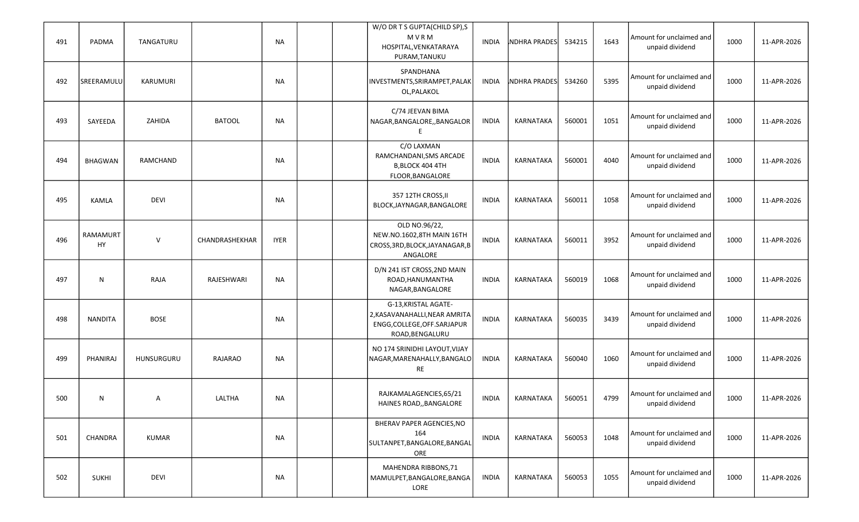| 491 | PADMA                 | TANGATURU    |                | NA          |  | W/O DR T S GUPTA(CHILD SP), S<br>MVRM<br>HOSPITAL, VENKATARAYA<br>PURAM, TANUKU                          | INDIA        | <b>NDHRA PRADES</b> | 534215 | 1643 | Amount for unclaimed and<br>unpaid dividend | 1000 | 11-APR-2026 |
|-----|-----------------------|--------------|----------------|-------------|--|----------------------------------------------------------------------------------------------------------|--------------|---------------------|--------|------|---------------------------------------------|------|-------------|
| 492 | SREERAMULU            | KARUMURI     |                | NA          |  | SPANDHANA<br>INVESTMENTS, SRIRAMPET, PALAK<br>OL, PALAKOL                                                | INDIA        | <b>NDHRA PRADES</b> | 534260 | 5395 | Amount for unclaimed and<br>unpaid dividend | 1000 | 11-APR-2026 |
| 493 | SAYEEDA               | ZAHIDA       | <b>BATOOL</b>  | NA          |  | C/74 JEEVAN BIMA<br>NAGAR, BANGALORE, , BANGALOR                                                         | <b>INDIA</b> | KARNATAKA           | 560001 | 1051 | Amount for unclaimed and<br>unpaid dividend | 1000 | 11-APR-2026 |
| 494 | <b>BHAGWAN</b>        | RAMCHAND     |                | NA          |  | C/O LAXMAN<br>RAMCHANDANI, SMS ARCADE<br>B, BLOCK 404 4TH<br>FLOOR, BANGALORE                            | <b>INDIA</b> | KARNATAKA           | 560001 | 4040 | Amount for unclaimed and<br>unpaid dividend | 1000 | 11-APR-2026 |
| 495 | <b>KAMLA</b>          | <b>DEVI</b>  |                | <b>NA</b>   |  | 357 12TH CROSS, II<br>BLOCK, JAYNAGAR, BANGALORE                                                         | <b>INDIA</b> | KARNATAKA           | 560011 | 1058 | Amount for unclaimed and<br>unpaid dividend | 1000 | 11-APR-2026 |
| 496 | <b>RAMAMURT</b><br>HY | $\mathsf{V}$ | CHANDRASHEKHAR | <b>IYER</b> |  | OLD NO.96/22,<br>NEW.NO.1602,8TH MAIN 16TH<br>CROSS, 3RD, BLOCK, JAYANAGAR, B<br>ANGALORE                | <b>INDIA</b> | KARNATAKA           | 560011 | 3952 | Amount for unclaimed and<br>unpaid dividend | 1000 | 11-APR-2026 |
| 497 | N                     | RAJA         | RAJESHWARI     | <b>NA</b>   |  | D/N 241 IST CROSS, 2ND MAIN<br>ROAD, HANUMANTHA<br>NAGAR, BANGALORE                                      | <b>INDIA</b> | KARNATAKA           | 560019 | 1068 | Amount for unclaimed and<br>unpaid dividend | 1000 | 11-APR-2026 |
| 498 | <b>NANDITA</b>        | <b>BOSE</b>  |                | NA          |  | G-13, KRISTAL AGATE-<br>2, KASAVANAHALLI, NEAR AMRITA<br>ENGG, COLLEGE, OFF. SARJAPUR<br>ROAD, BENGALURU | <b>INDIA</b> | KARNATAKA           | 560035 | 3439 | Amount for unclaimed and<br>unpaid dividend | 1000 | 11-APR-2026 |
| 499 | PHANIRAJ              | HUNSURGURU   | RAJARAO        | <b>NA</b>   |  | NO 174 SRINIDHI LAYOUT, VIJAY<br>NAGAR, MARENAHALLY, BANGALO<br>RE                                       | <b>INDIA</b> | KARNATAKA           | 560040 | 1060 | Amount for unclaimed and<br>unpaid dividend | 1000 | 11-APR-2026 |
| 500 | N                     | A            | LALTHA         | <b>NA</b>   |  | RAJKAMALAGENCIES, 65/21<br>HAINES ROAD,, BANGALORE                                                       | <b>INDIA</b> | KARNATAKA           | 560051 | 4799 | Amount for unclaimed and<br>unpaid dividend | 1000 | 11-APR-2026 |
| 501 | CHANDRA               | KUMAR        |                | NA          |  | BHERAV PAPER AGENCIES, NO<br>164<br>SULTANPET, BANGALORE, BANGAL<br>ORE                                  | <b>INDIA</b> | KARNATAKA           | 560053 | 1048 | Amount for unclaimed and<br>unpaid dividend | 1000 | 11-APR-2026 |
| 502 | <b>SUKHI</b>          | <b>DEVI</b>  |                | <b>NA</b>   |  | MAHENDRA RIBBONS, 71<br>MAMULPET, BANGALORE, BANGA<br>LORE                                               | <b>INDIA</b> | KARNATAKA           | 560053 | 1055 | Amount for unclaimed and<br>unpaid dividend | 1000 | 11-APR-2026 |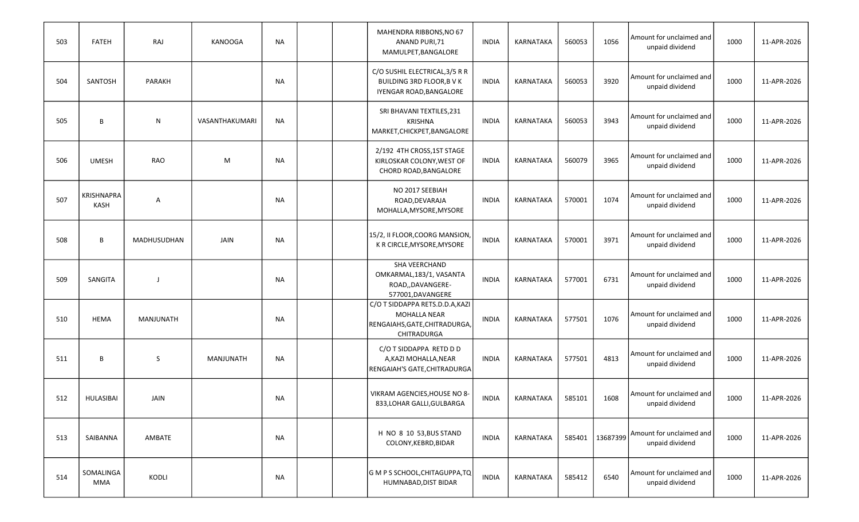| 503 | <b>FATEH</b>              | RAJ         | <b>KANOOGA</b>   | NA        |  | MAHENDRA RIBBONS, NO 67<br>ANAND PURI, 71<br>MAMULPET, BANGALORE                                       | <b>INDIA</b> | KARNATAKA        | 560053 | 1056     | Amount for unclaimed and<br>unpaid dividend | 1000 | 11-APR-2026 |
|-----|---------------------------|-------------|------------------|-----------|--|--------------------------------------------------------------------------------------------------------|--------------|------------------|--------|----------|---------------------------------------------|------|-------------|
| 504 | SANTOSH                   | PARAKH      |                  | NA        |  | C/O SUSHIL ELECTRICAL, 3/5 R R<br>BUILDING 3RD FLOOR, B V K<br>IYENGAR ROAD, BANGALORE                 | <b>INDIA</b> | KARNATAKA        | 560053 | 3920     | Amount for unclaimed and<br>unpaid dividend | 1000 | 11-APR-2026 |
| 505 | B                         | ${\sf N}$   | VASANTHAKUMARI   | NA        |  | SRI BHAVANI TEXTILES, 231<br><b>KRISHNA</b><br>MARKET, CHICKPET, BANGALORE                             | <b>INDIA</b> | KARNATAKA        | 560053 | 3943     | Amount for unclaimed and<br>unpaid dividend | 1000 | 11-APR-2026 |
| 506 | <b>UMESH</b>              | <b>RAO</b>  | M                | <b>NA</b> |  | 2/192 4TH CROSS, 1ST STAGE<br>KIRLOSKAR COLONY, WEST OF<br>CHORD ROAD, BANGALORE                       | <b>INDIA</b> | <b>KARNATAKA</b> | 560079 | 3965     | Amount for unclaimed and<br>unpaid dividend | 1000 | 11-APR-2026 |
| 507 | KRISHNAPRA<br><b>KASH</b> | A           |                  | <b>NA</b> |  | NO 2017 SEEBIAH<br>ROAD, DEVARAJA<br>MOHALLA, MYSORE, MYSORE                                           | <b>INDIA</b> | <b>KARNATAKA</b> | 570001 | 1074     | Amount for unclaimed and<br>unpaid dividend | 1000 | 11-APR-2026 |
| 508 | В                         | MADHUSUDHAN | <b>JAIN</b>      | <b>NA</b> |  | 15/2, II FLOOR, COORG MANSION,<br>K R CIRCLE, MYSORE, MYSORE                                           | <b>INDIA</b> | <b>KARNATAKA</b> | 570001 | 3971     | Amount for unclaimed and<br>unpaid dividend | 1000 | 11-APR-2026 |
| 509 | SANGITA                   |             |                  | <b>NA</b> |  | SHA VEERCHAND<br>OMKARMAL, 183/1, VASANTA<br>ROAD,,DAVANGERE-<br>577001, DAVANGERE                     | <b>INDIA</b> | KARNATAKA        | 577001 | 6731     | Amount for unclaimed and<br>unpaid dividend | 1000 | 11-APR-2026 |
| 510 | <b>HEMA</b>               | MANJUNATH   |                  | <b>NA</b> |  | C/O T SIDDAPPA RETS.D.D.A, KAZI<br><b>MOHALLA NEAR</b><br>RENGAIAHS, GATE, CHITRADURGA,<br>CHITRADURGA | <b>INDIA</b> | KARNATAKA        | 577501 | 1076     | Amount for unclaimed and<br>unpaid dividend | 1000 | 11-APR-2026 |
| 511 | B                         | S           | <b>MANJUNATH</b> | <b>NA</b> |  | C/O T SIDDAPPA RETD D D<br>A, KAZI MOHALLA, NEAR<br><b>RENGAIAH'S GATE, CHITRADURGA</b>                | <b>INDIA</b> | KARNATAKA        | 577501 | 4813     | Amount for unclaimed and<br>unpaid dividend | 1000 | 11-APR-2026 |
| 512 | HULASIBAI                 | JAIN        |                  | NA        |  | VIKRAM AGENCIES, HOUSE NO 8-<br>833, LOHAR GALLI, GULBARGA                                             | INDIA        | KARNATAKA        | 585101 | 1608     | Amount for unclaimed and<br>unpaid dividend | 1000 | 11-APR-2026 |
| 513 | SAIBANNA                  | AMBATE      |                  | NA        |  | H NO 8 10 53, BUS STAND<br>COLONY, KEBRD, BIDAR                                                        | INDIA        | KARNATAKA        | 585401 | 13687399 | Amount for unclaimed and<br>unpaid dividend | 1000 | 11-APR-2026 |
| 514 | SOMALINGA<br>MMA          | KODLI       |                  | <b>NA</b> |  | G M P S SCHOOL, CHITAGUPPA, TQ<br>HUMNABAD, DIST BIDAR                                                 | <b>INDIA</b> | KARNATAKA        | 585412 | 6540     | Amount for unclaimed and<br>unpaid dividend | 1000 | 11-APR-2026 |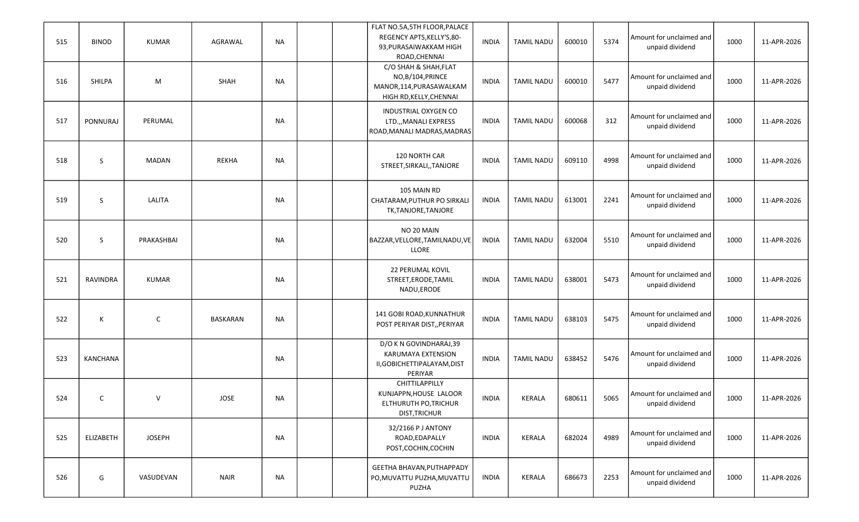| 515 | <b>BINOD</b>    | <b>KUMAR</b>  | AGRAWAL     | NA        |  | FLAT NO.5A, 5TH FLOOR, PALACE<br>REGENCY APTS, KELLY'S, 80-<br>93, PURASAIWAKKAM HIGH<br>ROAD, CHENNAI | <b>INDIA</b> | <b>TAMIL NADU</b> | 600010 | 5374 | Amount for unclaimed and<br>unpaid dividend | 1000 | 11-APR-2026 |
|-----|-----------------|---------------|-------------|-----------|--|--------------------------------------------------------------------------------------------------------|--------------|-------------------|--------|------|---------------------------------------------|------|-------------|
| 516 | SHILPA          | M             | SHAH        | NA        |  | C/O SHAH & SHAH, FLAT<br>NO,B/104, PRINCE<br>MANOR,114, PURASAWALKAM<br>HIGH RD, KELLY, CHENNAI        | <b>INDIA</b> | <b>TAMIL NADU</b> | 600010 | 5477 | Amount for unclaimed and<br>unpaid dividend | 1000 | 11-APR-2026 |
| 517 | <b>PONNURAJ</b> | PERUMAL       |             | NA        |  | INDUSTRIAL OXYGEN CO<br>LTD.,, MANALI EXPRESS<br>ROAD, MANALI MADRAS, MADRAS                           | <b>INDIA</b> | <b>TAMIL NADU</b> | 600068 | 312  | Amount for unclaimed and<br>unpaid dividend | 1000 | 11-APR-2026 |
| 518 | S               | <b>MADAN</b>  | REKHA       | <b>NA</b> |  | 120 NORTH CAR<br>STREET, SIRKALI, , TANJORE                                                            | <b>INDIA</b> | <b>TAMIL NADU</b> | 609110 | 4998 | Amount for unclaimed and<br>unpaid dividend | 1000 | 11-APR-2026 |
| 519 | S               | LALITA        |             | NA        |  | 105 MAIN RD<br>CHATARAM, PUTHUR PO SIRKALI<br>TK,TANJORE,TANJORE                                       | <b>INDIA</b> | <b>TAMIL NADU</b> | 613001 | 2241 | Amount for unclaimed and<br>unpaid dividend | 1000 | 11-APR-2026 |
| 520 | S               | PRAKASHBAI    |             | NA        |  | NO 20 MAIN<br>BAZZAR, VELLORE, TAMILNADU, VE<br>LLORE                                                  | <b>INDIA</b> | <b>TAMIL NADU</b> | 632004 | 5510 | Amount for unclaimed and<br>unpaid dividend | 1000 | 11-APR-2026 |
| 521 | RAVINDRA        | <b>KUMAR</b>  |             | NA        |  | <b>22 PERUMAL KOVIL</b><br>STREET, ERODE, TAMIL<br>NADU, ERODE                                         | <b>INDIA</b> | <b>TAMIL NADU</b> | 638001 | 5473 | Amount for unclaimed and<br>unpaid dividend | 1000 | 11-APR-2026 |
| 522 | К               | $\mathsf{C}$  | BASKARAN    | NA        |  | 141 GOBI ROAD, KUNNATHUR<br>POST PERIYAR DIST,, PERIYAR                                                | <b>INDIA</b> | <b>TAMIL NADU</b> | 638103 | 5475 | Amount for unclaimed and<br>unpaid dividend | 1000 | 11-APR-2026 |
| 523 | KANCHANA        |               |             | NA        |  | D/O K N GOVINDHARAJ,39<br><b>KARUMAYA EXTENSION</b><br>II, GOBICHETTIPALAYAM, DIST<br>PERIYAR          | <b>INDIA</b> | <b>TAMIL NADU</b> | 638452 | 5476 | Amount for unclaimed and<br>unpaid dividend | 1000 | 11-APR-2026 |
| 524 | C               | $\vee$        | JOSE        | <b>NA</b> |  | CHITTILAPPILLY<br>KUNJAPPN, HOUSE LALOOR<br>ELTHURUTH PO, TRICHUR<br><b>DIST, TRICHUR</b>              | <b>INDIA</b> | KERALA            | 680611 | 5065 | Amount for unclaimed and<br>unpaid dividend | 1000 | 11-APR-2026 |
| 525 | ELIZABETH       | <b>JOSEPH</b> |             | <b>NA</b> |  | 32/2166 P J ANTONY<br>ROAD, EDAPALLY<br>POST, COCHIN, COCHIN                                           | <b>INDIA</b> | KERALA            | 682024 | 4989 | Amount for unclaimed and<br>unpaid dividend | 1000 | 11-APR-2026 |
| 526 | G               | VASUDEVAN     | <b>NAIR</b> | <b>NA</b> |  | GEETHA BHAVAN, PUTHAPPADY<br>PO, MUVATTU PUZHA, MUVATTU<br>PUZHA                                       | INDIA        | KERALA            | 686673 | 2253 | Amount for unclaimed and<br>unpaid dividend | 1000 | 11-APR-2026 |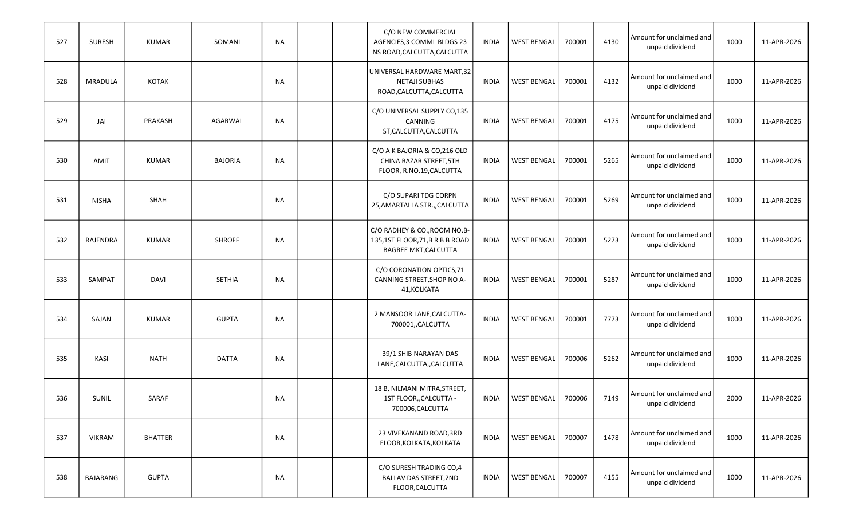| 527 | <b>SURESH</b> | <b>KUMAR</b>   | SOMANI         | <b>NA</b> |  | C/O NEW COMMERCIAL<br>AGENCIES, 3 COMML BLDGS 23<br>NS ROAD, CALCUTTA, CALCUTTA              | INDIA        | <b>WEST BENGAL</b> | 700001 | 4130 | Amount for unclaimed and<br>unpaid dividend | 1000 | 11-APR-2026 |
|-----|---------------|----------------|----------------|-----------|--|----------------------------------------------------------------------------------------------|--------------|--------------------|--------|------|---------------------------------------------|------|-------------|
| 528 | MRADULA       | <b>KOTAK</b>   |                | NA        |  | UNIVERSAL HARDWARE MART,32<br><b>NETAJI SUBHAS</b><br>ROAD, CALCUTTA, CALCUTTA               | <b>INDIA</b> | <b>WEST BENGAL</b> | 700001 | 4132 | Amount for unclaimed and<br>unpaid dividend | 1000 | 11-APR-2026 |
| 529 | JAI           | PRAKASH        | AGARWAL        | NA        |  | C/O UNIVERSAL SUPPLY CO,135<br>CANNING<br>ST, CALCUTTA, CALCUTTA                             | <b>INDIA</b> | <b>WEST BENGAL</b> | 700001 | 4175 | Amount for unclaimed and<br>unpaid dividend | 1000 | 11-APR-2026 |
| 530 | <b>AMIT</b>   | <b>KUMAR</b>   | <b>BAJORIA</b> | NA        |  | C/O A K BAJORIA & CO, 216 OLD<br>CHINA BAZAR STREET, 5TH<br>FLOOR, R.NO.19, CALCUTTA         | <b>INDIA</b> | <b>WEST BENGAL</b> | 700001 | 5265 | Amount for unclaimed and<br>unpaid dividend | 1000 | 11-APR-2026 |
| 531 | <b>NISHA</b>  | SHAH           |                | NA        |  | C/O SUPARI TDG CORPN<br>25, AMARTALLA STR., CALCUTTA                                         | <b>INDIA</b> | <b>WEST BENGAL</b> | 700001 | 5269 | Amount for unclaimed and<br>unpaid dividend | 1000 | 11-APR-2026 |
| 532 | RAJENDRA      | <b>KUMAR</b>   | <b>SHROFF</b>  | NA        |  | C/O RADHEY & CO., ROOM NO.B-<br>135,1ST FLOOR,71,B R B B ROAD<br><b>BAGREE MKT, CALCUTTA</b> | <b>INDIA</b> | <b>WEST BENGAL</b> | 700001 | 5273 | Amount for unclaimed and<br>unpaid dividend | 1000 | 11-APR-2026 |
| 533 | <b>SAMPAT</b> | <b>DAVI</b>    | <b>SETHIA</b>  | NA        |  | C/O CORONATION OPTICS, 71<br>CANNING STREET, SHOP NO A-<br>41, KOLKATA                       | <b>INDIA</b> | <b>WEST BENGAL</b> | 700001 | 5287 | Amount for unclaimed and<br>unpaid dividend | 1000 | 11-APR-2026 |
| 534 | SAJAN         | <b>KUMAR</b>   | <b>GUPTA</b>   | NA        |  | 2 MANSOOR LANE, CALCUTTA-<br>700001,,CALCUTTA                                                | <b>INDIA</b> | <b>WEST BENGAL</b> | 700001 | 7773 | Amount for unclaimed and<br>unpaid dividend | 1000 | 11-APR-2026 |
| 535 | KASI          | <b>NATH</b>    | <b>DATTA</b>   | NA        |  | 39/1 SHIB NARAYAN DAS<br>LANE, CALCUTTA, , CALCUTTA                                          | INDIA        | <b>WEST BENGAL</b> | 700006 | 5262 | Amount for unclaimed and<br>unpaid dividend | 1000 | 11-APR-2026 |
| 536 | <b>SUNIL</b>  | SARAF          |                | NA        |  | 18 B, NILMANI MITRA, STREET,<br>1ST FLOOR,, CALCUTTA -<br>700006, CALCUTTA                   | <b>INDIA</b> | <b>WEST BENGAL</b> | 700006 | 7149 | Amount for unclaimed and<br>unpaid dividend | 2000 | 11-APR-2026 |
| 537 | <b>VIKRAM</b> | <b>BHATTER</b> |                | NA        |  | 23 VIVEKANAND ROAD, 3RD<br>FLOOR, KOLKATA, KOLKATA                                           | <b>INDIA</b> | <b>WEST BENGAL</b> | 700007 | 1478 | Amount for unclaimed and<br>unpaid dividend | 1000 | 11-APR-2026 |
| 538 | BAJARANG      | <b>GUPTA</b>   |                | <b>NA</b> |  | C/O SURESH TRADING CO,4<br><b>BALLAV DAS STREET, 2ND</b><br>FLOOR, CALCUTTA                  | INDIA        | <b>WEST BENGAL</b> | 700007 | 4155 | Amount for unclaimed and<br>unpaid dividend | 1000 | 11-APR-2026 |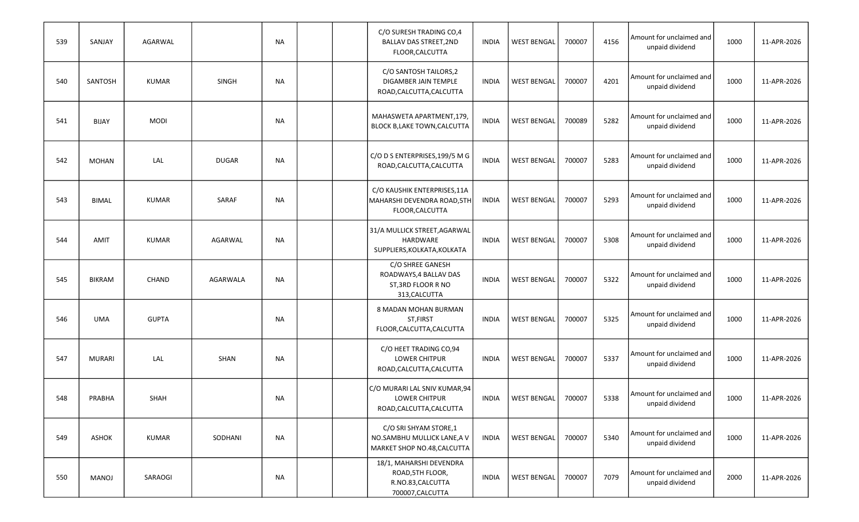| 539 | SANJAY        | AGARWAL      |              | NA        | C/O SURESH TRADING CO,4<br><b>BALLAV DAS STREET, 2ND</b><br>FLOOR, CALCUTTA          | <b>INDIA</b> | <b>WEST BENGAL</b> | 700007 | 4156 | Amount for unclaimed and<br>unpaid dividend | 1000 | 11-APR-2026 |
|-----|---------------|--------------|--------------|-----------|--------------------------------------------------------------------------------------|--------------|--------------------|--------|------|---------------------------------------------|------|-------------|
| 540 | SANTOSH       | <b>KUMAR</b> | <b>SINGH</b> | <b>NA</b> | C/O SANTOSH TAILORS,2<br>DIGAMBER JAIN TEMPLE<br>ROAD, CALCUTTA, CALCUTTA            | <b>INDIA</b> | <b>WEST BENGAL</b> | 700007 | 4201 | Amount for unclaimed and<br>unpaid dividend | 1000 | 11-APR-2026 |
| 541 | <b>BIJAY</b>  | <b>MODI</b>  |              | NA        | MAHASWETA APARTMENT,179,<br><b>BLOCK B,LAKE TOWN,CALCUTTA</b>                        | <b>INDIA</b> | <b>WEST BENGAL</b> | 700089 | 5282 | Amount for unclaimed and<br>unpaid dividend | 1000 | 11-APR-2026 |
| 542 | <b>MOHAN</b>  | LAL          | <b>DUGAR</b> | <b>NA</b> | C/O D S ENTERPRISES, 199/5 M G<br>ROAD, CALCUTTA, CALCUTTA                           | <b>INDIA</b> | <b>WEST BENGAL</b> | 700007 | 5283 | Amount for unclaimed and<br>unpaid dividend | 1000 | 11-APR-2026 |
| 543 | <b>BIMAL</b>  | <b>KUMAR</b> | SARAF        | <b>NA</b> | C/O KAUSHIK ENTERPRISES, 11A<br>MAHARSHI DEVENDRA ROAD, 5TH<br>FLOOR, CALCUTTA       | <b>INDIA</b> | <b>WEST BENGAL</b> | 700007 | 5293 | Amount for unclaimed and<br>unpaid dividend | 1000 | 11-APR-2026 |
| 544 | <b>AMIT</b>   | <b>KUMAR</b> | AGARWAL      | <b>NA</b> | 31/A MULLICK STREET, AGARWAL<br>HARDWARE<br>SUPPLIERS, KOLKATA, KOLKATA              | <b>INDIA</b> | <b>WEST BENGAL</b> | 700007 | 5308 | Amount for unclaimed and<br>unpaid dividend | 1000 | 11-APR-2026 |
| 545 | <b>BIKRAM</b> | CHAND        | AGARWALA     | NA        | C/O SHREE GANESH<br>ROADWAYS, 4 BALLAV DAS<br>ST, 3RD FLOOR R NO<br>313, CALCUTTA    | <b>INDIA</b> | <b>WEST BENGAL</b> | 700007 | 5322 | Amount for unclaimed and<br>unpaid dividend | 1000 | 11-APR-2026 |
| 546 | <b>UMA</b>    | <b>GUPTA</b> |              | <b>NA</b> | 8 MADAN MOHAN BURMAN<br>ST, FIRST<br>FLOOR, CALCUTTA, CALCUTTA                       | <b>INDIA</b> | <b>WEST BENGAL</b> | 700007 | 5325 | Amount for unclaimed and<br>unpaid dividend | 1000 | 11-APR-2026 |
| 547 | <b>MURARI</b> | LAL          | <b>SHAN</b>  | <b>NA</b> | C/O HEET TRADING CO,94<br><b>LOWER CHITPUR</b><br>ROAD, CALCUTTA, CALCUTTA           | <b>INDIA</b> | <b>WEST BENGAL</b> | 700007 | 5337 | Amount for unclaimed and<br>unpaid dividend | 1000 | 11-APR-2026 |
| 548 | PRABHA        | SHAH         |              | NA        | C/O MURARI LAL SNIV KUMAR,94<br><b>LOWER CHITPUR</b><br>ROAD, CALCUTTA, CALCUTTA     | <b>INDIA</b> | <b>WEST BENGAL</b> | 700007 | 5338 | Amount for unclaimed and<br>unpaid dividend | 1000 | 11-APR-2026 |
| 549 | <b>ASHOK</b>  | <b>KUMAR</b> | SODHANI      | <b>NA</b> | C/O SRI SHYAM STORE,1<br>NO.SAMBHU MULLICK LANE, A V<br>MARKET SHOP NO.48, CALCUTTA  | INDIA        | <b>WEST BENGAL</b> | 700007 | 5340 | Amount for unclaimed and<br>unpaid dividend | 1000 | 11-APR-2026 |
| 550 | MANOJ         | SARAOGI      |              | NA        | 18/1, MAHARSHI DEVENDRA<br>ROAD, 5TH FLOOR,<br>R.NO.83, CALCUTTA<br>700007, CALCUTTA | <b>INDIA</b> | <b>WEST BENGAL</b> | 700007 | 7079 | Amount for unclaimed and<br>unpaid dividend | 2000 | 11-APR-2026 |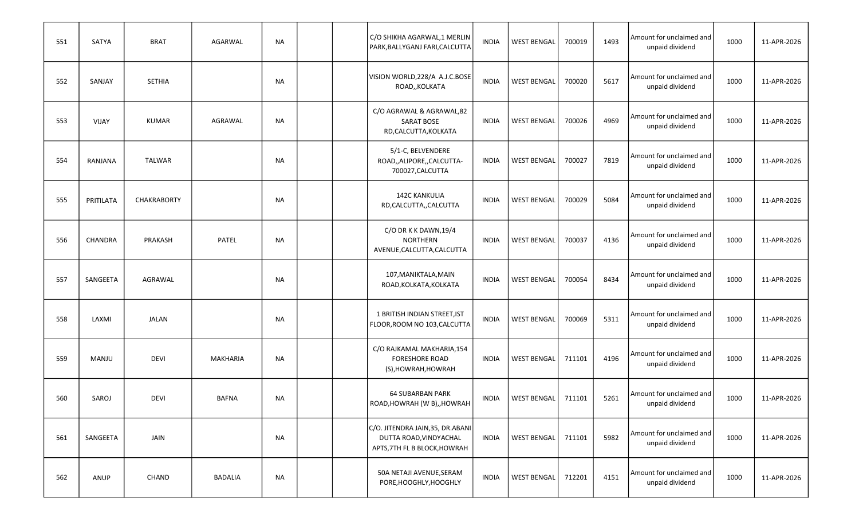| 551 | SATYA        | <b>BRAT</b>        | AGARWAL      | NA        |  | C/O SHIKHA AGARWAL, 1 MERLIN<br>PARK, BALLYGANJ FARI, CALCUTTA                              | <b>INDIA</b> | <b>WEST BENGAL</b> | 700019 | 1493 | Amount for unclaimed and<br>unpaid dividend | 1000 | 11-APR-2026 |
|-----|--------------|--------------------|--------------|-----------|--|---------------------------------------------------------------------------------------------|--------------|--------------------|--------|------|---------------------------------------------|------|-------------|
| 552 | SANJAY       | <b>SETHIA</b>      |              | NA        |  | VISION WORLD, 228/A A.J.C.BOSE<br>ROAD,, KOLKATA                                            | <b>INDIA</b> | <b>WEST BENGAL</b> | 700020 | 5617 | Amount for unclaimed and<br>unpaid dividend | 1000 | 11-APR-2026 |
| 553 | VIJAY        | <b>KUMAR</b>       | AGRAWAL      | NA        |  | C/O AGRAWAL & AGRAWAL,82<br><b>SARAT BOSE</b><br>RD,CALCUTTA,KOLKATA                        | <b>INDIA</b> | <b>WEST BENGAL</b> | 700026 | 4969 | Amount for unclaimed and<br>unpaid dividend | 1000 | 11-APR-2026 |
| 554 | RANJANA      | <b>TALWAR</b>      |              | NA        |  | 5/1-C, BELVENDERE<br>ROAD,,ALIPORE,,CALCUTTA-<br>700027, CALCUTTA                           | <b>INDIA</b> | <b>WEST BENGAL</b> | 700027 | 7819 | Amount for unclaimed and<br>unpaid dividend | 1000 | 11-APR-2026 |
| 555 | PRITILATA    | <b>CHAKRABORTY</b> |              | <b>NA</b> |  | <b>142C KANKULIA</b><br>RD,CALCUTTA,,CALCUTTA                                               | <b>INDIA</b> | <b>WEST BENGAL</b> | 700029 | 5084 | Amount for unclaimed and<br>unpaid dividend | 1000 | 11-APR-2026 |
| 556 | CHANDRA      | PRAKASH            | PATEL        | NA        |  | C/O DR K K DAWN, 19/4<br><b>NORTHERN</b><br>AVENUE, CALCUTTA, CALCUTTA                      | <b>INDIA</b> | <b>WEST BENGAL</b> | 700037 | 4136 | Amount for unclaimed and<br>unpaid dividend | 1000 | 11-APR-2026 |
| 557 | SANGEETA     | AGRAWAL            |              | NA        |  | 107, MANIKTALA, MAIN<br>ROAD, KOLKATA, KOLKATA                                              | <b>INDIA</b> | <b>WEST BENGAL</b> | 700054 | 8434 | Amount for unclaimed and<br>unpaid dividend | 1000 | 11-APR-2026 |
| 558 | LAXMI        | <b>JALAN</b>       |              | <b>NA</b> |  | 1 BRITISH INDIAN STREET, IST<br>FLOOR, ROOM NO 103, CALCUTTA                                | <b>INDIA</b> | <b>WEST BENGAL</b> | 700069 | 5311 | Amount for unclaimed and<br>unpaid dividend | 1000 | 11-APR-2026 |
| 559 | <b>MANJU</b> | <b>DEVI</b>        | MAKHARIA     | NA        |  | C/O RAJKAMAL MAKHARIA, 154<br><b>FORESHORE ROAD</b><br>(S), HOWRAH, HOWRAH                  | <b>INDIA</b> | <b>WEST BENGAL</b> | 711101 | 4196 | Amount for unclaimed and<br>unpaid dividend | 1000 | 11-APR-2026 |
| 560 | SAROJ        | <b>DEVI</b>        | <b>BAFNA</b> | NA        |  | <b>64 SUBARBAN PARK</b><br>ROAD, HOWRAH (W B), , HOWRAH                                     | INDIA        | <b>WEST BENGAL</b> | 711101 | 5261 | Amount for unclaimed and<br>unpaid dividend | 1000 | 11-APR-2026 |
| 561 | SANGEETA     | JAIN               |              | NA        |  | C/O. JITENDRA JAIN, 35, DR. ABANI<br>DUTTA ROAD, VINDYACHAL<br>APTS, 7TH FL B BLOCK, HOWRAH | <b>INDIA</b> | <b>WEST BENGAL</b> | 711101 | 5982 | Amount for unclaimed and<br>unpaid dividend | 1000 | 11-APR-2026 |
| 562 | ANUP         | CHAND              | BADALIA      | <b>NA</b> |  | 50A NETAJI AVENUE, SERAM<br>PORE, HOOGHLY, HOOGHLY                                          | INDIA        | <b>WEST BENGAL</b> | 712201 | 4151 | Amount for unclaimed and<br>unpaid dividend | 1000 | 11-APR-2026 |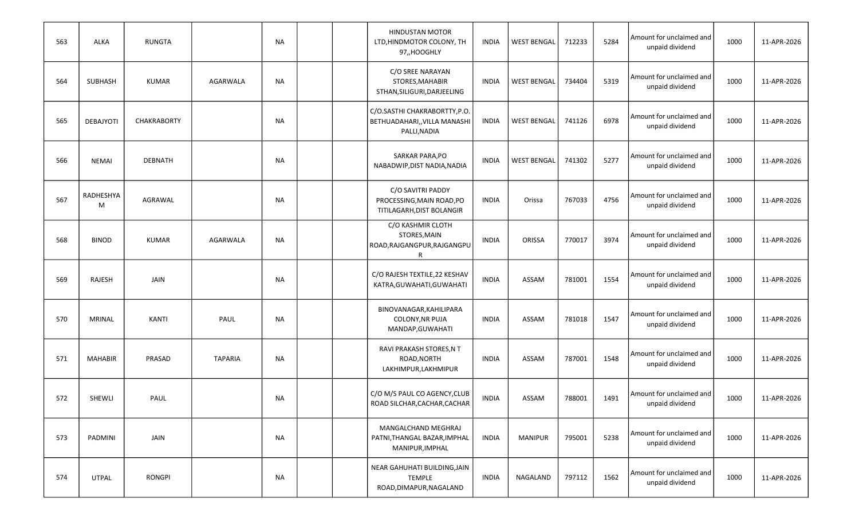| 563 | ALKA             | RUNGTA         |                 | NA        | <b>HINDUSTAN MOTOR</b><br>LTD, HINDMOTOR COLONY, TH<br>97,,HOOGHLY            | INDIA        | <b>WEST BENGAL</b> | 712233 | 5284 | Amount for unclaimed and<br>unpaid dividend | 1000 | 11-APR-2026 |
|-----|------------------|----------------|-----------------|-----------|-------------------------------------------------------------------------------|--------------|--------------------|--------|------|---------------------------------------------|------|-------------|
| 564 | <b>SUBHASH</b>   | <b>KUMAR</b>   | AGARWALA        | NA        | C/O SREE NARAYAN<br>STORES, MAHABIR<br>STHAN, SILIGURI, DARJEELING            | INDIA        | <b>WEST BENGAL</b> | 734404 | 5319 | Amount for unclaimed and<br>unpaid dividend | 1000 | 11-APR-2026 |
| 565 | <b>DEBAJYOTI</b> | CHAKRABORTY    |                 | NA        | C/O.SASTHI CHAKRABORTTY, P.O.<br>BETHUADAHARI,, VILLA MANASHI<br>PALLI, NADIA | INDIA        | <b>WEST BENGAL</b> | 741126 | 6978 | Amount for unclaimed and<br>unpaid dividend | 1000 | 11-APR-2026 |
| 566 | <b>NEMAI</b>     | <b>DEBNATH</b> |                 | NA        | SARKAR PARA, PO<br>NABADWIP, DIST NADIA, NADIA                                | <b>INDIA</b> | <b>WEST BENGAL</b> | 741302 | 5277 | Amount for unclaimed and<br>unpaid dividend | 1000 | 11-APR-2026 |
| 567 | RADHESHYA<br>M   | AGRAWAL        |                 | NA        | C/O SAVITRI PADDY<br>PROCESSING, MAIN ROAD, PO<br>TITILAGARH, DIST BOLANGIR   | <b>INDIA</b> | Orissa             | 767033 | 4756 | Amount for unclaimed and<br>unpaid dividend | 1000 | 11-APR-2026 |
| 568 | <b>BINOD</b>     | <b>KUMAR</b>   | <b>AGARWALA</b> | <b>NA</b> | C/O KASHMIR CLOTH<br>STORES, MAIN<br>ROAD, RAJGANGPUR, RAJGANGPU<br>R         | <b>INDIA</b> | ORISSA             | 770017 | 3974 | Amount for unclaimed and<br>unpaid dividend | 1000 | 11-APR-2026 |
| 569 | <b>RAJESH</b>    | JAIN           |                 | NA        | C/O RAJESH TEXTILE, 22 KESHAV<br>KATRA, GUWAHATI, GUWAHATI                    | <b>INDIA</b> | ASSAM              | 781001 | 1554 | Amount for unclaimed and<br>unpaid dividend | 1000 | 11-APR-2026 |
| 570 | <b>MRINAL</b>    | KANTI          | PAUL            | NA        | BINOVANAGAR, KAHILIPARA<br>COLONY, NR PUJA<br>MANDAP, GUWAHATI                | <b>INDIA</b> | ASSAM              | 781018 | 1547 | Amount for unclaimed and<br>unpaid dividend | 1000 | 11-APR-2026 |
| 571 | <b>MAHABIR</b>   | PRASAD         | <b>TAPARIA</b>  | NA        | RAVI PRAKASH STORES, N T<br>ROAD, NORTH<br>LAKHIMPUR, LAKHMIPUR               | INDIA        | ASSAM              | 787001 | 1548 | Amount for unclaimed and<br>unpaid dividend | 1000 | 11-APR-2026 |
| 572 | SHEWLI           | PAUL           |                 | <b>NA</b> | C/O M/S PAUL CO AGENCY, CLUB<br>ROAD SILCHAR, CACHAR, CACHAR                  | <b>INDIA</b> | ASSAM              | 788001 | 1491 | Amount for unclaimed and<br>unpaid dividend | 1000 | 11-APR-2026 |
| 573 | PADMINI          | JAIN           |                 | NA        | MANGALCHAND MEGHRAJ<br>PATNI, THANGAL BAZAR, IMPHAL<br>MANIPUR, IMPHAL        | <b>INDIA</b> | <b>MANIPUR</b>     | 795001 | 5238 | Amount for unclaimed and<br>unpaid dividend | 1000 | 11-APR-2026 |
| 574 | <b>UTPAL</b>     | <b>RONGPI</b>  |                 | <b>NA</b> | NEAR GAHUHATI BUILDING, JAIN<br><b>TEMPLE</b><br>ROAD, DIMAPUR, NAGALAND      | <b>INDIA</b> | NAGALAND           | 797112 | 1562 | Amount for unclaimed and<br>unpaid dividend | 1000 | 11-APR-2026 |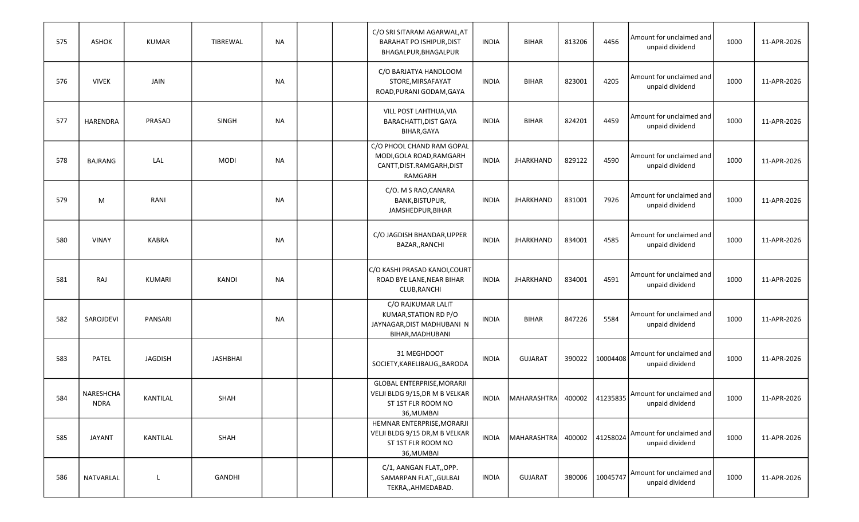| 575 | <b>ASHOK</b>             | <b>KUMAR</b>   | TIBREWAL     | NA        |  | C/O SRI SITARAM AGARWAL, AT<br><b>BARAHAT PO ISHIPUR, DIST</b><br>BHAGALPUR, BHAGALPUR           | <b>INDIA</b> | <b>BIHAR</b>       | 813206 | 4456            | Amount for unclaimed and<br>unpaid dividend | 1000 | 11-APR-2026 |
|-----|--------------------------|----------------|--------------|-----------|--|--------------------------------------------------------------------------------------------------|--------------|--------------------|--------|-----------------|---------------------------------------------|------|-------------|
| 576 | <b>VIVEK</b>             | <b>JAIN</b>    |              | NA        |  | C/O BARJATYA HANDLOOM<br>STORE, MIRSAFAYAT<br>ROAD, PURANI GODAM, GAYA                           | <b>INDIA</b> | <b>BIHAR</b>       | 823001 | 4205            | Amount for unclaimed and<br>unpaid dividend | 1000 | 11-APR-2026 |
| 577 | HARENDRA                 | PRASAD         | <b>SINGH</b> | NA        |  | VILL POST LAHTHUA, VIA<br><b>BARACHATTI, DIST GAYA</b><br>BIHAR, GAYA                            | <b>INDIA</b> | <b>BIHAR</b>       | 824201 | 4459            | Amount for unclaimed and<br>unpaid dividend | 1000 | 11-APR-2026 |
| 578 | BAJRANG                  | LAL            | <b>MODI</b>  | <b>NA</b> |  | C/O PHOOL CHAND RAM GOPAL<br>MODI, GOLA ROAD, RAMGARH<br>CANTT, DIST.RAMGARH, DIST<br>RAMGARH    | <b>INDIA</b> | <b>JHARKHAND</b>   | 829122 | 4590            | Amount for unclaimed and<br>unpaid dividend | 1000 | 11-APR-2026 |
| 579 | М                        | RANI           |              | <b>NA</b> |  | C/O. M S RAO, CANARA<br>BANK, BISTUPUR,<br>JAMSHEDPUR, BIHAR                                     | <b>INDIA</b> | <b>JHARKHAND</b>   | 831001 | 7926            | Amount for unclaimed and<br>unpaid dividend | 1000 | 11-APR-2026 |
| 580 | <b>VINAY</b>             | <b>KABRA</b>   |              | NA        |  | C/O JAGDISH BHANDAR, UPPER<br>BAZAR,, RANCHI                                                     | <b>INDIA</b> | <b>JHARKHAND</b>   | 834001 | 4585            | Amount for unclaimed and<br>unpaid dividend | 1000 | 11-APR-2026 |
| 581 | RAJ                      | <b>KUMARI</b>  | <b>KANOI</b> | <b>NA</b> |  | C/O KASHI PRASAD KANOI, COURT<br>ROAD BYE LANE, NEAR BIHAR<br>CLUB, RANCHI                       | <b>INDIA</b> | <b>JHARKHAND</b>   | 834001 | 4591            | Amount for unclaimed and<br>unpaid dividend | 1000 | 11-APR-2026 |
| 582 | SAROJDEVI                | PANSARI        |              | NA        |  | C/O RAJKUMAR LALIT<br>KUMAR, STATION RD P/O<br>JAYNAGAR, DIST MADHUBANI N<br>BIHAR, MADHUBANI    | <b>INDIA</b> | <b>BIHAR</b>       | 847226 | 5584            | Amount for unclaimed and<br>unpaid dividend | 1000 | 11-APR-2026 |
| 583 | PATEL                    | <b>JAGDISH</b> | JASHBHAI     |           |  | 31 MEGHDOOT<br>SOCIETY, KARELIBAUG, , BARODA                                                     | <b>INDIA</b> | <b>GUJARAT</b>     | 390022 | 10004408        | Amount for unclaimed and<br>unpaid dividend | 1000 | 11-APR-2026 |
| 584 | NARESHCHA<br><b>NDRA</b> | KANTILAL       | SHAH         |           |  | GLOBAL ENTERPRISE, MORARJI<br>VELJI BLDG 9/15, DR M B VELKAR<br>ST 1ST FLR ROOM NO<br>36, MUMBAI | <b>INDIA</b> | MAHARASHTRA        | 400002 | 41235835        | Amount for unclaimed and<br>unpaid dividend | 1000 | 11-APR-2026 |
| 585 | JAYANT                   | KANTILAL       | SHAH         |           |  | HEMNAR ENTERPRISE, MORARJI<br>VELJI BLDG 9/15 DR, M B VELKAR<br>ST 1ST FLR ROOM NO<br>36, MUMBAI | <b>INDIA</b> | <b>MAHARASHTRA</b> | 400002 | 41258024        | Amount for unclaimed and<br>unpaid dividend | 1000 | 11-APR-2026 |
| 586 | NATVARLAL                | L              | GANDHI       |           |  | C/1, AANGAN FLAT,,OPP.<br>SAMARPAN FLAT, GULBAI<br>TEKRA,, AHMEDABAD.                            | <b>INDIA</b> | <b>GUJARAT</b>     |        | 380006 10045747 | Amount for unclaimed and<br>unpaid dividend | 1000 | 11-APR-2026 |